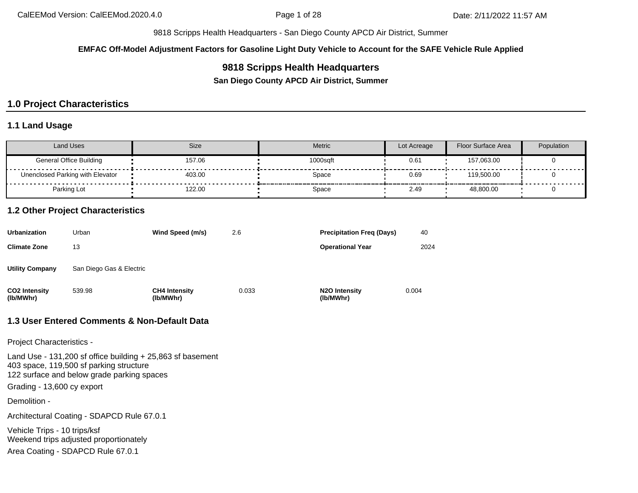**EMFAC Off-Model Adjustment Factors for Gasoline Light Duty Vehicle to Account for the SAFE Vehicle Rule Applied**

## **9818 Scripps Health Headquarters**

**San Diego County APCD Air District, Summer**

# **1.0 Project Characteristics**

## **1.1 Land Usage**

| Land Uses                        | <b>Size</b> | <b>Metric</b> | Lot Acreage | <b>Floor Surface Area</b> | Population |
|----------------------------------|-------------|---------------|-------------|---------------------------|------------|
| <b>General Office Building</b>   | 157.06      | 1000saft      | 0.61        | 157,063.00                |            |
| Unenclosed Parking with Elevator | 403.00      | Space         | 0.69        | 119.500.00                |            |
| Parking Lot                      | 122.00      | Space         | 2.49        | 48,800.00                 |            |

#### **1.2 Other Project Characteristics**

| Urbanization               | Urban                    | Wind Speed (m/s)                  | 2.6   | <b>Precipitation Freg (Days)</b>  | 40    |
|----------------------------|--------------------------|-----------------------------------|-------|-----------------------------------|-------|
| Climate Zone               | 13                       |                                   |       | <b>Operational Year</b>           | 2024  |
| Utility Company            | San Diego Gas & Electric |                                   |       |                                   |       |
| CO2 Intensity<br>(lb/MWhr) | 539.98                   | <b>CH4 Intensity</b><br>(lb/MWhr) | 0.033 | <b>N2O Intensity</b><br>(lb/MWhr) | 0.004 |

## **1.3 User Entered Comments & Non-Default Data**

Project Characteristics -

Land Use - 131,200 sf office building + 25,863 sf basement 403 space, 119,500 sf parking structure 122 surface and below grade parking spaces Grading - 13,600 cy export

Demolition -

Architectural Coating - SDAPCD Rule 67.0.1

Vehicle Trips - 10 trips/ksf Weekend trips adjusted proportionately

Area Coating - SDAPCD Rule 67.0.1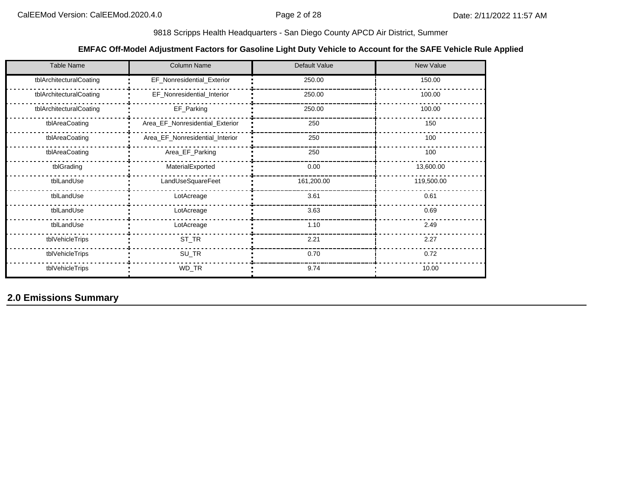## **EMFAC Off-Model Adjustment Factors for Gasoline Light Duty Vehicle to Account for the SAFE Vehicle Rule Applied**

| <b>Table Name</b>       | <b>Column Name</b>              | Default Value | New Value  |
|-------------------------|---------------------------------|---------------|------------|
| tblArchitecturalCoating | EF_Nonresidential_Exterior      | 250.00        | 150.00     |
| tblArchitecturalCoating | EF_Nonresidential_Interior      | 250.00        | 100.00     |
| tblArchitecturalCoating | EF_Parking                      | 250.00        | 100.00     |
| tblAreaCoating          | Area_EF_Nonresidential_Exterior | 250           | 150        |
| tblAreaCoating          | Area_EF_Nonresidential_Interior | 250           | 100        |
| tblAreaCoating          | Area_EF_Parking                 | 250           | 100        |
| tblGrading              | MaterialExported                | 0.00          | 13,600.00  |
| tblLandUse              | LandUseSquareFeet               | 161,200.00    | 119,500.00 |
| tblLandUse              | LotAcreage                      | 3.61          | 0.61       |
| tblLandUse              | LotAcreage                      | 3.63          | 0.69       |
| tblLandUse              | LotAcreage                      | 1.10          | 2.49       |
| tblVehicleTrips         | ST_TR                           | 2.21          | 2.27       |
| tblVehicleTrips         | SU_TR                           | 0.70          | 0.72       |
| tblVehicleTrips         | WD_TR                           | 9.74          | 10.00      |

**2.0 Emissions Summary**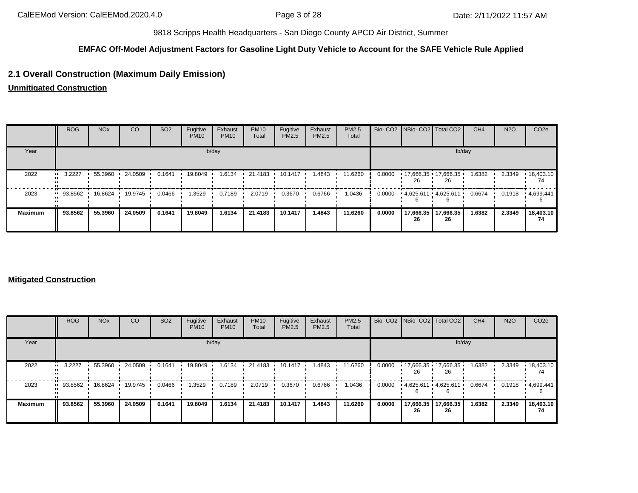## **EMFAC Off-Model Adjustment Factors for Gasoline Light Duty Vehicle to Account for the SAFE Vehicle Rule Applied**

## **2.1 Overall Construction (Maximum Daily Emission)**

**Unmitigated Construction**

|                | <b>ROG</b>            | <b>NO<sub>x</sub></b> | <sub>CO</sub> | SO <sub>2</sub> | Fugitive<br><b>PM10</b> | Exhaust<br><b>PM10</b> | <b>PM10</b><br>Total | Fugitive<br>PM2.5 | Exhaust<br>PM2.5 | PM2.5<br>Total |        |                 | Bio- CO2   NBio- CO2   Total CO2 | CH <sub>4</sub> | <b>N2O</b> | CO <sub>2e</sub>        |
|----------------|-----------------------|-----------------------|---------------|-----------------|-------------------------|------------------------|----------------------|-------------------|------------------|----------------|--------|-----------------|----------------------------------|-----------------|------------|-------------------------|
| Year           |                       |                       |               |                 |                         | lb/day                 |                      |                   |                  |                |        |                 | lb/day                           |                 |            |                         |
| 2022           | $\blacksquare$ 3.2227 | 55.3960               | 24.0509       | 0.1641          | 19.8049                 | 1.6134                 | 21.4183              | $10.1417$ $\cdot$ | 1.4843           | 11.6260        | 0.0000 | 26              | $17,666.35$ 17,666.35<br>26      | 1.6382          | 2.3349     | $\cdot$ 18,403.10<br>74 |
| 2023           | 93.8562               | 16.8624               | 19.9745       | 0.0466          | 1.3529                  | 0.7189                 | 2.0719               | 0.3670            | 0.6766           | 1.0436         | 0.0000 |                 | $4,625.611$ $4,625.611$          | 0.6674          | 0.1918     | $\cdot$ 4.699.441       |
| <b>Maximum</b> | 93.8562               | 55.3960               | 24.0509       | 0.1641          | 19,8049                 | 1.6134                 | 21.4183              | 10.1417           | 1.4843           | 11.6260        | 0.0000 | 17,666.35<br>26 | 17,666.35<br>26                  | 1.6382          | 2.3349     | 18,403.10<br>74         |

#### **Mitigated Construction**

|                | <b>ROG</b>             | <b>NO<sub>x</sub></b> | <b>CO</b> | SO <sub>2</sub> | Fugitive<br><b>PM10</b> | Exhaust<br><b>PM10</b> | <b>PM10</b><br>Total | Fugitive<br>PM2.5 | Exhaust<br>PM2.5 | PM2.5<br>Total |        |                 | Bio- CO2 NBio- CO2 Total CO2 | CH <sub>4</sub> | <b>N2O</b> | CO <sub>2e</sub>        |
|----------------|------------------------|-----------------------|-----------|-----------------|-------------------------|------------------------|----------------------|-------------------|------------------|----------------|--------|-----------------|------------------------------|-----------------|------------|-------------------------|
| Year           |                        |                       |           |                 |                         | lb/day                 |                      |                   |                  |                |        |                 | lb/day                       |                 |            |                         |
| 2022           | 3.2227<br>$\bullet$    | 55.3960               | 24.0509   | 0.1641          | 19.8049                 | 1.6134                 | 21.4183              | 10.1417           | 1.4843           | 11.6260        | 0.0000 | 26              | $17,666.35$ 17,666.35<br>26  | 1.6382          | 2.3349     | $\cdot$ 18,403.10<br>74 |
| 2023           | $\blacksquare$ 93.8562 | 16.8624               | 19.9745   | 0.0466          | 1.3529                  | 0.7189                 | 2.0719               | 0.3670            | 0.6766           | 1.0436         | 0.0000 |                 | 4,625.611 4,625.611          | 0.6674          | 0.1918     | .4699.441               |
| <b>Maximum</b> | 93.8562                | 55.3960               | 24.0509   | 0.1641          | 19.8049                 | 1.6134                 | 21.4183              | 10.1417           | 1.4843           | 11.6260        | 0.0000 | 17,666.35<br>26 | 17,666.35<br>26              | 1.6382          | 2.3349     | 18,403.10<br>74         |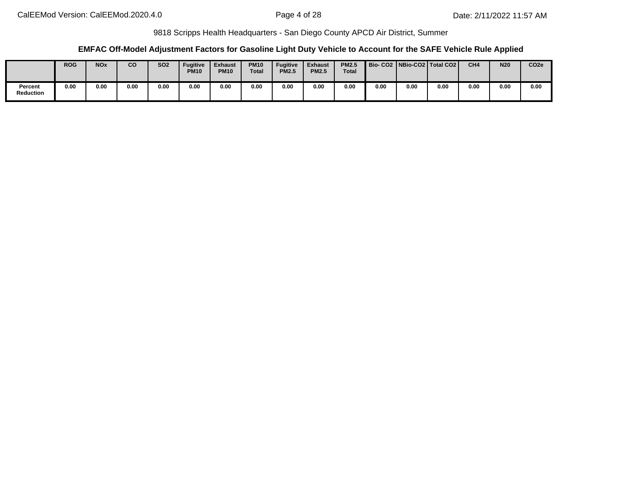### **EMFAC Off-Model Adjustment Factors for Gasoline Light Duty Vehicle to Account for the SAFE Vehicle Rule Applied**

|                      | <b>ROG</b> | <b>NOx</b> | CO   | <b>SO2</b> | <b>Fugitive</b><br><b>PM10</b> | <b>Exhaust</b><br><b>PM10</b> | <b>PM10</b><br><b>Total</b> | <b>Fugitive</b><br><b>PM2.5</b> | <b>Exhaust</b><br><b>PM2.5</b> | <b>PM2.5</b><br>Total |      |      | Bio- CO2   NBio-CO2   Total CO2 | CH <sub>4</sub> | <b>N20</b> | CO <sub>2e</sub> |
|----------------------|------------|------------|------|------------|--------------------------------|-------------------------------|-----------------------------|---------------------------------|--------------------------------|-----------------------|------|------|---------------------------------|-----------------|------------|------------------|
| Percent<br>Reduction | 0.00       | 0.00       | 0.00 | 0.00       | 0.00                           | 0.00                          | 0.00                        | 0.00                            | 0.00                           | 0.00                  | 0.00 | 0.00 | 0.00                            | 0.00            | 0.00       | 0.00             |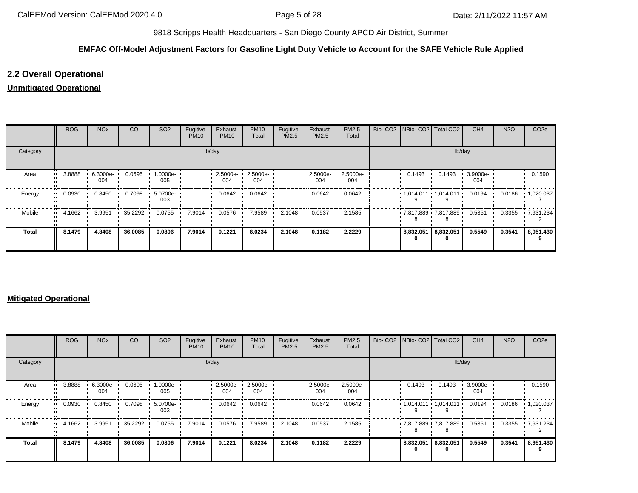## **EMFAC Off-Model Adjustment Factors for Gasoline Light Duty Vehicle to Account for the SAFE Vehicle Rule Applied**

## **2.2 Overall Operational**

## **Unmitigated Operational**

|          | ROG    | <b>NO<sub>x</sub></b> | CO      | SO <sub>2</sub> | Fugitive<br><b>PM10</b> | Exhaust<br><b>PM10</b> | <b>PM10</b><br>Total | Fugitive<br>PM2.5 | Exhaust<br>PM2.5   | PM2.5<br>Total  |           | Bio- CO2   NBio- CO2   Total CO2 | CH <sub>4</sub> | <b>N2O</b> | CO <sub>2e</sub>  |
|----------|--------|-----------------------|---------|-----------------|-------------------------|------------------------|----------------------|-------------------|--------------------|-----------------|-----------|----------------------------------|-----------------|------------|-------------------|
| Category |        |                       |         |                 |                         | lb/day                 |                      |                   |                    |                 |           | lb/day                           |                 |            |                   |
| Area     | 3.8888 | $6.3000e -$<br>004    | 0.0695  | 1.0000e-<br>005 |                         | 2.5000e-<br>004        | 2.5000e-<br>004      |                   | $2.5000e -$<br>004 | 2.5000e-<br>004 | 0.1493    | 0.1493                           | 3.9000e-<br>004 |            | 0.1590            |
| Energy   | 0.0930 | 0.8450                | 0.7098  | 5.0700e-<br>003 |                         | 0.0642                 | 0.0642               |                   | 0.0642             | 0.0642          |           | $1,014.011$ $1,014.011$          | 0.0194          | 0.0186     | $\cdot$ 1,020.037 |
| Mobile   | 4.1662 | 3.9951                | 35.2292 | 0.0755          | 7.9014                  | 0.0576                 | 7.9589               | 2.1048            | 0.0537             | 2.1585          |           | 7,817.889 7,817.889              | 0.5351          | 0.3355     | .7,931.234        |
| Total    | 8.1479 | 4.8408                | 36.0085 | 0.0806          | 7.9014                  | 0.1221                 | 8.0234               | 2.1048            | 0.1182             | 2.2229          | 8,832.051 | 8,832.051                        | 0.5549          | 0.3541     | 8,951.430         |

#### **Mitigated Operational**

|              | ROG    | <b>NO<sub>x</sub></b> | CO      | SO <sub>2</sub> | Fugitive<br><b>PM10</b> | Exhaust<br><b>PM10</b> | <b>PM10</b><br>Total | Fugitive<br>PM2.5 | Exhaust<br>PM2.5 | <b>PM2.5</b><br>Total |                          | Bio- CO2 NBio- CO2   Total CO2 | CH <sub>4</sub> | <b>N2O</b> | CO <sub>2</sub> e  |
|--------------|--------|-----------------------|---------|-----------------|-------------------------|------------------------|----------------------|-------------------|------------------|-----------------------|--------------------------|--------------------------------|-----------------|------------|--------------------|
| Category     |        |                       |         |                 |                         | lb/day                 |                      |                   |                  |                       |                          | lb/day                         |                 |            |                    |
| Area         | 3.8888 | 6.3000e-<br>004       | 0.0695  | 1.0000e-<br>005 |                         | 2.5000e-<br>004        | 2.5000e-<br>004      |                   | 2.5000e-<br>004  | 2.5000e-<br>004       | 0.1493                   | 0.1493                         | 3.9000e-<br>004 |            | 0.1590             |
| Energy       | 0.0930 | 0.8450                | 0.7098  | 5.0700e-<br>003 |                         | 0.0642                 | 0.0642               |                   | 0.0642           | 0.0642                |                          | $1,014.011$ $1,014.011$ $1$    | 0.0194          |            | $0.0186$ 1,020.037 |
| Mobile       | 4.1662 | 3.9951                | 35.2292 | 0.0755          | 7.9014                  | 0.0576                 | 7.9589               | 2.1048            | 0.0537           | 2.1585                |                          | 7,817.889 7,817.889            | 0.5351          | 0.3355     | $-7,931.234$       |
| <b>Total</b> | 8.1479 | 4.8408                | 36.0085 | 0.0806          | 7.9014                  | 0.1221                 | 8.0234               | 2.1048            | 0.1182           | 2.2229                | 8,832.051 8,832.051<br>0 |                                | 0.5549          | 0.3541     | 8,951.430          |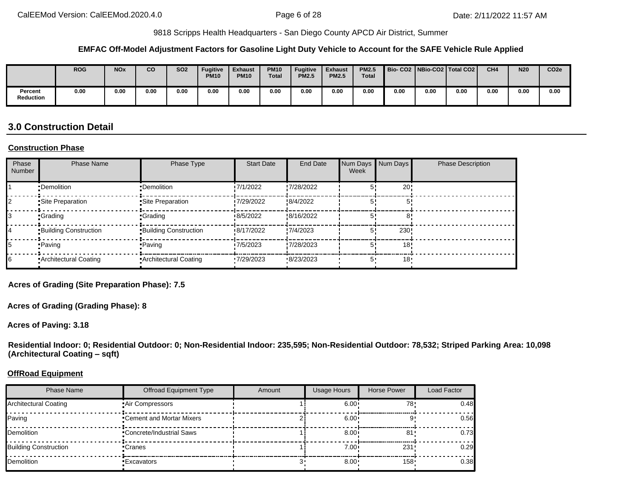#### **EMFAC Off-Model Adjustment Factors for Gasoline Light Duty Vehicle to Account for the SAFE Vehicle Rule Applied**

|                             | <b>ROG</b> | <b>NOx</b> | co   | <b>SO2</b> | <b>Fugitive</b><br><b>PM10</b> | <b>Exhaust</b><br><b>PM10</b> | <b>PM10</b><br><b>Total</b> | <b>Fugitive</b><br><b>PM2.5</b> | <b>Exhaust</b><br><b>PM2.5</b> | <b>PM2.5</b><br><b>Total</b> | <b>Bio-CO2</b> |      | NBio-CO2   Total CO2 | CH <sub>4</sub> | <b>N20</b> | CO <sub>2e</sub> |
|-----------------------------|------------|------------|------|------------|--------------------------------|-------------------------------|-----------------------------|---------------------------------|--------------------------------|------------------------------|----------------|------|----------------------|-----------------|------------|------------------|
| Percent<br><b>Reduction</b> | 0.00       | 0.00       | 0.00 | 0.00       | 0.00                           | 0.00                          | 0.00                        | 0.00                            | 0.00                           | 0.00                         | 0.00           | 0.00 | 0.00                 | 0.00            | 0.00       | 0.00             |

# **3.0 Construction Detail**

#### **Construction Phase**

| Phase<br>Number | <b>Phase Name</b>            | Phase Type                   | <b>Start Date</b> | <b>End Date</b> | Num Days Num Days<br>Week |      | <b>Phase Description</b> |
|-----------------|------------------------------|------------------------------|-------------------|-----------------|---------------------------|------|--------------------------|
|                 | •Demolition                  | •Demolition                  | 7/1/2022          | .7/28/2022      |                           | 20   |                          |
|                 | Site Preparation             | Site Preparation             | 7/29/2022         | :8/4/2022       |                           |      |                          |
|                 | •Grading                     | •Grading                     | 18/5/2022         | 8/16/2022       |                           |      |                          |
|                 | <b>Building Construction</b> | <b>Building Construction</b> | 8/17/2022         | .7/4/2023       | 5'                        | 230! |                          |
|                 | •Paving                      | • Paving                     | 7/5/2023          | .7/28/2023      |                           | 18   |                          |
|                 | Architectural Coating        | Architectural Coating        | 7/29/2023         | 8/23/2023       | 5,                        | 18'  |                          |

**Acres of Grading (Site Preparation Phase): 7.5**

**Acres of Grading (Grading Phase): 8**

**Acres of Paving: 3.18**

**Residential Indoor: 0; Residential Outdoor: 0; Non-Residential Indoor: 235,595; Non-Residential Outdoor: 78,532; Striped Parking Area: 10,098 (Architectural Coating – sqft)**

#### **OffRoad Equipment**

| <b>Phase Name</b>            | <b>Offroad Equipment Type</b> | Amount | Usage Hours  | Horse Power      | Load Factor |
|------------------------------|-------------------------------|--------|--------------|------------------|-------------|
| Architectural Coating        | Air Compressors               |        | 6.00         | 78               | 0.48        |
| Paving                       | •Cement and Mortar Mixers     |        | $6.00 \cdot$ |                  | 0.56        |
| Demolition                   | •Concrete/Industrial Saws     |        | 8.00         | -81              | 0.73        |
| <b>Building Construction</b> | •Cranes                       |        | $7.00 \cdot$ | 231              | 0.29        |
| Demolition                   | •Excavators                   |        | 8.00         | 158 <sup>1</sup> | 0.38        |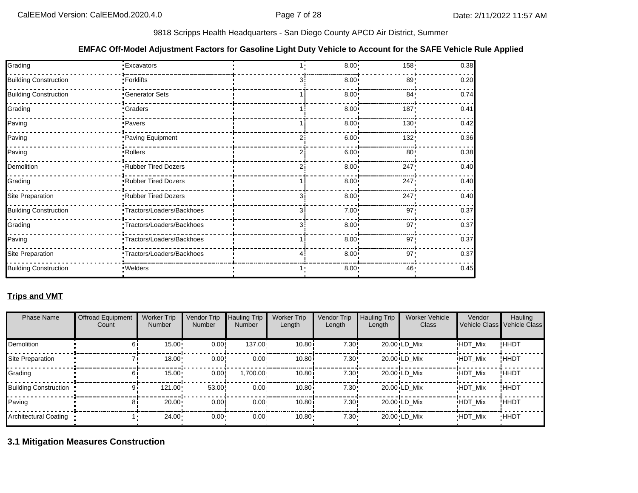## **EMFAC Off-Model Adjustment Factors for Gasoline Light Duty Vehicle to Account for the SAFE Vehicle Rule Applied**

| Grading                      | <b>Excavators</b>          | $8.00 -$     | $158 -$          | 0.38 |
|------------------------------|----------------------------|--------------|------------------|------|
| <b>Building Construction</b> | • Forklifts                | $8.00 \cdot$ | 89               | 0.20 |
| <b>Building Construction</b> | Generator Sets             | $8.00 \cdot$ | 84!              | 0.74 |
| Grading                      | <b>Graders</b>             | $8.00 \cdot$ | 187 <sub>1</sub> | 0.41 |
| Paving                       | <b>Pavers</b>              | $8.00 -$     | 130 <sub>1</sub> | 0.42 |
| Paving                       | Paving Equipment           | $6.00 \cdot$ | 132              | 0.36 |
| Paving                       | Rollers                    | $6.00 \cdot$ | 80               | 0.38 |
| Demolition                   | Rubber Tired Dozers        | $8.00 \cdot$ | 247!             | 0.40 |
| Grading                      | Rubber Tired Dozers        | $8.00 \cdot$ | 247              | 0.40 |
| Site Preparation             | <b>Rubber Tired Dozers</b> | $8.00 \cdot$ | 247              | 0.40 |
| <b>Building Construction</b> | Tractors/Loaders/Backhoes  | $7.00 \cdot$ | 97'              | 0.37 |
| Grading                      | Tractors/Loaders/Backhoes  | $8.00 \cdot$ | 97 <sup>1</sup>  | 0.37 |
| Paving                       | Tractors/Loaders/Backhoes  | $8.00 \cdot$ | 97 <sub>1</sub>  | 0.37 |
| Site Preparation             | Tractors/Loaders/Backhoes  | $8.00 \cdot$ | 97 <sup>1</sup>  | 0.37 |
| <b>Building Construction</b> | · Welders                  | 8.00:        | 46               | 0.45 |

## **Trips and VMT**

| <b>Phase Name</b>     | <b>Offroad Equipment</b><br>Count | <b>Worker Trip</b><br><b>Number</b> | Vendor Trip<br>Number | <b>Hauling Trip</b><br><b>Number</b> | <b>Worker Trip</b><br>Length | Vendor Trip<br>Length | <b>Hauling Trip</b><br>Length | <b>Worker Vehicle</b><br>Class | Vendor         | Hauling<br>Vehicle Class Vehicle Class |
|-----------------------|-----------------------------------|-------------------------------------|-----------------------|--------------------------------------|------------------------------|-----------------------|-------------------------------|--------------------------------|----------------|----------------------------------------|
| <b>Demolition</b>     |                                   | 15.00                               | 0.00!                 | $137.00 \cdot$                       | 10.80i                       | 7.30:                 |                               | $20.00 \cdot LD$ Mix           | <b>HDT Mix</b> | !HHDT                                  |
| Site Preparation      |                                   | 18.00                               | 0.00                  | $0.00 -$                             | 10.80i                       | 7.30:                 |                               | $20.00 \cdot LD$ Mix           | <b>HDT Mix</b> | !HHDT                                  |
| Grading               |                                   | 15.00                               | 0.00                  | $.700.00 \cdot$                      | 10.80i                       | 7.30:                 |                               | $20.00 \cdot LD$ Mix           | <b>HDT Mix</b> | !HHDT                                  |
| Building Construction |                                   | 121.00                              | 53.00                 | $0.00 \cdot$                         | 10.80i                       | 7.30:                 |                               | $20.00 \cdot LD$ Mix           | <b>HDT Mix</b> | !ННDТ                                  |
| Paving                |                                   | 20.00                               | 0.00                  | $0.00 -$                             | 10.80i                       | 7.30:                 |                               | $20.00 \cdot LD$ Mix           | <b>HDT Mix</b> | !ННDТ                                  |
| Architectural Coating |                                   | $24.00 \cdot$                       | 0.00                  | 0.00 <sub>1</sub>                    | 10.80                        | $7.30 -$              |                               | 20.00 LD Mix                   | <b>HDT Mix</b> | <b>HHDT</b>                            |

**3.1 Mitigation Measures Construction**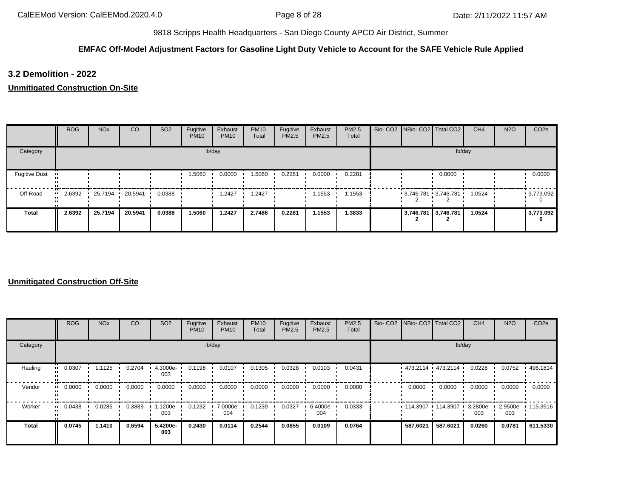## **EMFAC Off-Model Adjustment Factors for Gasoline Light Duty Vehicle to Account for the SAFE Vehicle Rule Applied**

**3.2 Demolition - 2022**

**Unmitigated Construction On-Site**

|                      | ROG    | <b>NO<sub>x</sub></b> | CO              | <b>SO2</b> | Fugitive<br><b>PM10</b> | Exhaust<br><b>PM10</b> | <b>PM10</b><br>Total | Fugitive<br>PM2.5 | Exhaust<br>PM2.5 | PM2.5<br>Total |                     | Bio- CO2   NBio- CO2   Total CO2 | CH <sub>4</sub> | <b>N2O</b> | CO <sub>2e</sub> |
|----------------------|--------|-----------------------|-----------------|------------|-------------------------|------------------------|----------------------|-------------------|------------------|----------------|---------------------|----------------------------------|-----------------|------------|------------------|
| Category             |        |                       |                 |            |                         | lb/day                 |                      |                   |                  |                |                     |                                  | lb/day          |            |                  |
| <b>Fugitive Dust</b> |        |                       |                 |            | 1.5060                  | 0.0000                 | 1.5060               | 0.2281            | 0.0000           | 0.2281         |                     | 0.0000                           |                 |            | 0.0000           |
| Off-Road             | 2.6392 |                       | 25.7194 20.5941 | 0.0388     |                         | 2427. ا                | .2427                |                   | 1.1553           | 1.1553         |                     | $3,746.781$ 3,746.781            | 1.0524          |            | 9,773.092        |
| <b>Total</b>         | 2.6392 | 25.7194               | 20.5941         | 0.0388     | 1.5060                  | 1.2427                 | 2.7486               | 0.2281            | 1.1553           | 1.3833         | 3,746.781 3,746.781 |                                  | 1.0524          |            | 3,773.092<br>0   |

|          | ROG                   | <b>NO<sub>x</sub></b> | CO     | SO <sub>2</sub> | Fugitive<br><b>PM10</b> | Exhaust<br><b>PM10</b> | <b>PM10</b><br>Total | Fugitive<br><b>PM2.5</b> | Exhaust<br>PM2.5 | PM2.5<br>Total |                     | Bio- CO2 NBio- CO2 Total CO2 | CH <sub>4</sub> | <b>N2O</b>      | CO <sub>2e</sub> |
|----------|-----------------------|-----------------------|--------|-----------------|-------------------------|------------------------|----------------------|--------------------------|------------------|----------------|---------------------|------------------------------|-----------------|-----------------|------------------|
| Category |                       |                       |        |                 |                         | lb/day                 |                      |                          |                  |                |                     | lb/day                       |                 |                 |                  |
| Hauling  | 0.0307<br>            | $1.1125$ $\cdot$      | 0.2704 | 4.3000e-<br>003 | 0.1198                  | 0.0107                 | 0.1305               | 0.0328                   | 0.0103           | 0.0431         |                     | $-473.2114 - 473.2114$       | 0.0228          | 0.0752          | 496.1814         |
| Vendor   | $\blacksquare$ 0.0000 | 0.0000                | 0.0000 | 0.0000          | 0.0000                  | 0.0000                 | 0.0000               | 0.0000                   | 0.0000           | 0.0000         | 0.0000              | 0.0000                       | 0.0000          | 0.0000          | 0.0000           |
| Worker   | $\blacksquare$ 0.0438 | 0.0285                | 0.3889 | -1200e.<br>003  | 0.1232                  | 7.0000e-<br>004        | 0.1239               | 0.0327                   | 6.4000e-<br>004  | 0.0333         | $114.3907$ 114.3907 |                              | 3.2800e-<br>003 | 2.9500e-<br>003 | 115.3516         |
| Total    | 0.0745                | 1.1410                | 0.6594 | 5.4200e-<br>003 | 0.2430                  | 0.0114                 | 0.2544               | 0.0655                   | 0.0109           | 0.0764         | 587.6021            | 587.6021                     | 0.0260          | 0.0781          | 611.5330         |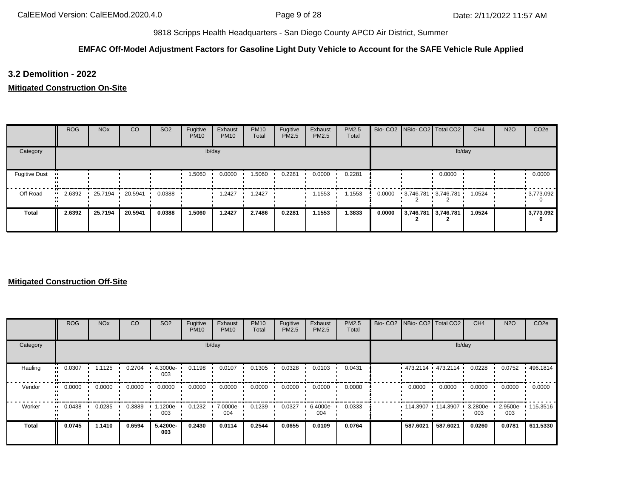## **EMFAC Off-Model Adjustment Factors for Gasoline Light Duty Vehicle to Account for the SAFE Vehicle Rule Applied**

**3.2 Demolition - 2022**

**Mitigated Construction On-Site**

|                      | ROG    | <b>NO<sub>x</sub></b> | CO              | SO <sub>2</sub> | Fugitive<br><b>PM10</b> | Exhaust<br><b>PM10</b> | <b>PM10</b><br>Total | Fugitive<br>PM2.5 | Exhaust<br>PM2.5 | PM2.5<br>Total |        | Bio- CO2   NBio- CO2   Total CO2 |        | CH <sub>4</sub> | <b>N2O</b> | CO <sub>2e</sub> |
|----------------------|--------|-----------------------|-----------------|-----------------|-------------------------|------------------------|----------------------|-------------------|------------------|----------------|--------|----------------------------------|--------|-----------------|------------|------------------|
| Category             |        |                       |                 |                 |                         | lb/day                 |                      |                   |                  |                |        |                                  | lb/day |                 |            |                  |
| <b>Fugitive Dust</b> |        |                       |                 |                 | 1.5060                  | 0.0000                 | 1.5060               | 0.2281            | 0.0000           | 0.2281         |        |                                  | 0.0000 |                 |            | 0.0000           |
| Off-Road             | 2.6392 |                       | 25.7194 20.5941 | 0.0388          |                         | 2427. ا                | .2427                |                   | 1.1553           | 1.1553         | 0.0000 | 3,746.781 3,746.781              |        | 1.0524          |            | 9,773.092        |
| <b>Total</b>         | 2.6392 | 25.7194               | 20.5941         | 0.0388          | 1.5060                  | 1.2427                 | 2.7486               | 0.2281            | 1.1553           | 1.3833         | 0.0000 | 3,746.781 3,746.781              |        | 1.0524          |            | 3,773.092<br>0   |

|              | ROG    | <b>NO<sub>x</sub></b> | <sub>CO</sub> | SO <sub>2</sub> | Fugitive<br><b>PM10</b> | Exhaust<br><b>PM10</b> | <b>PM10</b><br>Total | Fugitive<br>PM2.5 | Exhaust<br>PM2.5 | <b>PM2.5</b><br>Total |                     | Bio- CO2   NBio- CO2   Total CO2 | CH <sub>4</sub> | <b>N2O</b> | CO <sub>2e</sub>  |
|--------------|--------|-----------------------|---------------|-----------------|-------------------------|------------------------|----------------------|-------------------|------------------|-----------------------|---------------------|----------------------------------|-----------------|------------|-------------------|
| Category     |        |                       |               |                 |                         | lb/day                 |                      |                   |                  |                       |                     | lb/day                           |                 |            |                   |
| Hauling      | 0.0307 | 1.1125                | 0.2704        | 4.3000e-<br>003 | 0.1198                  | 0.0107                 | 0.1305               | 0.0328            | 0.0103           | 0.0431                |                     | $473.2114$ $473.2114$            | 0.0228          | 0.0752     | $+496.1814$       |
| Vendor       | 0.0000 | 0.0000                | 0.0000        | 0.0000          | 0.0000                  | 0.0000                 | 0.0000               | 0.0000            | 0.0000           | 0.0000                | 0.0000              | 0.0000                           | 0.0000          | 0.0000     | 0.0000            |
| Worker       | 0.0438 | 0.0285                | 0.3889        | 1.1200e-<br>003 | 0.1232                  | 7.0000e-<br>004        | 0.1239               | 0.0327            | 6.4000e-<br>004  | 0.0333                | $114.3907$ 114.3907 |                                  | 3.2800e-<br>003 | 003        | 2.9500e- 115.3516 |
| <b>Total</b> | 0.0745 | 1.1410                | 0.6594        | 5.4200e-<br>003 | 0.2430                  | 0.0114                 | 0.2544               | 0.0655            | 0.0109           | 0.0764                | 587.6021            | 587.6021                         | 0.0260          | 0.0781     | 611.5330          |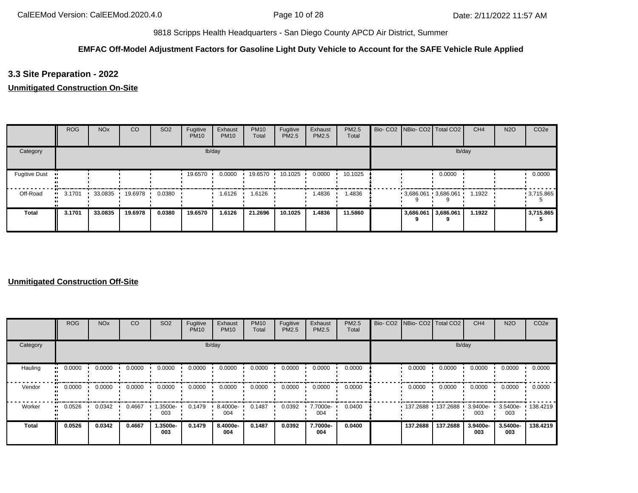## **EMFAC Off-Model Adjustment Factors for Gasoline Light Duty Vehicle to Account for the SAFE Vehicle Rule Applied**

## **3.3 Site Preparation - 2022**

## **Unmitigated Construction On-Site**

|                      | <b>ROG</b> | <b>NO<sub>x</sub></b> | CO              | SO <sub>2</sub> | Fugitive<br><b>PM10</b> | Exhaust<br><b>PM10</b> | <b>PM10</b><br>Total | Fugitive<br>PM2.5 | Exhaust<br><b>PM2.5</b> | <b>PM2.5</b><br>Total |           | Bio- CO2   NBio- CO2   Total CO2 | CH <sub>4</sub> | <b>N2O</b> | CO <sub>2e</sub> |
|----------------------|------------|-----------------------|-----------------|-----------------|-------------------------|------------------------|----------------------|-------------------|-------------------------|-----------------------|-----------|----------------------------------|-----------------|------------|------------------|
| Category             |            |                       |                 |                 |                         | lb/day                 |                      |                   |                         |                       |           | lb/day                           |                 |            |                  |
| <b>Fugitive Dust</b> |            |                       |                 |                 | 19.6570                 | 0.0000                 | 19.6570              | 10.1025           | 0.0000                  | 10.1025               |           | 0.0000                           |                 |            | 0.0000           |
| Off-Road             | 3.1701     |                       | 33.0835 19.6978 | 0.0380          |                         | 1.6126                 | 1.6126               |                   | 1.4836                  | 1.4836                |           | $3,686.061$ 3,686.061            | 1.1922          |            | $-3,715.865$     |
| <b>Total</b>         | 3.1701     | 33.0835               | 19.6978         | 0.0380          | 19.6570                 | 1.6126                 | 21.2696              | 10.1025           | 1.4836                  | 11.5860               | 3,686.061 | 3,686.061                        | 1.1922          |            | 3,715.865        |

|              | ROG    | <b>NO<sub>x</sub></b> | <sub>CO</sub> | SO <sub>2</sub> | Fugitive<br><b>PM10</b> | Exhaust<br><b>PM10</b> | <b>PM10</b><br>Total | Fugitive<br>PM2.5 | Exhaust<br>PM2.5 | <b>PM2.5</b><br>Total | Bio- CO2   NBio- CO2   Total CO2 |          | CH <sub>4</sub> | <b>N2O</b>      | CO <sub>2e</sub> |
|--------------|--------|-----------------------|---------------|-----------------|-------------------------|------------------------|----------------------|-------------------|------------------|-----------------------|----------------------------------|----------|-----------------|-----------------|------------------|
| Category     |        |                       |               |                 |                         | lb/day                 |                      |                   |                  |                       |                                  | lb/day   |                 |                 |                  |
| Hauling      | 0.0000 | 0.0000                | 0.0000        | 0.0000          | 0.0000                  | 0.0000                 | 0.0000               | 0.0000            | 0.0000           | 0.0000                | 0.0000                           | 0.0000   | 0.0000          | 0.0000          | 0.0000           |
| Vendor       | 0.0000 | 0.0000                | 0.0000        | 0.0000          | 0.0000                  | 0.0000                 | 0.0000               | 0.0000            | 0.0000           | 0.0000                | 0.0000                           | 0.0000   | 0.0000          | 0.0000          | 0.0000           |
| Worker       | 0.0526 | 0.0342                | 0.4667        | 1.3500e-<br>003 | 0.1479                  | 8.4000e-<br>004        | 0.1487               | 0.0392            | 7.7000e-<br>004  | 0.0400                | 137.2688                         | 137.2688 | 3.9400e-<br>003 | 3.5400e-<br>003 | $\cdot$ 138.4219 |
| <b>Total</b> | 0.0526 | 0.0342                | 0.4667        | 1.3500e-<br>003 | 0.1479                  | 8.4000e-<br>004        | 0.1487               | 0.0392            | 7.7000e-<br>004  | 0.0400                | 137.2688                         | 137.2688 | 3.9400e-<br>003 | 3.5400e-<br>003 | 138,4219         |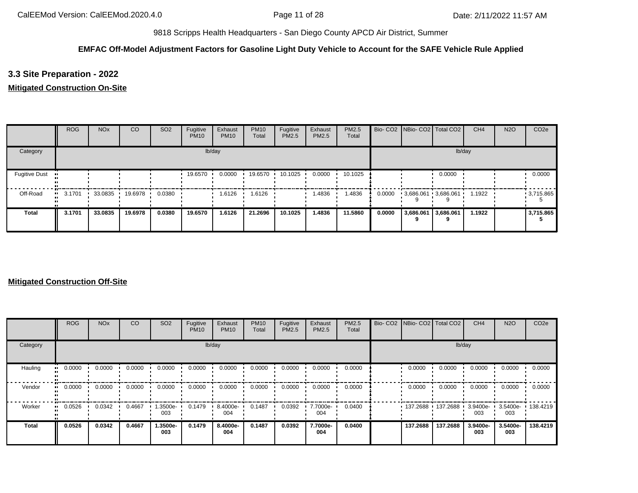## **EMFAC Off-Model Adjustment Factors for Gasoline Light Duty Vehicle to Account for the SAFE Vehicle Rule Applied**

**3.3 Site Preparation - 2022**

## **Mitigated Construction On-Site**

|                      | <b>ROG</b>            | <b>NO<sub>x</sub></b> | <sub>CO</sub>   | SO <sub>2</sub> | Fugitive<br><b>PM10</b> | Exhaust<br><b>PM10</b> | <b>PM10</b><br>Total | Fugitive<br>PM2.5 | Exhaust<br>PM2.5 | PM2.5<br>Total |        | Bio- CO2   NBio- CO2   Total CO2 |                | CH <sub>4</sub> | <b>N2O</b> | CO <sub>2e</sub> |
|----------------------|-----------------------|-----------------------|-----------------|-----------------|-------------------------|------------------------|----------------------|-------------------|------------------|----------------|--------|----------------------------------|----------------|-----------------|------------|------------------|
| Category             |                       |                       |                 |                 |                         | lb/day                 |                      |                   |                  |                |        |                                  |                | lb/day          |            |                  |
| <b>Fugitive Dust</b> |                       |                       |                 |                 | 19.6570                 | 0.0000                 | 19.6570              | 10.1025           | 0.0000           | 10.1025        |        |                                  | 0.0000         |                 |            | 0.0000           |
| Off-Road             | $\blacksquare$ 3.1701 |                       | 33.0835 19.6978 | 0.0380          |                         | 1.6126                 | 1.6126               |                   | 1.4836           | 1.4836         | 0.0000 | 3,686.061 3,686.061              |                | 1.1922          |            | $-3,715.865$     |
| Total                | 3.1701                | 33.0835               | 19.6978         | 0.0380          | 19.6570                 | 1.6126                 | 21.2696              | 10.1025           | 1.4836           | 11.5860        | 0.0000 | 3,686.061                        | 3,686.061<br>q | 1.1922          |            | 3,715.865        |

|              | <b>ROG</b> | <b>NO<sub>x</sub></b> | <sub>CO</sub> | SO <sub>2</sub> | Fugitive<br><b>PM10</b> | Exhaust<br><b>PM10</b> | <b>PM10</b><br>Total | Fugitive<br>PM2.5 | Exhaust<br>PM2.5 | <b>PM2.5</b><br>Total | Bio- CO2   NBio- CO2   Total CO2 |          | CH <sub>4</sub> | <b>N2O</b>      | CO <sub>2e</sub>  |
|--------------|------------|-----------------------|---------------|-----------------|-------------------------|------------------------|----------------------|-------------------|------------------|-----------------------|----------------------------------|----------|-----------------|-----------------|-------------------|
| Category     |            |                       |               |                 |                         | lb/day                 |                      |                   |                  |                       |                                  | lb/day   |                 |                 |                   |
| Hauling      | 0.0000     | 0.0000                | 0.0000        | 0.0000          | 0.0000                  | 0.0000                 | 0.0000               | 0.0000            | 0.0000           | 0.0000                | 0.0000                           | 0.0000   | 0.0000          | 0.0000          | 0.0000            |
| Vendor       | 0.0000     | 0.0000                | 0.0000        | 0.0000          | 0.0000                  | 0.0000                 | 0.0000               | 0.0000            | 0.0000           | 0.0000                | 0.0000                           | 0.0000   | 0.0000          | 0.0000          | 0.0000            |
| Worker       | 0.0526     | 0.0342                | 0.4667        | 1.3500e-<br>003 | 0.1479                  | 8.4000e-<br>004        | 0.1487               | 0.0392            | 7.7000e-<br>004  | 0.0400                | 137.2688                         | 137.2688 | 3.9400e-<br>003 | 003             | 3.5400e- 138.4219 |
| <b>Total</b> | 0.0526     | 0.0342                | 0.4667        | 1.3500e-<br>003 | 0.1479                  | 8.4000e-<br>004        | 0.1487               | 0.0392            | 7.7000e-<br>004  | 0.0400                | 137.2688                         | 137.2688 | 3.9400e-<br>003 | 3.5400e-<br>003 | 138,4219          |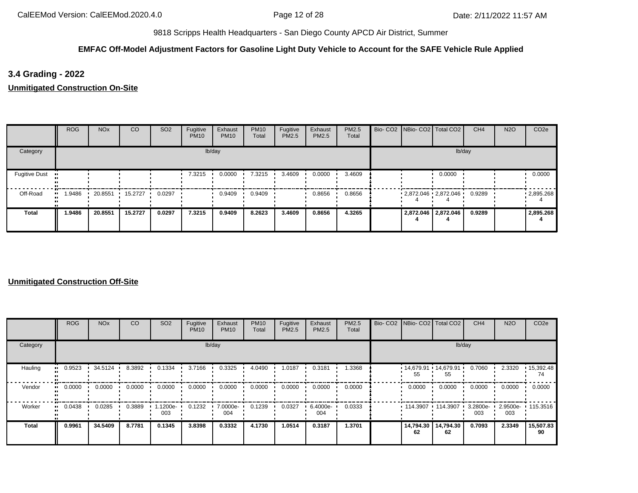## **EMFAC Off-Model Adjustment Factors for Gasoline Light Duty Vehicle to Account for the SAFE Vehicle Rule Applied**

## **3.4 Grading - 2022**

**Unmitigated Construction On-Site**

|                      | <b>ROG</b> | <b>NO<sub>x</sub></b> | CO      | SO <sub>2</sub> | Fugitive<br><b>PM10</b> | Exhaust<br><b>PM10</b> | <b>PM10</b><br>Total | Fugitive<br>PM2.5 | Exhaust<br>PM2.5 | PM2.5<br>Total | Bio- CO2   NBio- CO2   Total CO2 |                     | CH <sub>4</sub> | <b>N2O</b> | CO <sub>2e</sub> |
|----------------------|------------|-----------------------|---------|-----------------|-------------------------|------------------------|----------------------|-------------------|------------------|----------------|----------------------------------|---------------------|-----------------|------------|------------------|
| Category             |            |                       |         |                 |                         | lb/day                 |                      |                   |                  |                |                                  |                     | lb/day          |            |                  |
| <b>Fugitive Dust</b> |            |                       |         |                 | 7.3215                  | 0.0000                 | 7.3215               | 3.4609            | 0.0000           | 3.4609         |                                  | 0.0000              |                 |            | 0.0000           |
| Off-Road             | .9486      | 20.8551               | 15.2727 | 0.0297          |                         | 0.9409                 | 0.9409               |                   | 0.8656           | 0.8656         | $2,872.046$ $2,872.046$          |                     | 0.9289          |            | .2895.268        |
| <b>Total</b>         | 1.9486     | 20.8551               | 15.2727 | 0.0297          | 7.3215                  | 0.9409                 | 8.2623               | 3.4609            | 0.8656           | 4.3265         |                                  | 2,872.046 2,872.046 | 0.9289          |            | 2,895.268        |

|              | ROG    | <b>NO<sub>x</sub></b> | CO     | SO <sub>2</sub> | Fugitive<br><b>PM10</b> | Exhaust<br><b>PM10</b> | <b>PM10</b><br>Total | Fugitive<br>PM2.5 | Exhaust<br>PM2.5 | <b>PM2.5</b><br>Total |                 | Bio- CO2   NBio- CO2   Total CO2 | CH <sub>4</sub> | <b>N2O</b>                          | CO <sub>2e</sub> |
|--------------|--------|-----------------------|--------|-----------------|-------------------------|------------------------|----------------------|-------------------|------------------|-----------------------|-----------------|----------------------------------|-----------------|-------------------------------------|------------------|
| Category     |        |                       |        |                 |                         | lb/day                 |                      |                   |                  |                       |                 | lb/day                           |                 |                                     |                  |
| Hauling      | 0.9523 | 34.5124               | 8.3892 | 0.1334          | 3.7166                  | 0.3325                 | 4.0490               | 1.0187            | 0.3181           | 1.3368                | 55              | $14,679.91$ 14,679.91<br>55      | 0.7060          | 2.3320                              | 15,392.48<br>74  |
| Vendor       | 0.0000 | 0.0000                | 0.0000 | 0.0000          | 0.0000                  | 0.0000                 | 0.0000               | 0.0000            | 0.0000           | 0.0000                | 0.0000          | 0.0000                           | 0.0000          | 0.0000                              | 0.0000           |
| Worker       | 0.0438 | 0.0285                | 0.3889 | 1.1200e-<br>003 | 0.1232                  | 7.0000e-<br>004        | 0.1239               | 0.0327            | 6.4000e-<br>004  | 0.0333                |                 | $114.3907$ 114.3907              | 003             | 3.2800e- 1 2.9500e- 115.3516<br>003 |                  |
| <b>Total</b> | 0.9961 | 34.5409               | 8.7781 | 0.1345          | 3.8398                  | 0.3332                 | 4.1730               | 1.0514            | 0.3187           | 1.3701                | 14,794.30<br>62 | 14,794.30<br>62                  | 0.7093          | 2.3349                              | 15,507.83<br>90  |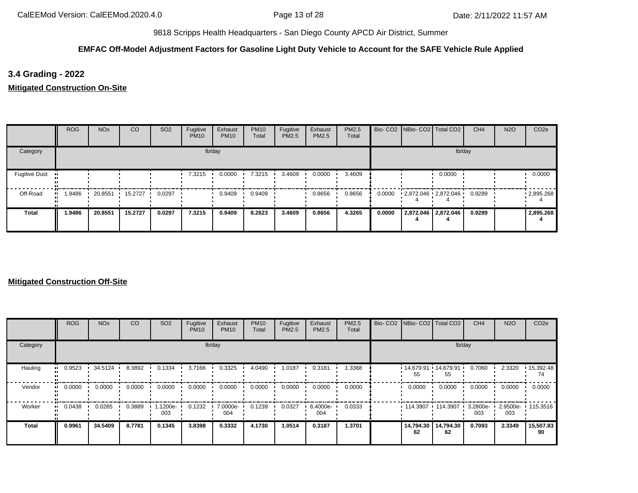## **EMFAC Off-Model Adjustment Factors for Gasoline Light Duty Vehicle to Account for the SAFE Vehicle Rule Applied**

**3.4 Grading - 2022**

**Mitigated Construction On-Site**

|                      | <b>ROG</b> | <b>NO<sub>x</sub></b> | CO      | SO <sub>2</sub> | Fugitive<br><b>PM10</b> | Exhaust<br><b>PM10</b> | <b>PM10</b><br>Total | Fugitive<br>PM2.5 | Exhaust<br>PM2.5 | PM2.5<br>Total |        | Bio- CO2   NBio- CO2   Total CO2 |                     | CH <sub>4</sub> | <b>N2O</b> | CO <sub>2e</sub> |
|----------------------|------------|-----------------------|---------|-----------------|-------------------------|------------------------|----------------------|-------------------|------------------|----------------|--------|----------------------------------|---------------------|-----------------|------------|------------------|
| Category             |            |                       |         |                 |                         | lb/day                 |                      |                   |                  |                |        |                                  | lb/day              |                 |            |                  |
| <b>Fugitive Dust</b> |            |                       |         |                 | 7.3215                  | 0.0000                 | 7.3215               | 3.4609            | 0.0000           | 3.4609         |        |                                  | 0.0000              |                 |            | 0.0000           |
| Off-Road             | .9486      | 20.8551               | 15.2727 | 0.0297          |                         | 0.9409                 | 0.9409               |                   | 0.8656           | 0.8656         | 0.0000 | $2,872.046$ $2,872.046$          |                     | 0.9289          |            | .2895.268        |
| <b>Total</b>         | 1.9486     | 20.8551               | 15.2727 | 0.0297          | 7.3215                  | 0.9409                 | 8.2623               | 3.4609            | 0.8656           | 4.3265         | 0.0000 |                                  | 2,872.046 2,872.046 | 0.9289          |            | 2,895.268        |

|              | ROG    | <b>NO<sub>x</sub></b> | <sub>CO</sub> | SO <sub>2</sub> | Fugitive<br><b>PM10</b> | Exhaust<br><b>PM10</b> | <b>PM10</b><br>Total | Fugitive<br>PM2.5 | Exhaust<br>PM2.5 | <b>PM2.5</b><br>Total | Bio- CO2   NBio- CO2   Total CO2 |                 | CH <sub>4</sub> | <b>N2O</b> | CO <sub>2e</sub>        |
|--------------|--------|-----------------------|---------------|-----------------|-------------------------|------------------------|----------------------|-------------------|------------------|-----------------------|----------------------------------|-----------------|-----------------|------------|-------------------------|
| Category     |        |                       |               |                 |                         | lb/day                 |                      |                   |                  |                       |                                  |                 | lb/day          |            |                         |
| Hauling      | 0.9523 | 34.5124               | 8.3892        | 0.1334          | 3.7166                  | 0.3325                 | 4.0490               | 1.0187            | 0.3181           | 1.3368                | $14,679.91$ 14,679.91<br>55      | 55              | 0.7060          | 2.3320     | $\cdot$ 15,392.48<br>74 |
| Vendor       | 0.0000 | 0.0000                | 0.0000        | 0.0000          | 0.0000                  | 0.0000                 | 0.0000               | 0.0000            | 0.0000           | 0.0000                | 0.0000                           | 0.0000          | 0.0000          | 0.0000     | 0.0000                  |
| Worker       | 0.0438 | 0.0285                | 0.3889        | 1.1200e-<br>003 | 0.1232                  | 7.0000e-<br>004        | 0.1239               | 0.0327            | 6.4000e-<br>004  | 0.0333                | $114.3907$ 114.3907              |                 | 3.2800e-<br>003 | 003        | 2.9500e- 115.3516       |
| <b>Total</b> | 0.9961 | 34.5409               | 8.7781        | 0.1345          | 3.8398                  | 0.3332                 | 4.1730               | 1.0514            | 0.3187           | 1.3701                | 14,794.30<br>62                  | 14,794.30<br>62 | 0.7093          | 2.3349     | 15,507.83<br>90         |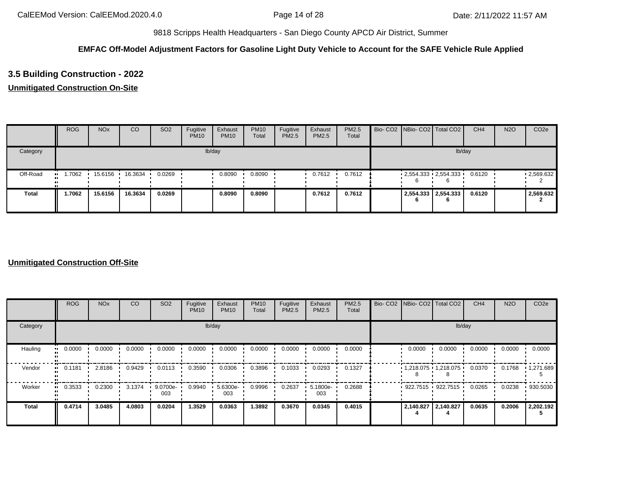## **EMFAC Off-Model Adjustment Factors for Gasoline Light Duty Vehicle to Account for the SAFE Vehicle Rule Applied**

# **3.5 Building Construction - 2022**

## **Unmitigated Construction On-Site**

|              | <b>ROG</b> | <b>NO<sub>x</sub></b> | CO      | SO <sub>2</sub> | Fugitive<br><b>PM10</b> | Exhaust<br><b>PM10</b> | <b>PM10</b><br>Total | Fugitive<br>PM2.5 | Exhaust<br>PM2.5 | <b>PM2.5</b><br>Total |  | Bio- CO2 NBio- CO2 Total CO2 | CH <sub>4</sub> | <b>N2O</b> | CO <sub>2e</sub> |
|--------------|------------|-----------------------|---------|-----------------|-------------------------|------------------------|----------------------|-------------------|------------------|-----------------------|--|------------------------------|-----------------|------------|------------------|
| Category     |            |                       |         |                 |                         | lb/day                 |                      |                   |                  |                       |  | lb/day                       |                 |            |                  |
| Off-Road     | .7062      | 15.6156               | 16.3634 | 0.0269          |                         | 0.8090                 | 0.8090               |                   | 0.7612           | 0.7612                |  | $2,554.333$ $2,554.333$      | 0.6120          |            | .2,569.632       |
| <b>Total</b> | 1.7062     | 15.6156               | 16.3634 | 0.0269          |                         | 0.8090                 | 0.8090               |                   | 0.7612           | 0.7612                |  | 2,554.333 2,554.333<br>6     | 0.6120          |            | 2,569.632        |

|                     | <b>ROG</b> | <b>NO<sub>x</sub></b> | CO     | SO <sub>2</sub> | Fugitive<br><b>PM10</b> | Exhaust<br><b>PM10</b> | <b>PM10</b><br>Total | Fugitive<br>PM2.5 | Exhaust<br>PM2.5 | PM2.5<br>Total | Bio- CO2 NBio- CO2 Total CO2 |        | CH <sub>4</sub> | <b>N2O</b> | CO <sub>2e</sub>  |
|---------------------|------------|-----------------------|--------|-----------------|-------------------------|------------------------|----------------------|-------------------|------------------|----------------|------------------------------|--------|-----------------|------------|-------------------|
| Category            |            |                       |        |                 |                         | lb/day                 |                      |                   |                  |                |                              | lb/day |                 |            |                   |
| Hauling<br>ш.       | 0.0000     | 0.0000                | 0.0000 | 0.0000          | 0.0000                  | 0.0000                 | 0.0000               | 0.0000            | 0.0000           | 0.0000         | 0.0000                       | 0.0000 | 0.0000          | 0.0000     | 0.0000            |
| Vendor<br>$\bullet$ | 0.1181     | 2.8186                | 0.9429 | 0.0113          | 0.3590                  | 0.0306                 | 0.3896               | 0.1033            | 0.0293           | 0.1327         | $1,218.075$ $1,218.075$      |        | 0.0370          | 0.1768     | $\cdot$ 1,271.689 |
| Worker              | 0.3533     | 0.2300                | 3.1374 | 9.0700e-<br>003 | 0.9940                  | 5.6300e-<br>003        | 0.9996               | 0.2637            | 5.1800e-<br>003  | 0.2688         | $922.7515$ 922.7515          |        | 0.0265          | 0.0238     | 930.5030          |
| <b>Total</b>        | 0.4714     | 3.0485                | 4.0803 | 0.0204          | 1.3529                  | 0.0363                 | 1.3892               | 0.3670            | 0.0345           | 0.4015         | 2,140.827 2,140.827          |        | 0.0635          | 0.2006     | 2,202.192         |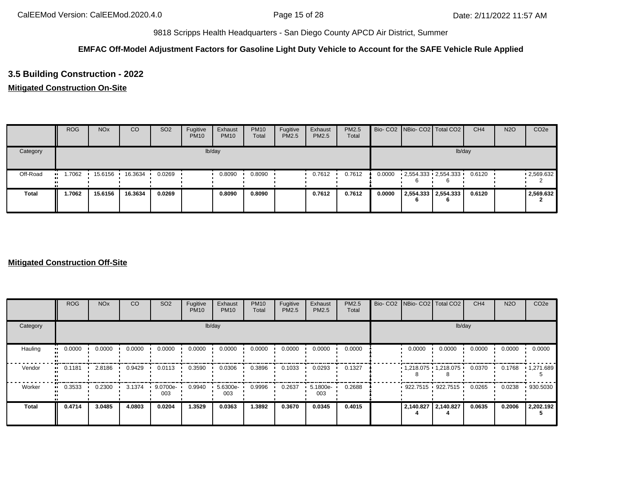## **EMFAC Off-Model Adjustment Factors for Gasoline Light Duty Vehicle to Account for the SAFE Vehicle Rule Applied**

# **3.5 Building Construction - 2022**

## **Mitigated Construction On-Site**

|              | <b>ROG</b> | <b>NO<sub>x</sub></b> | CO      | SO <sub>2</sub> | Fugitive<br><b>PM10</b> | Exhaust<br><b>PM10</b> | <b>PM10</b><br>Total | Fugitive<br>PM2.5 | Exhaust<br><b>PM2.5</b> | <b>PM2.5</b><br>Total |        | Bio- CO2 NBio- CO2 Total CO2 | CH <sub>4</sub> | <b>N2O</b> | CO <sub>2e</sub> |
|--------------|------------|-----------------------|---------|-----------------|-------------------------|------------------------|----------------------|-------------------|-------------------------|-----------------------|--------|------------------------------|-----------------|------------|------------------|
| Category     |            |                       |         |                 |                         | lb/day                 |                      |                   |                         |                       |        | lb/day                       |                 |            |                  |
| Off-Road     | .7062      | 15.6156               | 16.3634 | 0.0269          |                         | 0.8090                 | 0.8090               |                   | 0.7612                  | 0.7612                | 0.0000 | 2,554.333 2,554.333          | 0.6120          |            | .2,569.632       |
| <b>Total</b> | 1.7062     | 15.6156               | 16.3634 | 0.0269          |                         | 0.8090                 | 0.8090               |                   | 0.7612                  | 0.7612                | 0.0000 | 2,554.333 2,554.333<br>6     | 0.6120          |            | 2,569.632        |

|                        | <b>ROG</b>                 | <b>NO<sub>x</sub></b> | CO     | SO <sub>2</sub> | Fugitive<br><b>PM10</b> | Exhaust<br><b>PM10</b> | <b>PM10</b><br>Total | Fugitive<br><b>PM2.5</b> | Exhaust<br>PM2.5 | <b>PM2.5</b><br>Total | Bio- CO2 NBio- CO2 Total CO2 |                       | CH <sub>4</sub> | <b>N2O</b> | CO <sub>2e</sub> |
|------------------------|----------------------------|-----------------------|--------|-----------------|-------------------------|------------------------|----------------------|--------------------------|------------------|-----------------------|------------------------------|-----------------------|-----------------|------------|------------------|
| Category               |                            |                       |        |                 |                         | lb/day                 |                      |                          |                  |                       |                              | lb/day                |                 |            |                  |
| Hauling                | 0.0000<br>$\bullet\bullet$ | 0.0000                | 0.0000 | 0.0000          | 0.0000                  | 0.0000                 | 0.0000               | 0.0000                   | 0.0000           | 0.0000                | 0.0000                       | 0.0000                | 0.0000          | 0.0000     | 0.0000           |
| Vendor<br>$\mathbf{u}$ | 0.1181                     | 2.8186                | 0.9429 | 0.0113          | 0.3590                  | 0.0306                 | 0.3896               | 0.1033                   | 0.0293           | 0.1327                |                              | 1,218.075 1,218.075 ' | 0.0370          | 0.1768     | 1,271.689        |
| Worker<br>$\bullet$    | 0.3533                     | 0.2300                | 3.1374 | 9.0700e-<br>003 | 0.9940                  | 5.6300e-<br>003        | 0.9996               | 0.2637                   | 5.1800e-<br>003  | 0.2688                |                              | 922.7515 922.7515 '   | 0.0265          | 0.0238     | .930.5030        |
| <b>Total</b>           | 0.4714                     | 3.0485                | 4.0803 | 0.0204          | 1.3529                  | 0.0363                 | 1.3892               | 0.3670                   | 0.0345           | 0.4015                | 2,140.827                    | 2,140.827             | 0.0635          | 0.2006     | 2,202.192        |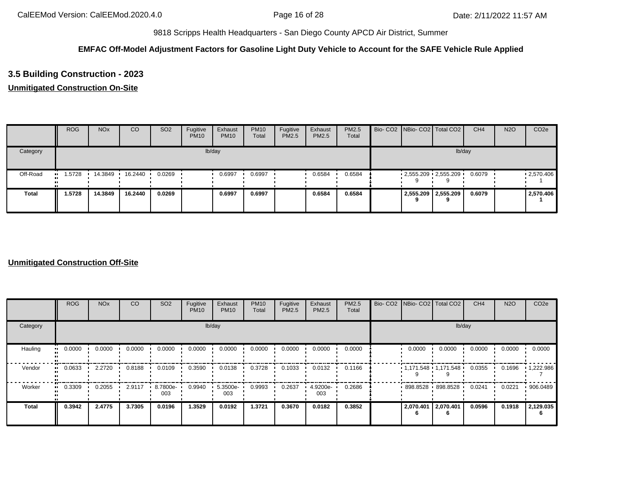## **EMFAC Off-Model Adjustment Factors for Gasoline Light Duty Vehicle to Account for the SAFE Vehicle Rule Applied**

# **3.5 Building Construction - 2023**

## **Unmitigated Construction On-Site**

|              | <b>ROG</b> | <b>NO<sub>x</sub></b> | <sub>CO</sub> | SO <sub>2</sub> | Fugitive<br><b>PM10</b> | Exhaust<br><b>PM10</b> | <b>PM10</b><br>Total | Fugitive<br>PM2.5 | Exhaust<br>PM2.5 | <b>PM2.5</b><br>Total |  | Bio- CO2 NBio- CO2 Total CO2 | CH <sub>4</sub> | <b>N2O</b> | CO <sub>2e</sub> |
|--------------|------------|-----------------------|---------------|-----------------|-------------------------|------------------------|----------------------|-------------------|------------------|-----------------------|--|------------------------------|-----------------|------------|------------------|
| Category     |            |                       |               |                 |                         | lb/day                 |                      |                   |                  |                       |  | lb/day                       |                 |            |                  |
| Off-Road     | .5728      | 14.3849               | 16.2440 ·     | 0.0269          |                         | 0.6997                 | 0.6997               |                   | 0.6584           | 0.6584                |  | $2,555.209$ $2,555.209$      | 0.6079          |            | .2,570.406       |
| <b>Total</b> | 1.5728     | 14.3849               | 16.2440       | 0.0269          |                         | 0.6997                 | 0.6997               |                   | 0.6584           | 0.6584                |  | 2,555.209 2,555.209<br>a     | 0.6079          |            | 2,570.406        |

|                     | <b>ROG</b> | <b>NO<sub>x</sub></b> | CO     | SO <sub>2</sub> | Fugitive<br><b>PM10</b> | Exhaust<br><b>PM10</b> | <b>PM10</b><br>Total | Fugitive<br>PM2.5 | Exhaust<br>PM2.5 | PM2.5<br>Total | Bio- CO2 NBio- CO2 Total CO2 |        | CH <sub>4</sub> | <b>N2O</b> | CO <sub>2e</sub>  |
|---------------------|------------|-----------------------|--------|-----------------|-------------------------|------------------------|----------------------|-------------------|------------------|----------------|------------------------------|--------|-----------------|------------|-------------------|
| Category            |            |                       |        |                 | lb/day                  |                        |                      |                   |                  |                |                              | lb/day |                 |            |                   |
| Hauling<br>ш.       | 0.0000     | 0.0000                | 0.0000 | 0.0000          | 0.0000                  | 0.0000                 | 0.0000               | 0.0000            | 0.0000           | 0.0000         | 0.0000                       | 0.0000 | 0.0000          | 0.0000     | 0.0000            |
| Vendor<br>$\bullet$ | 0.0633     | 2.2720                | 0.8188 | 0.0109          | 0.3590                  | 0.0138                 | 0.3728               | 0.1033            | 0.0132           | 0.1166         | $1,171.548$ $1,171.548$      |        | 0.0355          | 0.1696     | $\cdot$ 1,222.986 |
| Worker<br>$\bullet$ | 0.3309     | 0.2055                | 2.9117 | 8.7800e-<br>003 | 0.9940                  | 5.3500e-<br>003        | 0.9993               | 0.2637            | 4.9200e-<br>003  | 0.2686         | 898.8528 898.8528            |        | 0.0241          | 0.0221     | .906.0489         |
| <b>Total</b>        | 0.3942     | 2.4775                | 3.7305 | 0.0196          | 1.3529                  | 0.0192                 | 1.3721               | 0.3670            | 0.0182           | 0.3852         | 2,070.401 2,070.401          |        | 0.0596          | 0.1918     | 2,129.035         |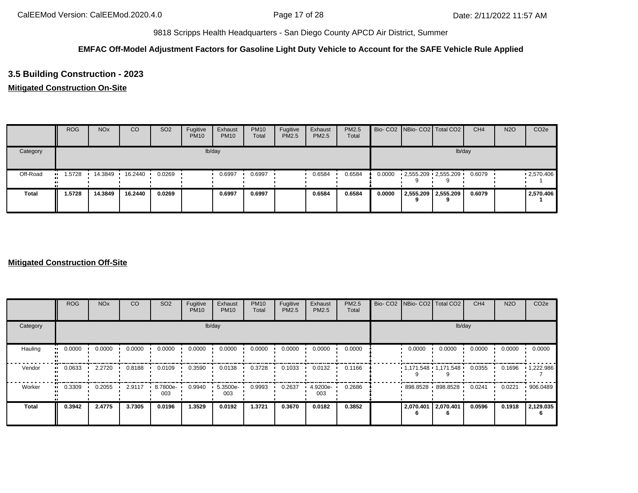## **EMFAC Off-Model Adjustment Factors for Gasoline Light Duty Vehicle to Account for the SAFE Vehicle Rule Applied**

# **3.5 Building Construction - 2023**

## **Mitigated Construction On-Site**

|              | <b>ROG</b> | <b>NO<sub>x</sub></b> | CO        | SO <sub>2</sub> | Fugitive<br><b>PM10</b> | Exhaust<br><b>PM10</b> | <b>PM10</b><br>Total | Fugitive<br>PM2.5 | Exhaust<br>PM2.5 | <b>PM2.5</b><br>Total |        |   | Bio- CO2   NBio- CO2   Total CO2 | CH <sub>4</sub> | <b>N2O</b> | CO <sub>2e</sub> |
|--------------|------------|-----------------------|-----------|-----------------|-------------------------|------------------------|----------------------|-------------------|------------------|-----------------------|--------|---|----------------------------------|-----------------|------------|------------------|
| Category     |            |                       |           |                 |                         | lb/day                 |                      |                   |                  |                       |        |   |                                  | lb/day          |            |                  |
| Off-Road     | 1.5728<br> | 14.3849               | 16.2440 · | 0.0269          |                         | 0.6997                 | 0.6997               |                   | 0.6584           | 0.6584                | 0.0000 |   | $2,555.209$ $2,555.209$          | 0.6079          |            | .2570.406        |
| <b>Total</b> | 1.5728     | 14.3849               | 16.2440   | 0.0269          |                         | 0.6997                 | 0.6997               |                   | 0.6584           | 0.6584                | 0.0000 | 9 | 2,555.209 2,555.209              | 0.6079          |            | 2,570.406        |

|                             | <b>ROG</b> | <b>NO<sub>x</sub></b> | CO     | SO <sub>2</sub> | Fugitive<br><b>PM10</b> | Exhaust<br><b>PM10</b> | <b>PM10</b><br>Total | Fugitive<br>PM2.5 | Exhaust<br>PM2.5 | PM2.5<br>Total | Bio- CO2   NBio- CO2   Total CO2 |           | CH <sub>4</sub> | <b>N2O</b> | CO <sub>2e</sub>  |
|-----------------------------|------------|-----------------------|--------|-----------------|-------------------------|------------------------|----------------------|-------------------|------------------|----------------|----------------------------------|-----------|-----------------|------------|-------------------|
| Category                    |            |                       |        |                 |                         | lb/day                 |                      |                   |                  |                |                                  | lb/day    |                 |            |                   |
| Hauling<br>$\bullet\bullet$ | 0.0000     | 0.0000                | 0.0000 | 0.0000          | 0.0000                  | 0.0000                 | 0.0000               | 0.0000            | 0.0000           | 0.0000         | 0.0000                           | 0.0000    | 0.0000          | 0.0000     | 0.0000            |
| Vendor<br>$\mathbf{u}$      | 0.0633     | 2.2720                | 0.8188 | 0.0109          | 0.3590                  | 0.0138                 | 0.3728               | 0.1033            | 0.0132           | 0.1166         | $1,171.548$ $1,171.548$          |           | 0.0355          | 0.1696     | $\cdot$ 1,222.986 |
| Worker<br>$\bullet$         | 0.3309     | 0.2055                | 2.9117 | 8.7800e-<br>003 | 0.9940                  | $5.3500e-$<br>003      | 0.9993               | 0.2637            | 4.9200e-<br>003  | 0.2686         | 898.8528 898.8528                |           | 0.0241          | 0.0221     | .906.0489         |
| <b>Total</b>                | 0.3942     | 2.4775                | 3.7305 | 0.0196          | 1.3529                  | 0.0192                 | 1.3721               | 0.3670            | 0.0182           | 0.3852         | 2,070.401                        | 2,070.401 | 0.0596          | 0.1918     | 2,129.035         |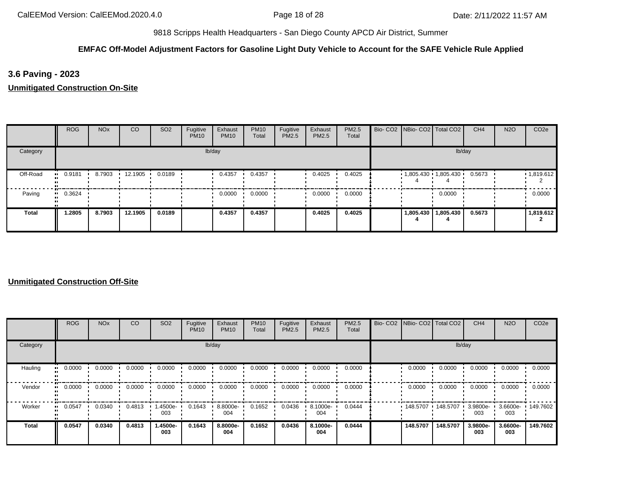## **EMFAC Off-Model Adjustment Factors for Gasoline Light Duty Vehicle to Account for the SAFE Vehicle Rule Applied**

**3.6 Paving - 2023**

**Unmitigated Construction On-Site**

|          | <b>ROG</b>            | <b>NO<sub>x</sub></b> | CO      | SO <sub>2</sub> | Fugitive<br><b>PM10</b> | Exhaust<br><b>PM10</b> | <b>PM10</b><br>Total | Fugitive<br>PM2.5 | Exhaust<br>PM2.5 | PM2.5<br>Total | Bio- CO2   NBio- CO2   Total CO2 |                       | CH <sub>4</sub> | <b>N2O</b> | CO <sub>2e</sub> |
|----------|-----------------------|-----------------------|---------|-----------------|-------------------------|------------------------|----------------------|-------------------|------------------|----------------|----------------------------------|-----------------------|-----------------|------------|------------------|
| Category |                       |                       |         |                 |                         | lb/day                 |                      |                   |                  |                |                                  | lb/day                |                 |            |                  |
| Off-Road | $-0.9181$             | 8.7903                | 12.1905 | 0.0189          |                         | 0.4357                 | 0.4357               |                   | 0.4025           | 0.4025         | $1,805.430$ 1,805.430            |                       | 0.5673          |            | 1,819.612        |
| Paving   | $\blacksquare$ 0.3624 |                       |         |                 |                         | 0.0000                 | 0.0000               |                   | 0.0000           | 0.0000         |                                  | 0.0000                |                 |            | 0.0000           |
| Total    | 1.2805                | 8.7903                | 12.1905 | 0.0189          |                         | 0.4357                 | 0.4357               |                   | 0.4025           | 0.4025         |                                  | 1,805.430   1,805.430 | 0.5673          |            | 1,819.612        |

|          | <b>ROG</b>            | <b>NO<sub>x</sub></b> | <b>CO</b> | SO <sub>2</sub> | Fugitive<br><b>PM10</b> | Exhaust<br><b>PM10</b> | <b>PM10</b><br>Total | Fugitive<br><b>PM2.5</b> | Exhaust<br>PM2.5 | PM2.5<br>Total | Bio- CO2   NBio- CO2   Total CO2 |          | CH <sub>4</sub>    | <b>N2O</b>      | CO <sub>2e</sub>  |
|----------|-----------------------|-----------------------|-----------|-----------------|-------------------------|------------------------|----------------------|--------------------------|------------------|----------------|----------------------------------|----------|--------------------|-----------------|-------------------|
| Category |                       |                       |           |                 |                         | lb/day                 |                      |                          |                  |                |                                  | lb/day   |                    |                 |                   |
| Hauling  | 0.0000<br>            | 0.0000                | 0.0000    | 0.0000          | 0.0000                  | 0.0000                 | 0.0000               | 0.0000                   | 0.0000           | 0.0000         | 0.0000                           | 0.0000   | 0.0000             | 0.0000          | 0.0000            |
| Vendor   | $\blacksquare$ 0.0000 | 0.0000                | 0.0000    | 0.0000          | 0.0000                  | 0.0000                 | 0.0000               | 0.0000                   | 0.0000           | 0.0000         | 0.0000                           | 0.0000   | 0.0000             | 0.0000          | 0.0000            |
| Worker   | 0.0547<br>            | 0.0340                | 0.4813    | .4500e-<br>003  | 0.1643                  | 8.8000e-<br>004        | 0.1652               | 0.0436                   | 8.1000e-<br>004  | 0.0444         | 148.5707 ·                       | 148.5707 | $3.9800e -$<br>003 | 003             | 3.6600e- 149.7602 |
| Total    | 0.0547                | 0.0340                | 0.4813    | -4500e.<br>003  | 0.1643                  | 8.8000e-<br>004        | 0.1652               | 0.0436                   | 8.1000e-<br>004  | 0.0444         | 148,5707                         | 148.5707 | 3.9800e-<br>003    | 3.6600e-<br>003 | 149.7602          |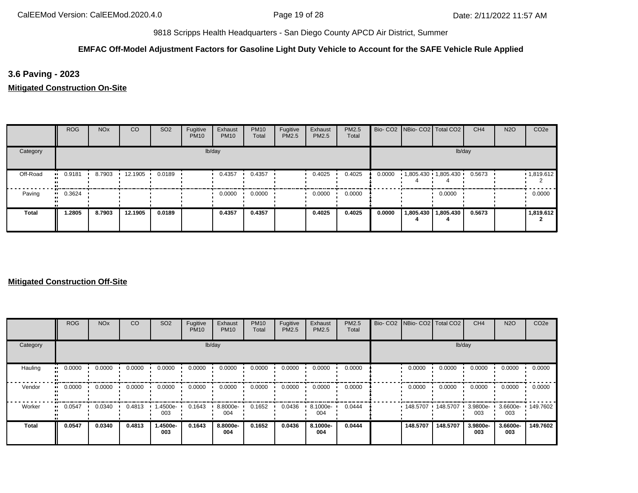## **EMFAC Off-Model Adjustment Factors for Gasoline Light Duty Vehicle to Account for the SAFE Vehicle Rule Applied**

**3.6 Paving - 2023**

**Mitigated Construction On-Site**

|              | <b>ROG</b>             | <b>NO<sub>x</sub></b> | CO      | SO <sub>2</sub> | Fugitive<br><b>PM10</b> | Exhaust<br><b>PM10</b> | <b>PM10</b><br>Total | Fugitive<br>PM2.5 | Exhaust<br><b>PM2.5</b> | PM2.5<br>Total |        | Bio- CO2   NBio- CO2   Total CO2 |                       | CH <sub>4</sub> | <b>N2O</b> | CO <sub>2e</sub> |
|--------------|------------------------|-----------------------|---------|-----------------|-------------------------|------------------------|----------------------|-------------------|-------------------------|----------------|--------|----------------------------------|-----------------------|-----------------|------------|------------------|
| Category     |                        |                       |         |                 |                         | lb/day                 |                      |                   |                         |                |        |                                  |                       | lb/day          |            |                  |
| Off-Road     | 0.9181<br>             | 8.7903                | 12.1905 | 0.0189          |                         | 0.4357                 | 0.4357               |                   | 0.4025                  | 0.4025         | 0.0000 | $1,805.430$ 1,805.430            |                       | 0.5673          |            | 1,819.612        |
| Paving       | 0.3624<br>$\mathbf{u}$ |                       |         |                 |                         | 0.0000                 | 0.0000               |                   | 0.0000                  | 0.0000         |        |                                  | 0.0000                |                 |            | 0.0000           |
| <b>Total</b> | 1.2805                 | 8.7903                | 12.1905 | 0.0189          |                         | 0.4357                 | 0.4357               |                   | 0.4025                  | 0.4025         | 0.0000 |                                  | 1,805.430   1,805.430 | 0.5673          |            | 1,819.612        |

|          | <b>ROG</b>            | <b>NO<sub>x</sub></b> | CO     | SO <sub>2</sub> | Fugitive<br><b>PM10</b> | Exhaust<br><b>PM10</b> | <b>PM10</b><br>Total | Fugitive<br><b>PM2.5</b> | Exhaust<br>PM2.5 | PM2.5<br>Total | Bio- CO2 NBio- CO2 Total CO2 |          | CH <sub>4</sub>    | <b>N2O</b>         | CO <sub>2e</sub> |
|----------|-----------------------|-----------------------|--------|-----------------|-------------------------|------------------------|----------------------|--------------------------|------------------|----------------|------------------------------|----------|--------------------|--------------------|------------------|
| Category |                       |                       |        |                 |                         | lb/day                 |                      |                          |                  |                |                              | lb/day   |                    |                    |                  |
| Hauling  | 0.0000<br>            | 0.0000                | 0.0000 | 0.0000          | 0.0000                  | 0.0000                 | 0.0000               | 0.0000                   | 0.0000           | 0.0000         | 0.0000                       | 0.0000   | 0.0000             | 0.0000             | 0.0000           |
| Vendor   | $\blacksquare$ 0.0000 | 0.0000                | 0.0000 | 0.0000          | 0.0000                  | 0.0000                 | 0.0000               | 0.0000                   | 0.0000           | 0.0000         | 0.0000                       | 0.0000   | 0.0000             | 0.0000             | 0.0000           |
| Worker   | 0.0547<br>            | 0.0340                | 0.4813 | -4500e-<br>003  | 0.1643                  | 8.8000e-<br>004        | 0.1652               | 0.0436                   | 8.1000e-<br>004  | 0.0444         | 148.5707                     | 148.5707 | $3.9800e -$<br>003 | $3.6600e -$<br>003 | 149.7602         |
| Total    | 0.0547                | 0.0340                | 0.4813 | -.4500e<br>003  | 0.1643                  | 8.8000e-<br>004        | 0.1652               | 0.0436                   | 8.1000e-<br>004  | 0.0444         | 148,5707                     | 148,5707 | 3.9800e-<br>003    | 3.6600e-<br>003    | 149.7602         |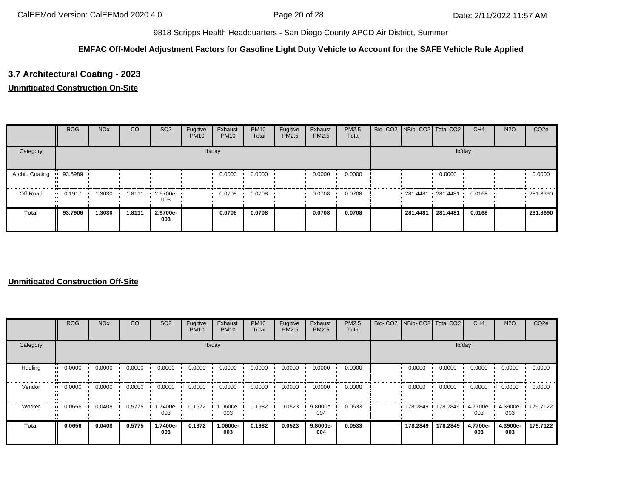## **EMFAC Off-Model Adjustment Factors for Gasoline Light Duty Vehicle to Account for the SAFE Vehicle Rule Applied**

# **3.7 Architectural Coating - 2023**

## **Unmitigated Construction On-Site**

|                           | <b>ROG</b> | <b>NO<sub>x</sub></b> | <sub>CO</sub> | SO <sub>2</sub>    | Fugitive<br><b>PM10</b> | Exhaust<br><b>PM10</b> | <b>PM10</b><br>Total | Fugitive<br>PM2.5 | Exhaust<br>PM2.5 | <b>PM2.5</b><br>Total | Bio- CO2 NBio- CO2 Total CO2 |          | CH <sub>4</sub> | <b>N2O</b> | CO <sub>2e</sub> |
|---------------------------|------------|-----------------------|---------------|--------------------|-------------------------|------------------------|----------------------|-------------------|------------------|-----------------------|------------------------------|----------|-----------------|------------|------------------|
| Category                  |            |                       |               |                    |                         | lb/day                 |                      |                   |                  |                       |                              | lb/day   |                 |            |                  |
| Archit. Coating " 93.5989 |            |                       |               |                    |                         | 0.0000                 | 0.0000               |                   | 0.0000           | 0.0000                |                              | 0.0000   |                 |            | 0.0000           |
| Off-Road                  | 0.1917     | 1.3030                | 1.8111        | $-2.9700e-$<br>003 |                         | 0.0708                 | 0.0708               |                   | 0.0708           | 0.0708                | $-281.4481 - 281.4481$       |          | 0.0168          |            | .281.8690        |
| <b>Total</b>              | 93.7906    | 1.3030                | 1.8111        | 2.9700e-<br>003    |                         | 0.0708                 | 0.0708               |                   | 0.0708           | 0.0708                | 281.4481                     | 281.4481 | 0.0168          |            | 281.8690         |

|          | <b>ROG</b>            | <b>NO<sub>x</sub></b> | CO     | SO <sub>2</sub> | Fugitive<br><b>PM10</b> | Exhaust<br><b>PM10</b> | <b>PM10</b><br>Total | Fugitive<br>PM2.5 | Exhaust<br>PM2.5 | PM2.5<br>Total |          | Bio- CO2 NBio- CO2 Total CO2 | CH <sub>4</sub> | <b>N2O</b>      | CO <sub>2e</sub> |
|----------|-----------------------|-----------------------|--------|-----------------|-------------------------|------------------------|----------------------|-------------------|------------------|----------------|----------|------------------------------|-----------------|-----------------|------------------|
| Category |                       |                       |        |                 |                         | lb/day                 |                      |                   |                  |                |          | lb/day                       |                 |                 |                  |
| Hauling  | 0.0000<br>            | 0.0000                | 0.0000 | 0.0000          | 0.0000                  | 0.0000                 | 0.0000               | 0.0000            | 0.0000           | 0.0000         | 0.0000   | 0.0000                       | 0.0000          | 0.0000          | 0.0000           |
| Vendor   | $\blacksquare$ 0.0000 | 0.0000                | 0.0000 | 0.0000          | 0.0000                  | 0.0000                 | 0.0000               | 0.0000            | 0.0000           | 0.0000         | 0.0000   | 0.0000                       | 0.0000          | 0.0000          | 0.0000           |
| Worker   | 0.0656<br>            | 0.0408                | 0.5775 | -.7400e<br>003  | 0.1972                  | 1.0600e-<br>003        | 0.1982               | 0.0523            | 9.8000e-<br>004  | 0.0533         | 178.2849 | 178.2849                     | 4.7700e-<br>003 | 4.3900e-<br>003 | 179.7122         |
| Total    | 0.0656                | 0.0408                | 0.5775 | 1.7400e-<br>003 | 0.1972                  | 1.0600e-<br>003        | 0.1982               | 0.0523            | 9.8000e-<br>004  | 0.0533         | 178.2849 | 178.2849                     | 4.7700e-<br>003 | 4.3900e-<br>003 | 179.7122         |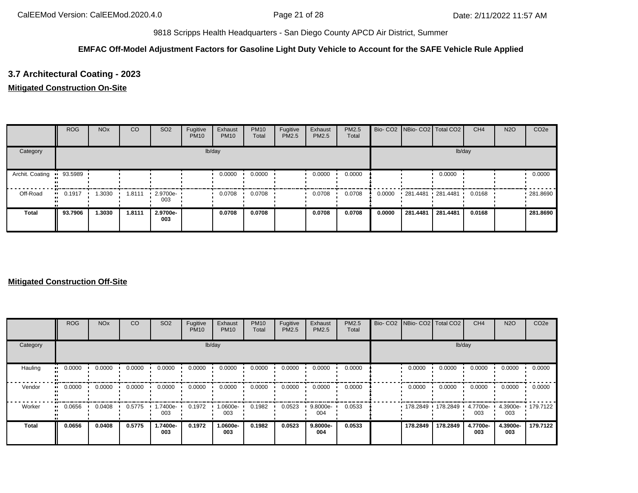## **EMFAC Off-Model Adjustment Factors for Gasoline Light Duty Vehicle to Account for the SAFE Vehicle Rule Applied**

# **3.7 Architectural Coating - 2023**

## **Mitigated Construction On-Site**

|                 | <b>ROG</b>            | <b>NO<sub>x</sub></b> | CO     | SO <sub>2</sub>    | Fugitive<br><b>PM10</b> | Exhaust<br><b>PM10</b> | <b>PM10</b><br>Total | Fugitive<br>PM2.5 | Exhaust<br><b>PM2.5</b> | <b>PM2.5</b><br>Total |        | Bio- CO2   NBio- CO2   Total CO2 |          | CH <sub>4</sub> | <b>N2O</b> | CO <sub>2e</sub> |
|-----------------|-----------------------|-----------------------|--------|--------------------|-------------------------|------------------------|----------------------|-------------------|-------------------------|-----------------------|--------|----------------------------------|----------|-----------------|------------|------------------|
| Category        |                       |                       |        |                    |                         | lb/day                 |                      |                   |                         |                       |        |                                  | lb/day   |                 |            |                  |
| Archit. Coating | • 93.5989             |                       |        |                    |                         | 0.0000                 | 0.0000               |                   | 0.0000                  | 0.0000                |        |                                  | 0.0000   |                 |            | 0.0000           |
| Off-Road        | $\blacksquare$ 0.1917 | 1.3030                | 1.8111 | $-2.9700e-$<br>003 |                         | 0.0708                 | 0.0708               |                   | 0.0708                  | 0.0708                | 0.0000 | 281.4481 281.4481                |          | 0.0168          |            | .281.8690        |
| Total           | 93.7906               | 1.3030                | 1.8111 | 2.9700e-<br>003    |                         | 0.0708                 | 0.0708               |                   | 0.0708                  | 0.0708                | 0.0000 | 281.4481                         | 281.4481 | 0.0168          |            | 281.8690         |

|          | <b>ROG</b>            | <b>NO<sub>x</sub></b> | CO     | SO <sub>2</sub> | Fugitive<br><b>PM10</b> | Exhaust<br><b>PM10</b> | <b>PM10</b><br>Total | Fugitive<br>PM2.5 | Exhaust<br>PM2.5 | PM2.5<br>Total | Bio- CO2 NBio- CO2 Total CO2 |                     | CH <sub>4</sub>   | <b>N2O</b>               | CO <sub>2e</sub> |
|----------|-----------------------|-----------------------|--------|-----------------|-------------------------|------------------------|----------------------|-------------------|------------------|----------------|------------------------------|---------------------|-------------------|--------------------------|------------------|
| Category |                       |                       |        |                 |                         | lb/day                 |                      |                   |                  |                |                              | lb/day              |                   |                          |                  |
| Hauling  | 0.0000<br>            | 0.0000                | 0.0000 | 0.0000          | 0.0000                  | 0.0000                 | 0.0000               | 0.0000            | 0.0000           | 0.0000         | 0.0000                       | 0.0000              | 0.0000            | 0.0000                   | 0.0000           |
| Vendor   | $\blacksquare$ 0.0000 | 0.0000                | 0.0000 | 0.0000          | 0.0000                  | 0.0000                 | 0.0000               | 0.0000            | 0.0000           | 0.0000         | 0.0000                       | 0.0000              | 0.0000            | 0.0000                   | 0.0000           |
| Worker   | 0.0656<br>            | 0.0408                | 0.5775 | -7400e-<br>003  | 0.1972                  | 1.0600e-<br>003        | 0.1982               | 0.0523            | 9.8000e-<br>004  | 0.0533         |                              | 178.2849 178.2849 1 | 4.7700e- •<br>003 | 4.3900e- 179.7122<br>003 |                  |
| Total    | 0.0656                | 0.0408                | 0.5775 | -.7400e<br>003  | 0.1972                  | 1.0600e-<br>003        | 0.1982               | 0.0523            | 9.8000e-<br>004  | 0.0533         | 178.2849                     | 178.2849            | 4.7700e-<br>003   | 4.3900e-<br>003          | 179.7122         |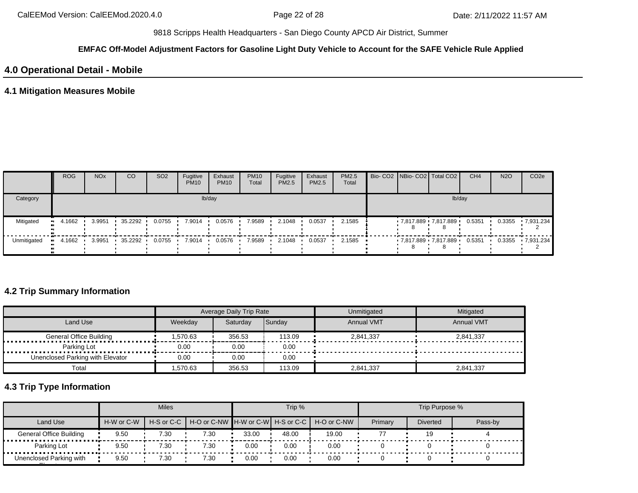#### **EMFAC Off-Model Adjustment Factors for Gasoline Light Duty Vehicle to Account for the SAFE Vehicle Rule Applied**

## **4.0 Operational Detail - Mobile**

## **4.1 Mitigation Measures Mobile**

|             | <b>ROG</b> | <b>NO<sub>x</sub></b> | CO      | SO <sub>2</sub> | Fugitive<br><b>PM10</b> | Exhaust<br><b>PM10</b> | <b>PM10</b><br>Total | Fugitive<br><b>PM2.5</b> | Exhaust<br><b>PM2.5</b> | PM2.5<br>Total | Bio- CO2 NBio- CO2 Total CO2 |        | CH <sub>4</sub> | <b>N2O</b> | CO <sub>2</sub> e |
|-------------|------------|-----------------------|---------|-----------------|-------------------------|------------------------|----------------------|--------------------------|-------------------------|----------------|------------------------------|--------|-----------------|------------|-------------------|
| Category    |            |                       |         |                 |                         | lb/day                 |                      |                          |                         |                |                              | lb/day |                 |            |                   |
| Mitigated   | 4.1662     | 3.9951                | 35.2292 | 0.0755          | 7.9014                  | 0.0576                 | 7.9589               | 2.1048                   | 0.0537                  | 2.1585         | 7,817.889 7,817.889          |        | 0.5351          | 0.3355     | $-7,931.234$      |
| Unmitigated | 4.1662     | 3.9951                | 35.2292 | 0.0755          | 7.9014                  | 0.0576                 | 7.9589               | 2.1048                   | 0.0537                  | 2.1585         | 7,817.889 7,817.889 0.5351   |        |                 | 0.3355     | 7.931.234         |

## **4.2 Trip Summary Information**

|                                  |          | Average Daily Trip Rate |               | Unmitigated       | Mitigated         |
|----------------------------------|----------|-------------------------|---------------|-------------------|-------------------|
| Land Use                         | Weekdav  | Saturdav                | <b>Sundav</b> | <b>Annual VMT</b> | <b>Annual VMT</b> |
| <b>General Office Building</b>   | 1.570.63 | 356.53                  | 113.09        | 2.841.337         | 2.841.337         |
| Parking Lot                      | 0.00     | 0.00                    | 0.00          |                   |                   |
| Unenclosed Parking with Elevator | 0.00     | 0.00                    | 0.00          |                   |                   |
| Total                            | .570.63  | 356.53                  | 113.09        | 2,841,337         | 2,841,337         |

# **4.3 Trip Type Information**

|                                |            | <b>Miles</b> |      |       | Trip %                                                   |         |                 | Trip Purpose % |  |
|--------------------------------|------------|--------------|------|-------|----------------------------------------------------------|---------|-----------------|----------------|--|
| Land Use                       | H-W or C-W |              |      |       | H-S or C-C H-O or C-NW H-W or C-W H-S or C-C H-O or C-NW | Primary | <b>Diverted</b> | Pass-by        |  |
| <b>General Office Building</b> | 9.50       | 7.30         | 7.30 | 33.00 | 48.00                                                    | 19.00   |                 | 19             |  |
| Parking Lot                    | 9.50       | 7.30         | 7.30 | 0.00  | 0.00                                                     | 0.00    |                 |                |  |
| Unenclosed Parking with        | 9.50       | 7.30         | 7.30 | 0.00  | 0.00                                                     | 0.00    |                 |                |  |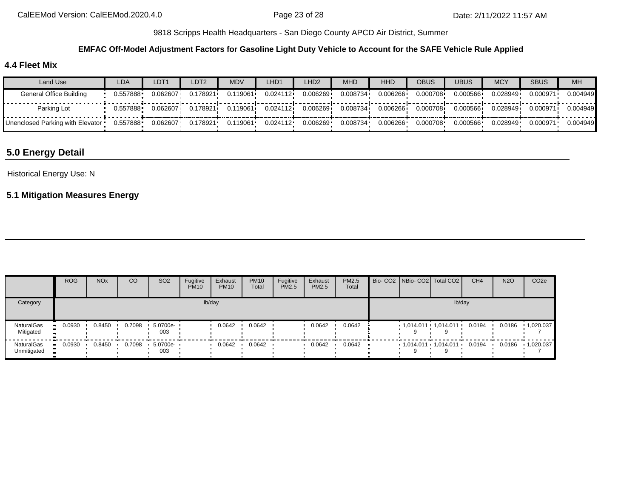### **EMFAC Off-Model Adjustment Factors for Gasoline Light Duty Vehicle to Account for the SAFE Vehicle Rule Applied**

## **4.4 Fleet Mix**

| Land Use                           | LDA      | LDT <sub>1</sub> | LDT2     | MDV      | LHD1     | LHD2     | <b>MHD</b> | <b>HHD</b> | <b>OBUS</b> | <b>UBUS</b> | <b>MCY</b> | <b>SBUS</b> | <b>MH</b> |
|------------------------------------|----------|------------------|----------|----------|----------|----------|------------|------------|-------------|-------------|------------|-------------|-----------|
| General Office Building            | 0.557888 | 0.062607         | 0.178921 | 119061.  | 0.024112 | 0.006269 | 0.008734   | 0.006266   | 0.000708    | 0.000566    | 0.028949   | 0.000971    | 0.004949  |
| Parking Lot                        | 0.557888 | 0.062607         | 0.178921 | 0.119061 | 0.024112 | 0.006269 | 0.008734   | 0.006266   | 0.000708    | 0.000566    | 0.028949   | 0.000971    | 0.004949  |
| Unenclosed Parking with Elevator • | 0.557888 | 0.062607         | 0.178921 | 0.119061 | 0.024112 | 0.006269 | 0.008734   | 0.006266   | 0.000708    | 0.000566    | 0.028949   | 0.000971    | 0.004949  |

# **5.0 Energy Detail**

#### Historical Energy Use: N

## **5.1 Mitigation Measures Energy**

|                           | <b>ROG</b> | <b>NO<sub>x</sub></b> | CO     | SO <sub>2</sub> | Fugitive<br><b>PM10</b> | Exhaust<br><b>PM10</b> | <b>PM10</b><br>Total | Fugitive<br><b>PM2.5</b> | Exhaust<br><b>PM2.5</b> | PM2.5<br>Total |  | Bio- CO2   NBio- CO2   Total CO2  | CH <sub>4</sub> | <b>N2O</b> | CO <sub>2</sub> e |
|---------------------------|------------|-----------------------|--------|-----------------|-------------------------|------------------------|----------------------|--------------------------|-------------------------|----------------|--|-----------------------------------|-----------------|------------|-------------------|
| Category                  |            |                       |        |                 |                         | lb/day                 |                      |                          |                         |                |  | lb/day                            |                 |            |                   |
| NaturalGas<br>Mitigated   | 0.0930     | 0.8450                | 0.7098 | 5.0700e-<br>003 |                         | 0.0642                 | 0.0642               |                          | 0.0642                  | 0.0642         |  | $1,014.011 \cdot 1,014.011 \cdot$ | 0.0194          | 0.0186     | 1,020.037         |
| NaturalGas<br>Unmitigated | 0.0930     | 0.8450                | 0.7098 | 5.0700e-<br>003 |                         | 0.0642                 | 0.0642               |                          | 0.0642                  | 0.0642         |  | $1,014.011$ $1,014.011$ $1$       | 0.0194          | 0.0186     | 1,020.037         |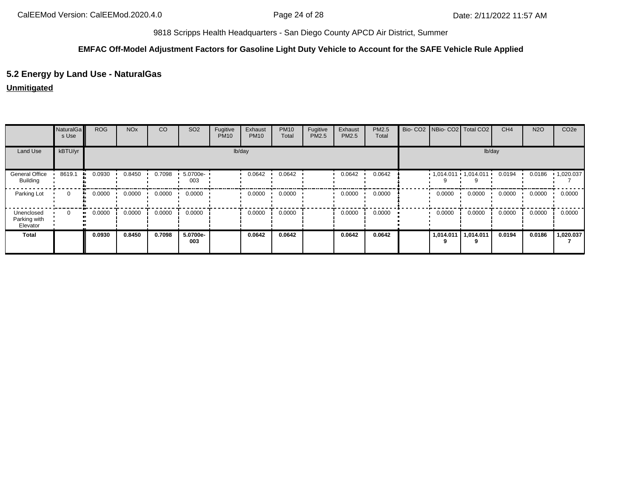## **EMFAC Off-Model Adjustment Factors for Gasoline Light Duty Vehicle to Account for the SAFE Vehicle Rule Applied**

## **5.2 Energy by Land Use - NaturalGas**

### **Unmitigated**

|                                        | NaturalGa<br>s Use | <b>ROG</b>   | <b>NO<sub>x</sub></b> | CO     | SO <sub>2</sub> | Fugitive<br><b>PM10</b> | Exhaust<br><b>PM10</b> | <b>PM10</b><br>Total | Fugitive<br>PM2.5 | Exhaust<br>PM2.5 | PM2.5<br>Total |           | Bio- CO2   NBio- CO2   Total CO2 | CH <sub>4</sub> | <b>N2O</b> | CO <sub>2e</sub>  |
|----------------------------------------|--------------------|--------------|-----------------------|--------|-----------------|-------------------------|------------------------|----------------------|-------------------|------------------|----------------|-----------|----------------------------------|-----------------|------------|-------------------|
| Land Use                               | kBTU/yr            |              |                       |        |                 |                         | lb/day                 |                      |                   |                  |                |           | lb/day                           |                 |            |                   |
| <b>General Office</b><br>Building      | 8619.1             | 0.0930       | 0.8450                | 0.7098 | 5.0700e-<br>003 |                         | 0.0642                 | 0.0642               |                   | 0.0642           | 0.0642         |           | $1,014.011$ $1,014.011$ $1$      | 0.0194          | 0.0186     | $\cdot$ 1,020.037 |
| Parking Lot                            | $\Omega$           | 0.0000<br>ш. | 0.0000                | 0.0000 | 0.0000          |                         | 0.0000                 | 0.0000               |                   | 0.0000           | 0.0000         | 0.0000    | 0.0000                           | 0.0000          | 0.0000     | 0.0000            |
| Unenclosed<br>Parking with<br>Elevator | 0                  | 0.0000       | 0.0000                | 0.0000 | 0.0000          |                         | 0.0000                 | 0.0000               |                   | 0.0000           | 0.0000         | 0.0000    | 0.0000                           | 0.0000          | 0.0000     | 0.0000            |
| <b>Total</b>                           |                    | 0.0930       | 0.8450                | 0.7098 | 5.0700e-<br>003 |                         | 0.0642                 | 0.0642               |                   | 0.0642           | 0.0642         | 1,014.011 | 1.014.011                        | 0.0194          | 0.0186     | 1,020.037         |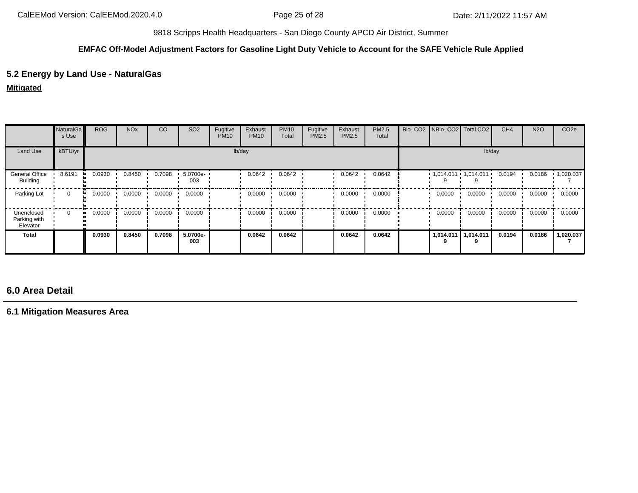#### **EMFAC Off-Model Adjustment Factors for Gasoline Light Duty Vehicle to Account for the SAFE Vehicle Rule Applied**

## **5.2 Energy by Land Use - NaturalGas**

**Mitigated**

|                                        | NaturalGa<br>s Use | <b>ROG</b>    | <b>NO<sub>x</sub></b> | CO     | SO <sub>2</sub> | Fugitive<br><b>PM10</b> | Exhaust<br><b>PM10</b> | <b>PM10</b><br>Total | Fugitive<br><b>PM2.5</b> | Exhaust<br>PM2.5 | PM2.5<br>Total |           | Bio- CO2   NBio- CO2   Total CO2 | CH <sub>4</sub> | <b>N2O</b> | CO <sub>2e</sub> |
|----------------------------------------|--------------------|---------------|-----------------------|--------|-----------------|-------------------------|------------------------|----------------------|--------------------------|------------------|----------------|-----------|----------------------------------|-----------------|------------|------------------|
| Land Use                               | kBTU/yr            |               |                       |        |                 |                         | lb/day                 |                      |                          |                  |                |           | lb/day                           |                 |            |                  |
| General Office<br><b>Building</b>      | 8.6191             | 0.0930        | 0.8450                | 0.7098 | 5.0700e-<br>003 |                         | 0.0642                 | 0.0642               |                          | 0.0642           | 0.0642         |           | $1,014.011$ $1,014.011$ $1$      | 0.0194          | 0.0186     | 1,020.037        |
| Parking Lot                            | $\mathbf{0}$       | 0.0000<br>ш.  | 0.0000                | 0.0000 | 0.0000          |                         | 0.0000                 | 0.0000               |                          | 0.0000           | 0.0000         | 0.0000    | 0.0000                           | 0.0000          | 0.0000     | 0.0000           |
| Unenclosed<br>Parking with<br>Elevator | 0                  | 0.0000<br>. . | 0.0000                | 0.0000 | 0.0000          |                         | 0.0000                 | 0.0000               |                          | 0.0000           | 0.0000         | 0.0000    | 0.0000                           | 0.0000          | 0.0000     | 0.0000           |
| Total                                  |                    | 0.0930        | 0.8450                | 0.7098 | 5.0700e-<br>003 |                         | 0.0642                 | 0.0642               |                          | 0.0642           | 0.0642         | 1,014.011 | 1,014.011                        | 0.0194          | 0.0186     | 1,020.037        |

# **6.0 Area Detail**

**6.1 Mitigation Measures Area**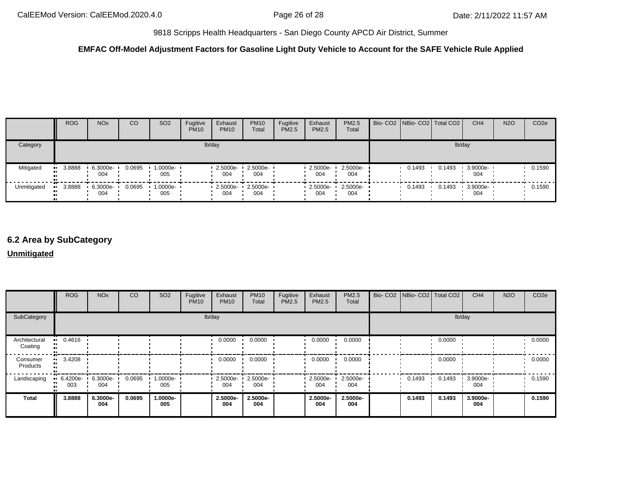## **EMFAC Off-Model Adjustment Factors for Gasoline Light Duty Vehicle to Account for the SAFE Vehicle Rule Applied**

|             | <b>ROG</b>    | <b>NO<sub>x</sub></b> | CO     | SO <sub>2</sub>    | Fugitive<br><b>PM10</b> | Exhaust<br><b>PM10</b> | <b>PM10</b><br>Total    | Fugitive<br><b>PM2.5</b> | Exhaust<br><b>PM2.5</b> | <b>PM2.5</b><br>Total | Bio- CO2 NBio- CO2 Total CO2 |        | CH <sub>4</sub> | <b>N2O</b> | CO <sub>2e</sub> |
|-------------|---------------|-----------------------|--------|--------------------|-------------------------|------------------------|-------------------------|--------------------------|-------------------------|-----------------------|------------------------------|--------|-----------------|------------|------------------|
| Category    |               |                       |        |                    |                         | lb/day                 |                         |                          |                         |                       |                              | lb/day |                 |            |                  |
| Mitigated   | 3.8888<br>. . | 6.3000e-<br>004       | 0.0695 | 1.0000e- ∙<br>005  |                         | $2.5000e -$<br>004     | 2.5000e-<br>004         |                          | 2.5000e-<br>004         | 2.5000e-<br>004       | 0.1493                       | 0.1493 | 3.9000e-<br>004 |            | 0.1590           |
| Unmitigated | 3.8888        | 6.3000e-<br>004       | 0.0695 | $1.0000e -$<br>005 |                         | 004                    | 2.5000e-2.5000e-<br>004 |                          | 0 2.5000e- •<br>004     | $2.5000e-$<br>004     | 0.1493                       | 0.1493 | 3.9000e-<br>004 |            | 0.1590           |

# **6.2 Area by SubCategory**

### **Unmitigated**

|                          | <b>ROG</b>      | <b>NO<sub>x</sub></b> | CO     | SO <sub>2</sub>   | Fugitive<br><b>PM10</b> | Exhaust<br><b>PM10</b> | <b>PM10</b><br>Total | Fugitive<br>PM2.5 | Exhaust<br>PM2.5   | <b>PM2.5</b><br>Total | Bio- CO2   NBio- CO2   Total CO2 |        | CH <sub>4</sub> | <b>N2O</b> | CO <sub>2e</sub> |
|--------------------------|-----------------|-----------------------|--------|-------------------|-------------------------|------------------------|----------------------|-------------------|--------------------|-----------------------|----------------------------------|--------|-----------------|------------|------------------|
| SubCategory              |                 |                       |        |                   |                         | lb/day                 |                      |                   |                    |                       |                                  |        | lb/day          |            |                  |
| Architectural<br>Coating | 0.4616          |                       |        |                   |                         | 0.0000                 | 0.0000               |                   | 0.0000             | 0.0000                |                                  | 0.0000 |                 |            | 0.0000           |
| Consumer<br>Products     | 3.4208          |                       |        |                   |                         | 0.0000                 | 0.0000               |                   | 0.0000             | 0.0000                |                                  | 0.0000 |                 |            | 0.0000           |
| Landscaping              | 6.4200e-<br>003 | 6.3000e-<br>004       | 0.0695 | $1.0000e-$<br>005 |                         | 2.5000e-<br>004        | 2.5000e-<br>004      |                   | $2.5000e -$<br>004 | 2.5000e-<br>004       | 0.1493                           | 0.1493 | 3.9000e-<br>004 |            | 0.1590           |
| Total                    | 3.8888          | 6.3000e-<br>004       | 0.0695 | 1.0000e-<br>005   |                         | 2.5000e-<br>004        | 2.5000e-<br>004      |                   | 2.5000e-<br>004    | 2.5000e-<br>004       | 0.1493                           | 0.1493 | 3.9000e-<br>004 |            | 0.1590           |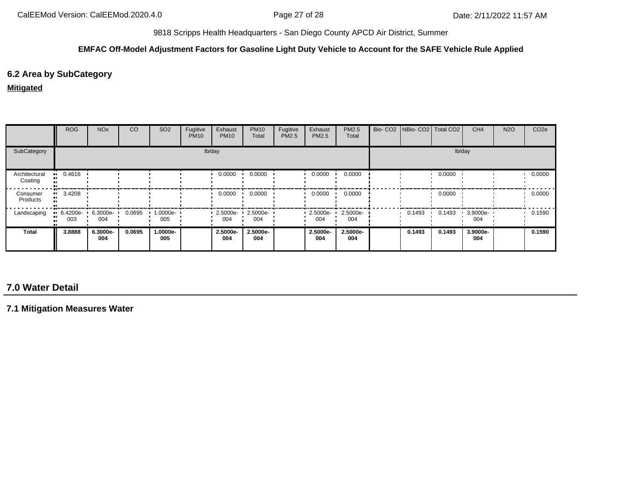### **EMFAC Off-Model Adjustment Factors for Gasoline Light Duty Vehicle to Account for the SAFE Vehicle Rule Applied**

## **6.2 Area by SubCategory**

#### **Mitigated**

|                          | <b>ROG</b>         | <b>NO<sub>x</sub></b> | <sub>CO</sub> | SO <sub>2</sub>    | Fugitive<br><b>PM10</b> | Exhaust<br><b>PM10</b> | <b>PM10</b><br>Total | Fugitive<br>PM2.5 | Exhaust<br><b>PM2.5</b> | PM2.5<br>Total  | Bio- CO2   NBio- CO2   Total CO2 |        | CH <sub>4</sub> | <b>N2O</b> | CO <sub>2e</sub> |
|--------------------------|--------------------|-----------------------|---------------|--------------------|-------------------------|------------------------|----------------------|-------------------|-------------------------|-----------------|----------------------------------|--------|-----------------|------------|------------------|
| SubCategory              |                    |                       |               |                    |                         | lb/day                 |                      |                   |                         |                 |                                  |        | lb/day          |            |                  |
| Architectural<br>Coating | $-0.4616$          |                       |               |                    |                         | 0.0000                 | 0.0000               |                   | 0.0000                  | 0.0000          |                                  | 0.0000 |                 |            | 0.0000           |
| Consumer<br>Products     | 3.4208<br>. .      |                       |               |                    |                         | 0.0000                 | 0.0000               |                   | 0.0000                  | 0.0000          |                                  | 0.0000 |                 |            | 0.0000           |
| Landscaping              | $-6.4200e-$<br>003 | 6.3000e-<br>004       | 0.0695        | $1.0000e -$<br>005 |                         | 2.5000e-<br>004        | 2.5000e-<br>004      |                   | $\cdot$ 2.5000e-<br>004 | 2.5000e-<br>004 | 0.1493                           | 0.1493 | 3.9000e-<br>004 |            | 0.1590           |
| Total                    | 3.8888             | 6.3000e-<br>004       | 0.0695        | 1.0000e-<br>005    |                         | 2.5000e-<br>004        | 2.5000e-<br>004      |                   | 2.5000e-<br>004         | 2.5000e-<br>004 | 0.1493                           | 0.1493 | 3.9000e-<br>004 |            | 0.1590           |

# **7.0 Water Detail**

**7.1 Mitigation Measures Water**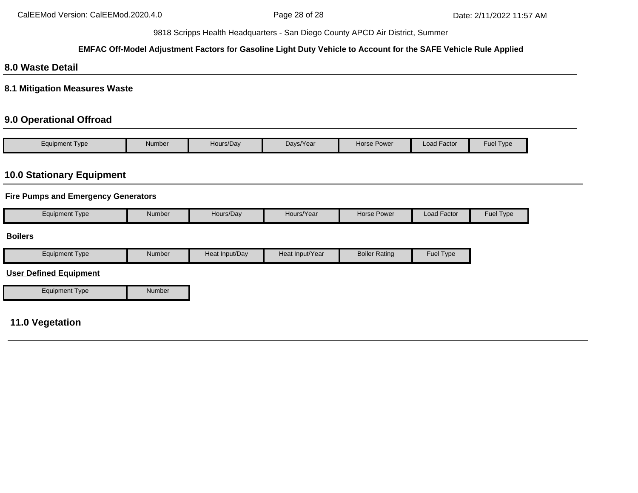### **EMFAC Off-Model Adjustment Factors for Gasoline Light Duty Vehicle to Account for the SAFE Vehicle Rule Applied**

## **8.0 Waste Detail**

**8.1 Mitigation Measures Waste**

## **9.0 Operational Offroad**

| Type<br>Equipment | Number | Hours/Day | Days/Year | Horse Power | $\cdot$ $-$<br>Load Factor | Fuel $\tau$<br>Type |
|-------------------|--------|-----------|-----------|-------------|----------------------------|---------------------|

# **10.0 Stationary Equipment**

## **Fire Pumps and Emergency Generators**

|  | Number<br>Equipment Type | Hours/Dav | Hours/Year | <b>Horse Power</b> | $\cdot$ $-$<br>Load Factor | Fuel<br>l I ype |
|--|--------------------------|-----------|------------|--------------------|----------------------------|-----------------|
|--|--------------------------|-----------|------------|--------------------|----------------------------|-----------------|

### **Boilers**

| Equipment<br><b>Type</b> | Number | Heat Input/Dav | Heat Input/Year | Boiler<br>Rating | Fuel<br><b>I</b> vpe |
|--------------------------|--------|----------------|-----------------|------------------|----------------------|
|                          |        |                |                 |                  |                      |

## **User Defined Equipment**

Equipment Type Number

## **11.0 Vegetation**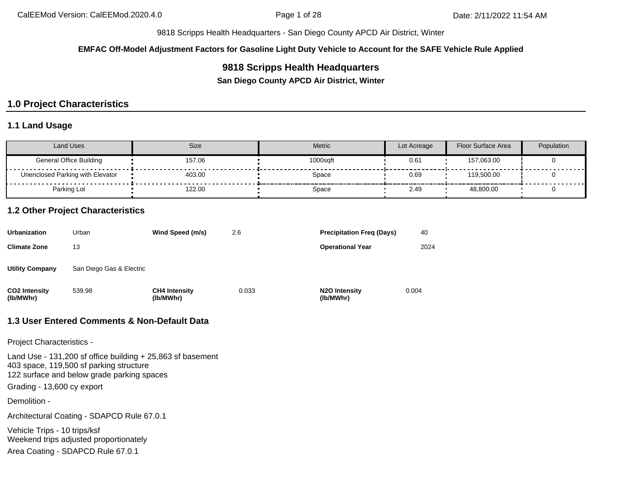**EMFAC Off-Model Adjustment Factors for Gasoline Light Duty Vehicle to Account for the SAFE Vehicle Rule Applied**

## **9818 Scripps Health Headquarters**

**San Diego County APCD Air District, Winter**

# **1.0 Project Characteristics**

## **1.1 Land Usage**

| Land Uses                        | <b>Size</b> | Metric   | Lot Acreage | Floor Surface Area | Population |
|----------------------------------|-------------|----------|-------------|--------------------|------------|
| General Office Building          | 157.06      | 1000sqft | 0.61        | 157,063.00         |            |
| Unenclosed Parking with Elevator | 403.00      | Space    | 0.69        | 119.500.00         |            |
| Parking Lot                      | 122.00      | Space    | 2.49        | 48,800.00          |            |

### **1.2 Other Project Characteristics**

| Urbanization               | Urban                    | Wind Speed (m/s)                  | 2.6   | <b>Precipitation Freg (Days)</b>        | 40    |
|----------------------------|--------------------------|-----------------------------------|-------|-----------------------------------------|-------|
| Climate Zone               | 13                       |                                   |       | <b>Operational Year</b>                 | 2024  |
| Utility Company            | San Diego Gas & Electric |                                   |       |                                         |       |
| CO2 Intensity<br>(lb/MWhr) | 539.98                   | <b>CH4 Intensity</b><br>(lb/MWhr) | 0.033 | N <sub>2</sub> O Intensity<br>(lb/MWhr) | 0.004 |

## **1.3 User Entered Comments & Non-Default Data**

Project Characteristics -

Land Use - 131,200 sf office building + 25,863 sf basement 403 space, 119,500 sf parking structure 122 surface and below grade parking spaces Grading - 13,600 cy export

Demolition -

Architectural Coating - SDAPCD Rule 67.0.1

Vehicle Trips - 10 trips/ksf Weekend trips adjusted proportionately

Area Coating - SDAPCD Rule 67.0.1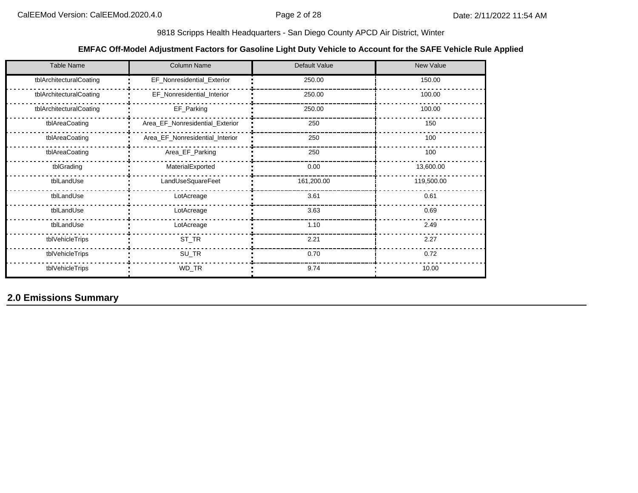## **EMFAC Off-Model Adjustment Factors for Gasoline Light Duty Vehicle to Account for the SAFE Vehicle Rule Applied**

| <b>Table Name</b>       | <b>Column Name</b>              | Default Value | New Value  |
|-------------------------|---------------------------------|---------------|------------|
| tblArchitecturalCoating | EF_Nonresidential_Exterior      | 250.00        | 150.00     |
| tblArchitecturalCoating | EF_Nonresidential_Interior      | 250.00        | 100.00     |
| tblArchitecturalCoating | EF_Parking                      | 250.00        | 100.00     |
| tblAreaCoating          | Area_EF_Nonresidential_Exterior | 250           | 150        |
| tblAreaCoating          | Area_EF_Nonresidential_Interior | 250           | 100        |
| tblAreaCoating          | Area_EF_Parking                 | 250           | 100        |
| tblGrading              | MaterialExported                | 0.00          | 13,600.00  |
| tblLandUse              | LandUseSquareFeet               | 161,200.00    | 119,500.00 |
| tblLandUse              | LotAcreage                      | 3.61          | 0.61       |
| tblLandUse              | LotAcreage                      | 3.63          | 0.69       |
| tblLandUse              | LotAcreage                      | 1.10          | 2.49       |
| tblVehicleTrips         | $ST_TR$                         | 2.21          | 2.27       |
| tblVehicleTrips         | SU_TR                           | 0.70          | 0.72       |
| tblVehicleTrips         | WD_TR                           | 9.74          | 10.00      |

**2.0 Emissions Summary**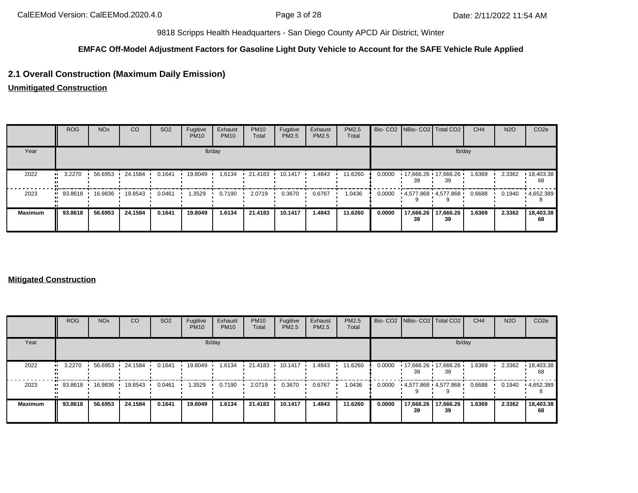## **EMFAC Off-Model Adjustment Factors for Gasoline Light Duty Vehicle to Account for the SAFE Vehicle Rule Applied**

## **2.1 Overall Construction (Maximum Daily Emission)**

**Unmitigated Construction**

|                | <b>ROG</b>             | <b>NO<sub>x</sub></b> | CO      | SO <sub>2</sub> | Fugitive<br><b>PM10</b> | Exhaust<br><b>PM10</b> | <b>PM10</b><br>Total | Fugitive<br><b>PM2.5</b> | Exhaust<br>PM2.5 | <b>PM2.5</b><br>Total |        | Bio- CO2   NBio- CO2   Total CO2 |                 | CH <sub>4</sub> | <b>N2O</b> | CO <sub>2e</sub> |
|----------------|------------------------|-----------------------|---------|-----------------|-------------------------|------------------------|----------------------|--------------------------|------------------|-----------------------|--------|----------------------------------|-----------------|-----------------|------------|------------------|
| Year           |                        |                       |         |                 |                         | lb/day                 |                      |                          |                  |                       |        |                                  | lb/day          |                 |            |                  |
| 2022           | $\blacksquare$ 3.2270  | 56.6953               | 24.1584 | 0.1641          | 19.8049                 | 1.6134                 | 21.4183              | $10.1417$ $\cdot$        | 1.4843           | 11.6260               | 0.0000 | 17,666.26 17,666.26<br>39        | 39              | 1.6369          | 2.3362     | 18,403.38<br>68  |
| 2023           | $\blacksquare$ 93.8618 | 16.9836               | 19.8543 | 0.0461          | 1.3529                  | 0.7190                 | 2.0719               | 0.3670                   | 0.6767           | 1.0436                | 0.0000 | 4,577.868 4,577.868              |                 | 0.6688          | 0.1940     | 4,652.389        |
| <b>Maximum</b> | 93.8618                | 56.6953               | 24.1584 | 0.1641          | 19,8049                 | 1.6134                 | 21.4183              | 10.1417                  | 1.4843           | 11.6260               | 0.0000 | 17,666.26<br>39                  | 17,666.26<br>39 | 1.6369          | 2.3362     | 18,403.38<br>68  |

#### **Mitigated Construction**

|                | <b>ROG</b>             | <b>NO<sub>x</sub></b> | <b>CO</b> | SO <sub>2</sub> | Fugitive<br><b>PM10</b> | Exhaust<br><b>PM10</b> | <b>PM10</b><br>Total | Fugitive<br>PM2.5 | Exhaust<br>PM2.5 | PM2.5<br>Total |        |                 | Bio- CO2 NBio- CO2 Total CO2 | CH <sub>4</sub> | <b>N2O</b> | CO <sub>2e</sub>        |
|----------------|------------------------|-----------------------|-----------|-----------------|-------------------------|------------------------|----------------------|-------------------|------------------|----------------|--------|-----------------|------------------------------|-----------------|------------|-------------------------|
| Year           |                        |                       |           |                 |                         | lb/day                 |                      |                   |                  |                |        |                 | lb/day                       |                 |            |                         |
| 2022           | 3.2270<br>             | 56.6953               | 24.1584   | 0.1641          | 19.8049                 | 1.6134                 | 21.4183              | 10.1417           | 1.4843           | 11.6260        | 0.0000 | 39              | $17,666.26$ 17,666.26<br>39  | 1.6369          | 2.3362     | $\cdot$ 18,403.38<br>68 |
| 2023           | $\blacksquare$ 93.8618 | 16.9836               | 19.8543   | 0.0461          | 1.3529                  | 0.7190                 | 2.0719               | 0.3670            | 0.6767           | 1.0436         | 0.0000 |                 | 4,577.868 4,577.868          | 0.6688          | 0.1940     | $\cdot$ 4,652.389       |
| <b>Maximum</b> | 93.8618                | 56.6953               | 24.1584   | 0.1641          | 19.8049                 | 1.6134                 | 21.4183              | 10.1417           | 1.4843           | 11.6260        | 0.0000 | 17,666.26<br>39 | 17,666.26<br>39              | 1.6369          | 2.3362     | 18,403.38<br>68         |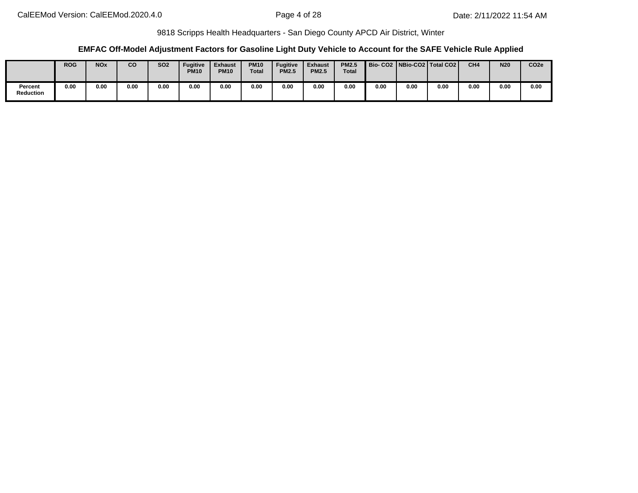### **EMFAC Off-Model Adjustment Factors for Gasoline Light Duty Vehicle to Account for the SAFE Vehicle Rule Applied**

|                      | <b>ROG</b> | <b>NOx</b> | co   | <b>SO2</b> | Fugitive<br><b>PM10</b> | <b>Exhaust</b><br><b>PM10</b> | <b>PM10</b><br><b>Total</b> | <b>Fugitive</b><br><b>PM2.5</b> | <b>Exhaust</b><br><b>PM2.5</b> | <b>PM2.5</b><br>Total |      |      | Bio- CO2   NBio-CO2   Total CO2 | CH <sub>4</sub> | <b>N20</b> | CO <sub>2e</sub> |
|----------------------|------------|------------|------|------------|-------------------------|-------------------------------|-----------------------------|---------------------------------|--------------------------------|-----------------------|------|------|---------------------------------|-----------------|------------|------------------|
| Percent<br>Reduction | 0.00       | 0.00       | 0.00 | 0.00       | 0.00                    | 0.00                          | 0.00                        | 0.00                            | 0.00                           | 0.00                  | 0.00 | 0.00 | 0.00                            | 0.00            | 0.00       | 0.00             |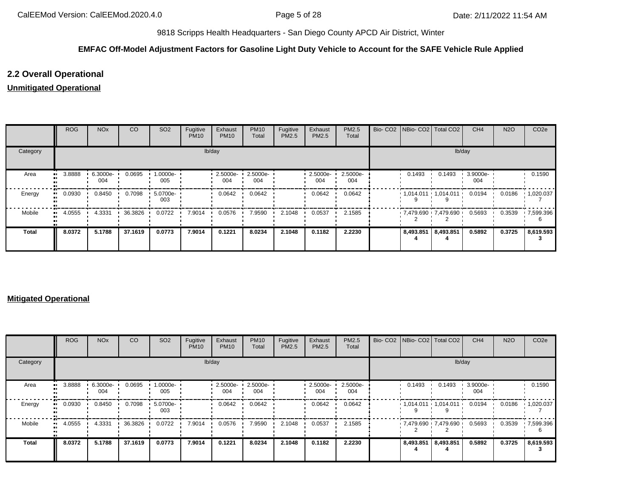## **EMFAC Off-Model Adjustment Factors for Gasoline Light Duty Vehicle to Account for the SAFE Vehicle Rule Applied**

## **2.2 Overall Operational**

## **Unmitigated Operational**

|              | ROG    | <b>NO<sub>x</sub></b> | CO      | SO <sub>2</sub> | Fugitive<br><b>PM10</b> | Exhaust<br><b>PM10</b> | <b>PM10</b><br>Total | Fugitive<br>PM2.5 | Exhaust<br>PM2.5 | PM2.5<br>Total  |                     | Bio- CO2   NBio- CO2   Total CO2 | CH <sub>4</sub> | <b>N2O</b> | CO <sub>2e</sub>  |
|--------------|--------|-----------------------|---------|-----------------|-------------------------|------------------------|----------------------|-------------------|------------------|-----------------|---------------------|----------------------------------|-----------------|------------|-------------------|
| Category     |        |                       |         |                 |                         | lb/day                 |                      |                   |                  |                 |                     | lb/day                           |                 |            |                   |
| Area         | 3.8888 | 6.3000e-<br>004       | 0.0695  | 1.0000e-<br>005 |                         | 2.5000e-<br>004        | 2.5000e-<br>004      |                   | 2.5000e-<br>004  | 2.5000e-<br>004 | 0.1493              | 0.1493                           | 3.9000e-<br>004 |            | 0.1590            |
| Energy       | 0.0930 | 0.8450                | 0.7098  | 5.0700e-<br>003 |                         | 0.0642                 | 0.0642               |                   | 0.0642           | 0.0642          |                     | $1,014.011$ $1,014.011$ $1$      | 0.0194          | 0.0186     | $\cdot$ 1,020.037 |
| Mobile       | 4.0555 | 4.3331                | 36.3826 | 0.0722          | 7.9014                  | 0.0576                 | 7.9590               | 2.1048            | 0.0537           | 2.1585          |                     | 7,479.690 7,479.690              | 0.5693          | 0.3539     | 17,599.396        |
| <b>Total</b> | 8.0372 | 5.1788                | 37.1619 | 0.0773          | 7.9014                  | 0.1221                 | 8.0234               | 2.1048            | 0.1182           | 2.2230          | 8,493.851 8,493.851 |                                  | 0.5892          | 0.3725     | 8,619.593         |

#### **Mitigated Operational**

|              | ROG    | <b>NO<sub>x</sub></b> | CO        | SO <sub>2</sub> | Fugitive<br><b>PM10</b> | Exhaust<br><b>PM10</b> | <b>PM10</b><br>Total | Fugitive<br><b>PM2.5</b> | Exhaust<br>PM2.5 | <b>PM2.5</b><br>Total |                     | Bio- CO2 NBio- CO2 Total CO2 | CH <sub>4</sub> | <b>N2O</b> | CO <sub>2</sub> e |
|--------------|--------|-----------------------|-----------|-----------------|-------------------------|------------------------|----------------------|--------------------------|------------------|-----------------------|---------------------|------------------------------|-----------------|------------|-------------------|
| Category     |        |                       |           |                 |                         | lb/day                 |                      |                          |                  |                       |                     | lb/day                       |                 |            |                   |
| Area         | 3.8888 | 6.3000e-<br>004       | 0.0695    | 1.0000e-<br>005 |                         | 2.5000e-<br>004        | 2.5000e-<br>004      |                          | 2.5000e-<br>004  | 2.5000e-<br>004       | 0.1493              | 0.1493                       | 3.9000e-<br>004 |            | 0.1590            |
| Energy       | 0.0930 | 0.8450                | 0.7098    | 5.0700e-<br>003 |                         | 0.0642                 | 0.0642               |                          | 0.0642           | 0.0642                |                     | $1.014.011 \cdot 1.014.011$  | 0.0194          | 0.0186     | 1,020.037         |
| Mobile       | 4.0555 | 4.3331                | 36.3826 · | 0.0722          | 7.9014                  | 0.0576                 | 7.9590               | 2.1048                   | 0.0537           | 2.1585                |                     | 7,479.690 7,479.690          | 0.5693          | 0.3539     | .7,599.396        |
| <b>Total</b> | 8.0372 | 5.1788                | 37.1619   | 0.0773          | 7.9014                  | 0.1221                 | 8.0234               | 2.1048                   | 0.1182           | 2.2230                | 8,493.851 8,493.851 |                              | 0.5892          | 0.3725     | 8,619.593         |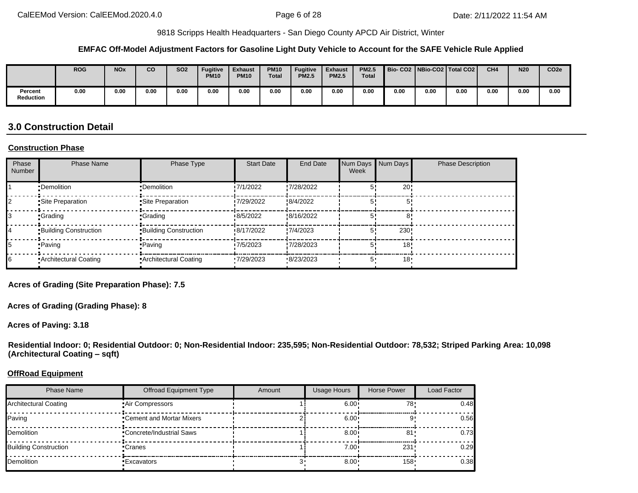#### **EMFAC Off-Model Adjustment Factors for Gasoline Light Duty Vehicle to Account for the SAFE Vehicle Rule Applied**

|                             | <b>ROG</b> | <b>NOx</b> | co   | <b>SO2</b> | <b>Fugitive</b><br><b>PM10</b> | <b>Exhaust</b><br><b>PM10</b> | <b>PM10</b><br><b>Total</b> | <b>Fugitive</b><br><b>PM2.5</b> | <b>Exhaust</b><br><b>PM2.5</b> | <b>PM2.5</b><br><b>Total</b> | <b>Bio-CO2</b> |      | NBio-CO2   Total CO2 | CH <sub>4</sub> | <b>N20</b> | CO <sub>2e</sub> |
|-----------------------------|------------|------------|------|------------|--------------------------------|-------------------------------|-----------------------------|---------------------------------|--------------------------------|------------------------------|----------------|------|----------------------|-----------------|------------|------------------|
| Percent<br><b>Reduction</b> | 0.00       | 0.00       | 0.00 | 0.00       | 0.00                           | 0.00                          | 0.00                        | 0.00                            | 0.00                           | 0.00                         | 0.00           | 0.00 | 0.00                 | 0.00            | 0.00       | 0.00             |

# **3.0 Construction Detail**

#### **Construction Phase**

| Phase<br><b>Number</b> | <b>Phase Name</b>            | Phase Type                   | <b>Start Date</b> | End Date   | Num Days Num Days<br>Week |     | <b>Phase Description</b> |
|------------------------|------------------------------|------------------------------|-------------------|------------|---------------------------|-----|--------------------------|
|                        | •Demolition                  | •Demolition                  | 17/1/2022         | .7/28/2022 |                           | 20  |                          |
|                        | Site Preparation             | Site Preparation             | 7/29/2022         | 8/4/2022   | 5'                        |     |                          |
|                        | •Grading                     | <b>Crading</b>               | 8/5/2022          | 8/16/2022  | 5'                        |     |                          |
|                        | <b>Building Construction</b> | <b>Building Construction</b> | 8/17/2022         | 7/4/2023   |                           | 230 |                          |
|                        | •Paving                      | •Paving                      | 7/5/2023          | .7/28/2023 |                           | 18  |                          |
|                        | Architectural Coating        | Architectural Coating        | 7/29/2023         | 8/23/2023  | 5'                        | 18  |                          |

**Acres of Grading (Site Preparation Phase): 7.5**

**Acres of Grading (Grading Phase): 8**

**Acres of Paving: 3.18**

**Residential Indoor: 0; Residential Outdoor: 0; Non-Residential Indoor: 235,595; Non-Residential Outdoor: 78,532; Striped Parking Area: 10,098 (Architectural Coating – sqft)**

#### **OffRoad Equipment**

| <b>Phase Name</b>            | <b>Offroad Equipment Type</b> | Amount | <b>Usage Hours</b> | Horse Power      | Load Factor |
|------------------------------|-------------------------------|--------|--------------------|------------------|-------------|
| Architectural Coating        | Air Compressors               |        | 6.00 <sup>1</sup>  | 78۰              | 0.48        |
| Paving                       | • Cement and Mortar Mixers    |        | 6.00               |                  | 0.56        |
| Demolition                   | •Concrete/Industrial Saws     |        | 8.00               | -81              | 0.73        |
| <b>Building Construction</b> | •Cranes                       |        | 7.00 <sub>1</sub>  | 231              | 0.29        |
| Demolition                   | •Excavators                   |        | 8.00               | 158 <sup>1</sup> | 0.38        |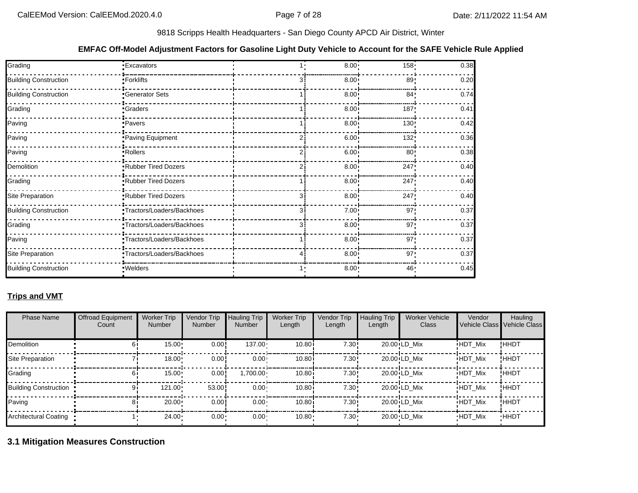#### **EMFAC Off-Model Adjustment Factors for Gasoline Light Duty Vehicle to Account for the SAFE Vehicle Rule Applied**

| Grading                      | <b>Excavators</b>         | 8.00         | 158 <sub>1</sub> | 0.38 |
|------------------------------|---------------------------|--------------|------------------|------|
| <b>Building Construction</b> | <b>Forklifts</b>          | $8.00 \cdot$ | 89!              | 0.20 |
| <b>Building Construction</b> | Generator Sets            | $8.00 \cdot$ | 84               | 0.74 |
| Grading                      | <b>Craders</b>            | $8.00 \cdot$ | 187              | 0.41 |
| Paving                       | ·Pavers                   | $8.00 \cdot$ | 130              | 0.42 |
| Paving                       | Paving Equipment          | $6.00 \cdot$ | 132:             | 0.36 |
| Paving                       | Rollers                   | $6.00 \cdot$ | 80 <sub>1</sub>  | 0.38 |
| Demolition                   | Rubber Tired Dozers       | $8.00 \cdot$ | 247              | 0.40 |
| Grading                      | Rubber Tired Dozers       | $8.00 -$     | 247              | 0.40 |
| Site Preparation             | Rubber Tired Dozers       | $8.00 \cdot$ | 247              | 0.40 |
| <b>Building Construction</b> | Tractors/Loaders/Backhoes | $7.00 \cdot$ | 97'              | 0.37 |
| Grading                      | Tractors/Loaders/Backhoes | $8.00 \cdot$ | 97'              | 0.37 |
| Paving                       | Tractors/Loaders/Backhoes | $8.00 \cdot$ | 97'              | 0.37 |
| Site Preparation             | Tractors/Loaders/Backhoes | $8.00 \cdot$ | 97 <sup>1</sup>  | 0.37 |
| <b>Building Construction</b> | · Welders                 | 8.00:        | 46               | 0.45 |

## **Trips and VMT**

| <b>Phase Name</b>     | <b>Offroad Equipment</b><br>Count | <b>Worker Trip</b><br><b>Number</b> | Vendor Trip<br>Number | <b>Hauling Trip</b><br><b>Number</b> | <b>Worker Trip</b><br>Length | Vendor Trip<br>Length | <b>Hauling Trip</b><br>Length | <b>Worker Vehicle</b><br>Class | Vendor         | Hauling<br>Vehicle Class Vehicle Class |
|-----------------------|-----------------------------------|-------------------------------------|-----------------------|--------------------------------------|------------------------------|-----------------------|-------------------------------|--------------------------------|----------------|----------------------------------------|
| <b>Demolition</b>     |                                   | 15.00                               | 0.00!                 | $137.00 \cdot$                       | 10.80i                       | 7.30:                 |                               | $20.00 \cdot LD$ Mix           | <b>HDT Mix</b> | !HHDT                                  |
| Site Preparation      |                                   | 18.00                               | 0.00                  | $0.00 -$                             | 10.80i                       | 7.30:                 |                               | $20.00 \cdot LD$ Mix           | <b>HDT Mix</b> | !HHDT                                  |
| Grading               |                                   | 15.00                               | 0.00                  | $.700.00 \cdot$                      | 10.80i                       | 7.30:                 |                               | $20.00 \cdot LD$ Mix           | <b>HDT Mix</b> | !HHDT                                  |
| Building Construction |                                   | 121.00                              | 53.00                 | $0.00 \cdot$                         | 10.80i                       | 7.30:                 |                               | $20.00 \cdot LD$ Mix           | <b>HDT Mix</b> | !ННDТ                                  |
| Paving                |                                   | 20.00                               | 0.00                  | $0.00 -$                             | 10.80i                       | 7.30:                 |                               | $20.00 \cdot LD$ Mix           | <b>HDT Mix</b> | !ННDТ                                  |
| Architectural Coating |                                   | $24.00 \cdot$                       | 0.00                  | 0.00 <sub>1</sub>                    | 10.80                        | $7.30 -$              |                               | 20.00 LD Mix                   | <b>HDT Mix</b> | <b>HHDT</b>                            |

**3.1 Mitigation Measures Construction**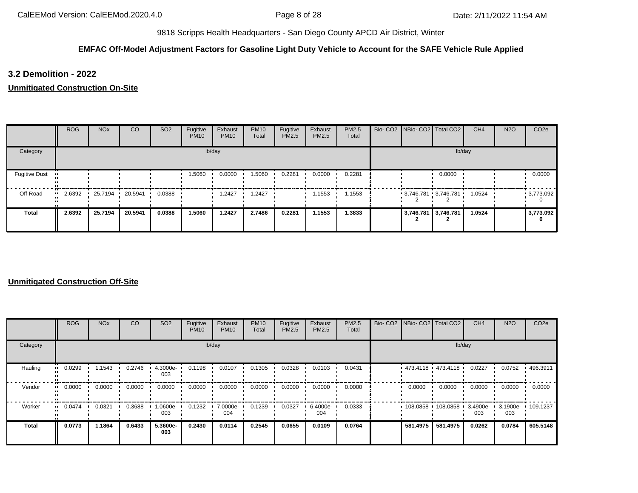## **EMFAC Off-Model Adjustment Factors for Gasoline Light Duty Vehicle to Account for the SAFE Vehicle Rule Applied**

**3.2 Demolition - 2022**

**Unmitigated Construction On-Site**

|                      | <b>ROG</b> | <b>NO<sub>x</sub></b> | CO                      | SO <sub>2</sub> | Fugitive<br><b>PM10</b> | Exhaust<br><b>PM10</b> | <b>PM10</b><br>Total | Fugitive<br>PM2.5 | Exhaust<br>PM2.5 | PM2.5<br>Total |  | Bio- CO2   NBio- CO2   Total CO2 | CH <sub>4</sub> | <b>N2O</b> | CO <sub>2e</sub> |
|----------------------|------------|-----------------------|-------------------------|-----------------|-------------------------|------------------------|----------------------|-------------------|------------------|----------------|--|----------------------------------|-----------------|------------|------------------|
| Category             |            |                       |                         |                 |                         | lb/day                 |                      |                   |                  |                |  |                                  | lb/day          |            |                  |
| <b>Fugitive Dust</b> |            |                       |                         |                 | 1.5060                  | 0.0000                 | 1.5060               | 0.2281            | 0.0000           | 0.2281         |  | 0.0000                           |                 |            | 0.0000           |
| Off-Road             | $-2.6392$  | 25.7194               | $\cdot$ 20.5941 $\cdot$ | 0.0388          |                         | 1.2427                 | 1.2427               |                   | 1.1553           | 1.1553         |  | $3,746.781$ 3,746.781            | 1.0524          |            | 9,773.092        |
| Total                | 2.6392     | 25.7194               | 20.5941                 | 0.0388          | 1.5060                  | 1.2427                 | 2.7486               | 0.2281            | 1.1553           | 1.3833         |  | 3,746.781 3,746.781              | 1.0524          |            | 3,773.092<br>0   |

|              | <b>ROG</b>            | <b>NO<sub>x</sub></b> | CO     | SO <sub>2</sub> | Fugitive<br><b>PM10</b> | Exhaust<br><b>PM10</b> | <b>PM10</b><br>Total | Fugitive<br>PM2.5 | Exhaust<br><b>PM2.5</b> | PM2.5<br>Total |          | Bio- CO2   NBio- CO2   Total CO2 | CH <sub>4</sub>    | <b>N2O</b>               | CO <sub>2e</sub> |
|--------------|-----------------------|-----------------------|--------|-----------------|-------------------------|------------------------|----------------------|-------------------|-------------------------|----------------|----------|----------------------------------|--------------------|--------------------------|------------------|
| Category     |                       |                       |        |                 |                         | lb/day                 |                      |                   |                         |                |          | lb/day                           |                    |                          |                  |
| Hauling      | 0.0299<br>            | 1.1543                | 0.2746 | 4.3000e-<br>003 | 0.1198                  | 0.0107                 | 0.1305               | 0.0328            | 0.0103                  | 0.0431         |          | $473.4118$ $473.4118$            | 0.0227             | 0.0752                   | .496.3911        |
| Vendor       | $\blacksquare$ 0.0000 | 0.0000                | 0.0000 | 0.0000          | 0.0000                  | 0.0000                 | 0.0000               | 0.0000            | 0.0000                  | 0.0000         | 0.0000   | 0.0000                           | 0.0000             | 0.0000                   | 0.0000           |
| Worker       | 0.0474<br>. .         | 0.0321                | 0.3688 | -.0600e<br>003  | 0.1232                  | 7.0000e-<br>004        | 0.1239               | 0.0327            | 6.4000e-<br>004         | 0.0333         | 108.0858 | 108.0858                         | $3.4900e -$<br>003 | 3.1900e- 109.1237<br>003 |                  |
| <b>Total</b> | 0.0773                | 1.1864                | 0.6433 | 5.3600e-<br>003 | 0.2430                  | 0.0114                 | 0.2545               | 0.0655            | 0.0109                  | 0.0764         | 581.4975 | 581.4975                         | 0.0262             | 0.0784                   | 605.5148         |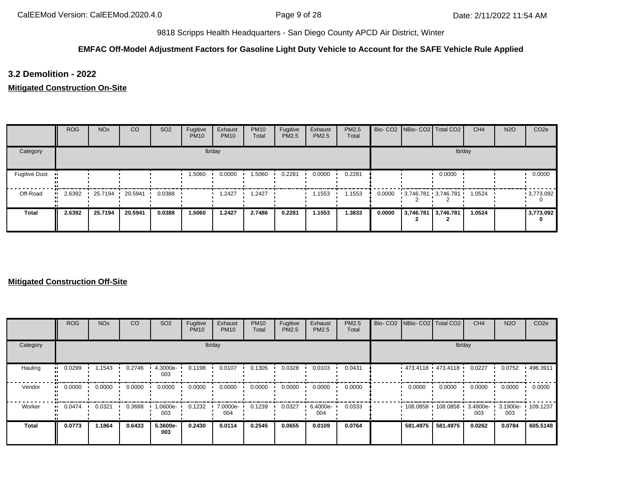## **EMFAC Off-Model Adjustment Factors for Gasoline Light Duty Vehicle to Account for the SAFE Vehicle Rule Applied**

**3.2 Demolition - 2022**

**Mitigated Construction On-Site**

|                      | ROG    | <b>NO<sub>x</sub></b> | CO              | SO <sub>2</sub> | Fugitive<br><b>PM10</b> | Exhaust<br><b>PM10</b> | <b>PM10</b><br>Total | Fugitive<br>PM2.5 | Exhaust<br>PM2.5 | PM2.5<br>Total |        | Bio- CO2   NBio- CO2   Total CO2 |        | CH <sub>4</sub> | <b>N2O</b> | CO <sub>2e</sub> |
|----------------------|--------|-----------------------|-----------------|-----------------|-------------------------|------------------------|----------------------|-------------------|------------------|----------------|--------|----------------------------------|--------|-----------------|------------|------------------|
| Category             |        |                       |                 |                 |                         | lb/day                 |                      |                   |                  |                |        |                                  | lb/day |                 |            |                  |
| <b>Fugitive Dust</b> |        |                       |                 |                 | 1.5060                  | 0.0000                 | 1.5060               | 0.2281            | 0.0000           | 0.2281         |        |                                  | 0.0000 |                 |            | 0.0000           |
| Off-Road             | 2.6392 |                       | 25.7194 20.5941 | 0.0388          |                         | 2427. ا                | .2427                |                   | 1.1553           | 1.1553         | 0.0000 | 3,746.781 3,746.781              |        | 1.0524          |            | 9,773.092        |
| <b>Total</b>         | 2.6392 | 25.7194               | 20.5941         | 0.0388          | 1.5060                  | 1.2427                 | 2.7486               | 0.2281            | 1.1553           | 1.3833         | 0.0000 | 3,746.781 3,746.781              |        | 1.0524          |            | 3,773.092<br>0   |

|              | ROG    | <b>NO<sub>x</sub></b> | <sub>CO</sub> | SO <sub>2</sub> | Fugitive<br><b>PM10</b> | Exhaust<br><b>PM10</b> | <b>PM10</b><br>Total | Fugitive<br>PM2.5 | Exhaust<br>PM2.5 | <b>PM2.5</b><br>Total | Bio- CO2   NBio- CO2   Total CO2 |                     | CH <sub>4</sub>    | <b>N2O</b>               | CO <sub>2e</sub> |
|--------------|--------|-----------------------|---------------|-----------------|-------------------------|------------------------|----------------------|-------------------|------------------|-----------------------|----------------------------------|---------------------|--------------------|--------------------------|------------------|
| Category     |        |                       |               |                 |                         | lb/day                 |                      |                   |                  |                       |                                  | lb/day              |                    |                          |                  |
| Hauling      | 0.0299 | .1543                 | 0.2746        | 4.3000e-<br>003 | 0.1198                  | 0.0107                 | 0.1305               | 0.0328            | 0.0103           | 0.0431                | 473.4118 473.4118                |                     | 0.0227             | 0.0752                   | .496.3911        |
| Vendor       | 0.0000 | 0.0000                | 0.0000        | 0.0000          | 0.0000                  | 0.0000                 | 0.0000               | 0.0000            | 0.0000           | 0.0000                | 0.0000                           | 0.0000              | 0.0000             | 0.0000                   | 0.0000           |
| Worker       | 0.0474 | 0.0321                | 0.3688        | -0600e-1<br>003 | 0.1232                  | 7.0000e-<br>004        | 0.1239               | 0.0327            | 6.4000e-<br>004  | 0.0333                |                                  | 108.0858 108.0858 ' | $3.4900e -$<br>003 | 3.1900e- 109.1237<br>003 |                  |
| <b>Total</b> | 0.0773 | 1.1864                | 0.6433        | 5.3600e-<br>003 | 0.2430                  | 0.0114                 | 0.2545               | 0.0655            | 0.0109           | 0.0764                | 581.4975                         | 581.4975            | 0.0262             | 0.0784                   | 605.5148         |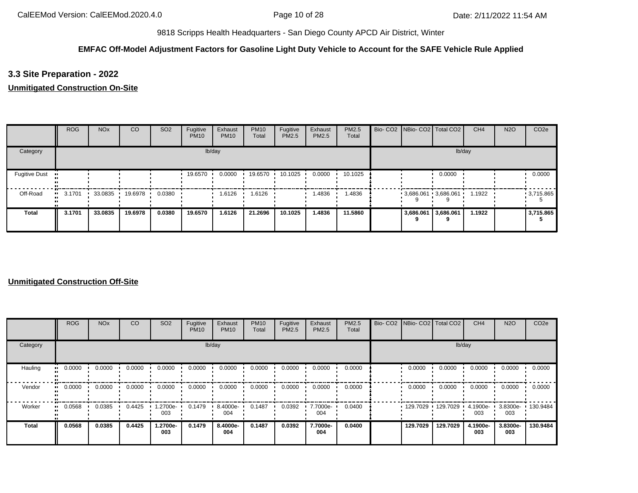## **EMFAC Off-Model Adjustment Factors for Gasoline Light Duty Vehicle to Account for the SAFE Vehicle Rule Applied**

## **3.3 Site Preparation - 2022**

## **Unmitigated Construction On-Site**

|                      | <b>ROG</b> | <b>NO<sub>x</sub></b> | <sub>CO</sub> | SO <sub>2</sub> | Fugitive<br><b>PM10</b> | Exhaust<br><b>PM10</b> | <b>PM10</b><br>Total | Fugitive<br>PM2.5 | Exhaust<br>PM2.5 | <b>PM2.5</b><br>Total |           | Bio- CO2 NBio- CO2 Total CO2 | CH <sub>4</sub> | <b>N2O</b> | CO <sub>2e</sub> |
|----------------------|------------|-----------------------|---------------|-----------------|-------------------------|------------------------|----------------------|-------------------|------------------|-----------------------|-----------|------------------------------|-----------------|------------|------------------|
| Category             |            |                       |               |                 |                         | lb/day                 |                      |                   |                  |                       |           |                              | lb/day          |            |                  |
| <b>Fugitive Dust</b> |            |                       |               |                 | 19.6570                 | 0.0000                 | 19.6570              | 10.1025           | 0.0000           | 10.1025               |           | 0.0000                       |                 |            | 0.0000           |
| Off-Road             | 3.1701     | 33.0835               | 19.6978       | 0.0380          |                         | 1.6126                 | 1.6126               |                   | 1.4836           | .4836                 |           | $-3,686.061 - 3,686.061$     | 1.1922          |            | $-3,715.865$     |
| <b>Total</b>         | 3.1701     | 33.0835               | 19.6978       | 0.0380          | 19.6570                 | 1.6126                 | 21.2696              | 10.1025           | 1.4836           | 11.5860               | 3,686.061 | 3,686.061<br>q               | 1.1922          |            | 3,715.865        |

|          | <b>ROG</b>    | <b>NO<sub>x</sub></b> | CO     | SO <sub>2</sub> | Fugitive<br><b>PM10</b> | Exhaust<br><b>PM10</b> | <b>PM10</b><br>Total | Fugitive<br><b>PM2.5</b> | Exhaust<br>PM2.5 | PM2.5<br>Total | Bio- CO2   NBio- CO2   Total CO2 |          | CH <sub>4</sub> | <b>N2O</b>      | CO <sub>2e</sub> |
|----------|---------------|-----------------------|--------|-----------------|-------------------------|------------------------|----------------------|--------------------------|------------------|----------------|----------------------------------|----------|-----------------|-----------------|------------------|
| Category |               |                       |        |                 |                         | lb/day                 |                      |                          |                  |                |                                  | lb/day   |                 |                 |                  |
| Hauling  | 0.0000<br>    | 0.0000                | 0.0000 | 0.0000          | 0.0000                  | 0.0000                 | 0.0000               | 0.0000                   | 0.0000           | 0.0000         | 0.0000                           | 0.0000   | 0.0000          | 0.0000          | 0.0000           |
| Vendor   | 0.0000<br>. . | 0.0000                | 0.0000 | 0.0000          | 0.0000                  | 0.0000                 | 0.0000               | 0.0000                   | 0.0000           | 0.0000         | 0.0000                           | 0.0000   | 0.0000          | 0.0000          | 0.0000           |
| Worker   | 0.0568<br>    | 0.0385                | 0.4425 | -2700e.<br>003  | 0.1479                  | 8.4000e-<br>004        | 0.1487               | 0.0392                   | 7.7000e-<br>004  | 0.0400         | 129.7029                         | 129.7029 | 4.1900e-<br>003 | 3.8300e-<br>003 | 130.9484         |
| Total    | 0.0568        | 0.0385                | 0.4425 | 1.2700e-<br>003 | 0.1479                  | 8.4000e-<br>004        | 0.1487               | 0.0392                   | 7.7000e-<br>004  | 0.0400         | 129.7029                         | 129.7029 | 4.1900e-<br>003 | 3.8300e-<br>003 | 130.9484         |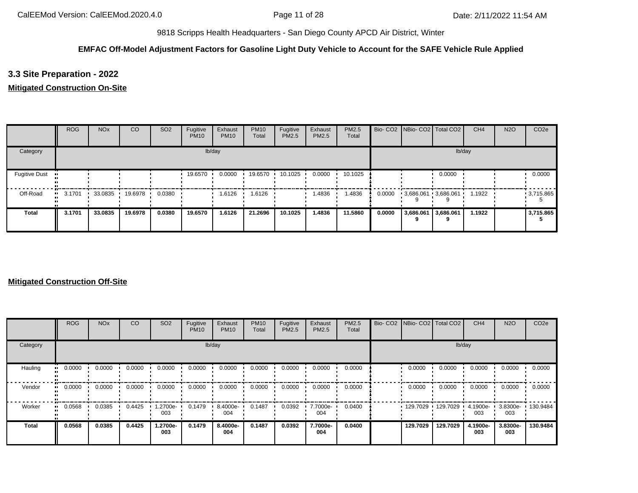## **EMFAC Off-Model Adjustment Factors for Gasoline Light Duty Vehicle to Account for the SAFE Vehicle Rule Applied**

**3.3 Site Preparation - 2022**

**Mitigated Construction On-Site**

|                      | <b>ROG</b> | <b>NO<sub>x</sub></b> | CO      | SO <sub>2</sub> | Fugitive<br><b>PM10</b> | Exhaust<br><b>PM10</b> | <b>PM10</b><br>Total | Fugitive<br>PM2.5 | Exhaust<br>PM2.5 | PM2.5<br>Total |        | Bio- CO2   NBio- CO2   Total CO2 |        | CH <sub>4</sub> | <b>N2O</b> | CO <sub>2e</sub> |
|----------------------|------------|-----------------------|---------|-----------------|-------------------------|------------------------|----------------------|-------------------|------------------|----------------|--------|----------------------------------|--------|-----------------|------------|------------------|
| Category             |            |                       |         |                 |                         | lb/day                 |                      |                   |                  |                |        |                                  | lb/day |                 |            |                  |
| <b>Fugitive Dust</b> |            |                       |         |                 | 19.6570                 | 0.0000                 | 19.6570              | 10.1025           | 0.0000           | 10.1025        |        |                                  | 0.0000 |                 |            | 0.0000           |
| Off-Road             | 3.1701<br> | 33.0835               | 19.6978 | 0.0380          |                         | 1.6126                 | .6126                |                   | 1.4836           | 1.4836         | 0.0000 | $-3,686.061 - 3,686.061$         |        | 1.1922          |            | 9,715.865        |
| <b>Total</b>         | 3.1701     | 33.0835               | 19.6978 | 0.0380          | 19.6570                 | 1.6126                 | 21.2696              | 10.1025           | 1.4836           | 11.5860        | 0.0000 | 3,686.061 3,686.061              | 9      | 1.1922          |            | 3,715.865        |

|              | <b>ROG</b> | <b>NO<sub>x</sub></b> | <sub>CO</sub> | SO <sub>2</sub> | Fugitive<br><b>PM10</b> | Exhaust<br><b>PM10</b> | <b>PM10</b><br>Total | Fugitive<br>PM2.5 | Exhaust<br>PM2.5 | <b>PM2.5</b><br>Total | Bio- CO2 NBio- CO2 Total CO2 |          | CH <sub>4</sub> | <b>N2O</b>               | CO <sub>2e</sub> |
|--------------|------------|-----------------------|---------------|-----------------|-------------------------|------------------------|----------------------|-------------------|------------------|-----------------------|------------------------------|----------|-----------------|--------------------------|------------------|
| Category     |            |                       |               |                 |                         | lb/day                 |                      |                   |                  |                       |                              | lb/day   |                 |                          |                  |
| Hauling      | 0.0000     | 0.0000                | 0.0000        | 0.0000          | 0.0000                  | 0.0000                 | 0.0000               | 0.0000            | 0.0000           | 0.0000                | 0.0000                       | 0.0000   | 0.0000          | 0.0000                   | 0.0000           |
| Vendor       | 0.0000     | 0.0000                | 0.0000        | 0.0000          | 0.0000                  | 0.0000                 | 0.0000               | 0.0000            | 0.0000           | 0.0000                | 0.0000                       | 0.0000   | 0.0000          | 0.0000                   | 0.0000           |
| Worker       | 0.0568     | 0.0385                | 0.4425        | 1.2700e-<br>003 | 0.1479                  | 8.4000e-<br>004        | 0.1487               | 0.0392            | 7.7000e-<br>004  | 0.0400                | 129.7029                     | 129.7029 | 4.1900e-<br>003 | 3.8300e- 130.9484<br>003 |                  |
| <b>Total</b> | 0.0568     | 0.0385                | 0.4425        | 1.2700e-<br>003 | 0.1479                  | 8.4000e-<br>004        | 0.1487               | 0.0392            | 7.7000e-<br>004  | 0.0400                | 129.7029                     | 129.7029 | 4.1900e-<br>003 | 3.8300e-<br>003          | 130.9484         |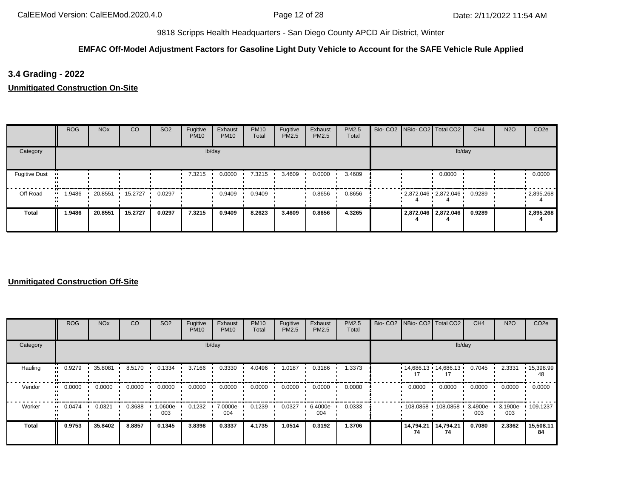## **EMFAC Off-Model Adjustment Factors for Gasoline Light Duty Vehicle to Account for the SAFE Vehicle Rule Applied**

**3.4 Grading - 2022**

**Unmitigated Construction On-Site**

|                      | <b>ROG</b>    | <b>NO<sub>x</sub></b> | <sub>CO</sub> | SO <sub>2</sub> | Fugitive<br><b>PM10</b> | Exhaust<br><b>PM10</b> | <b>PM10</b><br>Total | Fugitive<br>PM2.5 | Exhaust<br><b>PM2.5</b> | PM2.5<br>Total | Bio- CO2   NBio- CO2   Total CO2 |                     | CH4    | <b>N2O</b> | CO <sub>2e</sub>  |
|----------------------|---------------|-----------------------|---------------|-----------------|-------------------------|------------------------|----------------------|-------------------|-------------------------|----------------|----------------------------------|---------------------|--------|------------|-------------------|
| Category             |               |                       |               |                 |                         | lb/day                 |                      |                   |                         |                |                                  | lb/day              |        |            |                   |
| <b>Fugitive Dust</b> |               |                       |               |                 | 7.3215                  | 0.0000                 | 7.3215               | 3.4609            | 0.0000                  | 3.4609         |                                  | 0.0000              |        |            | 0.0000            |
| Off-Road             | 1.9486<br>. . | 20.8551               | 15.2727       | 0.0297          |                         | 0.9409                 | 0.9409               |                   | 0.8656                  | 0.8656         | $2,872.046$ $2,872.046$          |                     | 0.9289 |            | $\cdot$ 2,895.268 |
| Total                | 1.9486        | 20.8551               | 15.2727       | 0.0297          | 7.3215                  | 0.9409                 | 8.2623               | 3.4609            | 0.8656                  | 4.3265         |                                  | 2,872.046 2,872.046 | 0.9289 |            | 2,895.268         |

|          | <b>ROG</b>            | <b>NO<sub>x</sub></b> | CO     | SO <sub>2</sub> | Fugitive<br><b>PM10</b> | Exhaust<br><b>PM10</b> | <b>PM10</b><br>Total | Fugitive<br>PM2.5 | Exhaust<br>PM2.5 | PM2.5<br>Total | Bio- CO2 NBio- CO2 Total CO2 |                 | CH <sub>4</sub> | <b>N2O</b>                            | CO <sub>2e</sub>        |
|----------|-----------------------|-----------------------|--------|-----------------|-------------------------|------------------------|----------------------|-------------------|------------------|----------------|------------------------------|-----------------|-----------------|---------------------------------------|-------------------------|
| Category |                       |                       |        |                 |                         | lb/day                 |                      |                   |                  |                |                              | lb/day          |                 |                                       |                         |
| Hauling  | 0.9279<br>            | 35.8081               | 8.5170 | 0.1334          | 3.7166                  | 0.3330                 | 4.0496               | 1.0187            | 0.3186           | 1.3373         | $14,686.13$ $14,686.13$      |                 | 0.7045          | 2.3331                                | $\cdot$ 15,398.99<br>48 |
| Vendor   | $\blacksquare$ 0.0000 | 0.0000                | 0.0000 | 0.0000          | 0.0000                  | 0.0000                 | 0.0000               | 0.0000            | 0.0000           | 0.0000         | 0.0000                       | 0.0000          | 0.0000          | 0.0000                                | 0.0000                  |
| Worker   | 0.0474<br>            | 0.0321                | 0.3688 | -0600e.<br>003  | 0.1232                  | 7.0000e-<br>004        | 0.1239               | 0.0327            | 6.4000e-<br>004  | 0.0333         | 108.0858                     | 108.0858        | 003             | 3.4900e- 1 3.1900e- 1 109.1237<br>003 |                         |
| Total    | 0.9753                | 35,8402               | 8.8857 | 0.1345          | 3.8398                  | 0.3337                 | 4.1735               | 1.0514            | 0.3192           | 1.3706         | 14,794.21<br>74              | 14,794.21<br>74 | 0.7080          | 2.3362                                | 15,508.11<br>84         |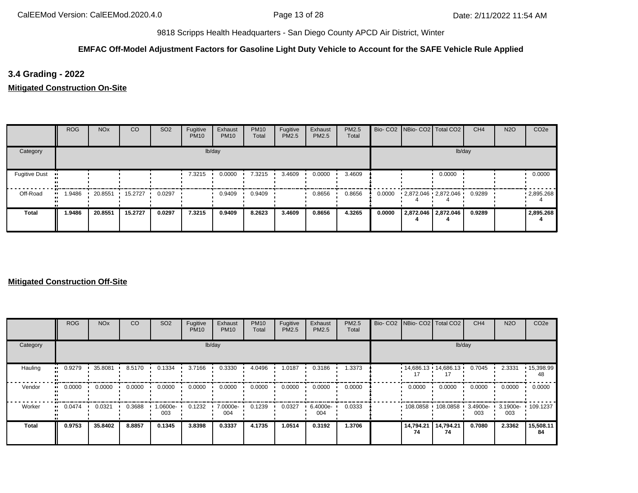## **EMFAC Off-Model Adjustment Factors for Gasoline Light Duty Vehicle to Account for the SAFE Vehicle Rule Applied**

**3.4 Grading - 2022**

**Mitigated Construction On-Site**

|                      | <b>ROG</b>    | <b>NO<sub>x</sub></b> | <sub>CO</sub>   | SO <sub>2</sub> | Fugitive<br><b>PM10</b> | Exhaust<br><b>PM10</b> | <b>PM10</b><br>Total | Fugitive<br>PM2.5 | Exhaust<br>PM2.5 | PM2.5<br>Total |        | Bio- CO2   NBio- CO2   Total CO2 |                     | CH <sub>4</sub> | <b>N2O</b> | CO <sub>2e</sub> |
|----------------------|---------------|-----------------------|-----------------|-----------------|-------------------------|------------------------|----------------------|-------------------|------------------|----------------|--------|----------------------------------|---------------------|-----------------|------------|------------------|
| Category             |               |                       |                 |                 |                         | lb/day                 |                      |                   |                  |                |        |                                  |                     | lb/day          |            |                  |
| <b>Fugitive Dust</b> |               |                       |                 |                 | 7.3215                  | 0.0000                 | 7.3215               | 3.4609            | 0.0000           | 3.4609         |        |                                  | 0.0000              |                 |            | 0.0000           |
| Off-Road             | 1.9486<br>. . | 20.8551               | $\cdot$ 15.2727 | 0.0297          |                         | 0.9409                 | 0.9409               |                   | 0.8656           | 0.8656         | 0.0000 | 2,872.046 2,872.046              |                     | 0.9289          |            | .2,895.268       |
| <b>Total</b>         | 1.9486        | 20.8551               | 15.2727         | 0.0297          | 7.3215                  | 0.9409                 | 8.2623               | 3.4609            | 0.8656           | 4.3265         | 0.0000 |                                  | 2,872.046 2,872.046 | 0.9289          |            | 2,895.268        |

|              | <b>ROG</b>   | <b>NO<sub>x</sub></b> | CO     | SO <sub>2</sub> | Fugitive<br><b>PM10</b> | Exhaust<br><b>PM10</b> | <b>PM10</b><br>Total | Fugitive<br><b>PM2.5</b> | Exhaust<br>PM2.5 | PM2.5<br>Total | Bio- CO2 NBio- CO2 Total CO2 |                 | CH <sub>4</sub>    | <b>N2O</b>               | CO <sub>2e</sub> |
|--------------|--------------|-----------------------|--------|-----------------|-------------------------|------------------------|----------------------|--------------------------|------------------|----------------|------------------------------|-----------------|--------------------|--------------------------|------------------|
| Category     |              |                       |        |                 |                         | lb/day                 |                      |                          |                  |                |                              | lb/day          |                    |                          |                  |
| Hauling      | 0.9279<br>   | 35.8081               | 8.5170 | 0.1334          | 3.7166                  | 0.3330                 | 4.0496               | 1.0187                   | 0.3186           | 1.3373         | $14,686.13$ 14,686.13        |                 | 0.7045             | 2.3331                   | 15,398.99<br>48  |
| Vendor       | 0.0000<br>   | 0.0000                | 0.0000 | 0.0000          | 0.0000                  | 0.0000                 | 0.0000               | 0.0000                   | 0.0000           | 0.0000         | 0.0000                       | 0.0000          | 0.0000             | 0.0000                   | 0.0000           |
| Worker       | 0.0474<br>ш. | 0.0321                | 0.3688 | -0600e.<br>003  | 0.1232                  | 7.0000e-<br>004        | 0.1239               | 0.0327                   | 6.4000e-<br>004  | 0.0333         | 108.0858                     | 108.0858        | $3.4900e -$<br>003 | 3.1900e- 109.1237<br>003 |                  |
| <b>Total</b> | 0.9753       | 35.8402               | 8.8857 | 0.1345          | 3.8398                  | 0.3337                 | 4.1735               | 1.0514                   | 0.3192           | 1.3706         | 14,794.21<br>74              | 14,794.21<br>74 | 0.7080             | 2.3362                   | 15,508.11<br>84  |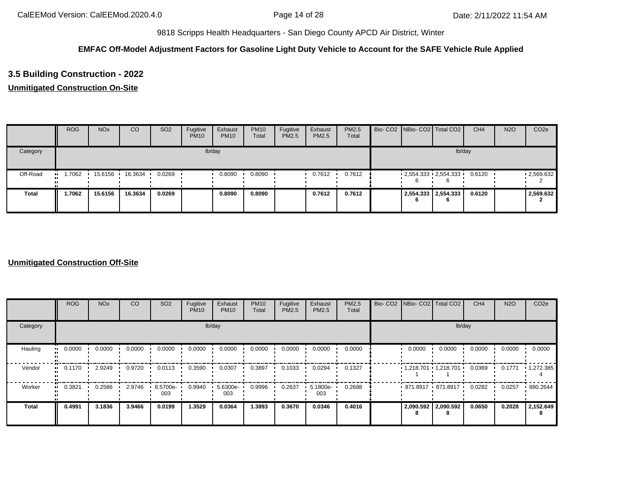## **EMFAC Off-Model Adjustment Factors for Gasoline Light Duty Vehicle to Account for the SAFE Vehicle Rule Applied**

# **3.5 Building Construction - 2022**

## **Unmitigated Construction On-Site**

|              | <b>ROG</b> | <b>NO<sub>x</sub></b> | CO      | SO <sub>2</sub> | Fugitive<br><b>PM10</b> | Exhaust<br><b>PM10</b> | <b>PM10</b><br>Total | Fugitive<br>PM2.5 | Exhaust<br>PM2.5 | <b>PM2.5</b><br>Total |  | Bio- CO2 NBio- CO2 Total CO2 | CH <sub>4</sub> | <b>N2O</b> | CO <sub>2e</sub> |
|--------------|------------|-----------------------|---------|-----------------|-------------------------|------------------------|----------------------|-------------------|------------------|-----------------------|--|------------------------------|-----------------|------------|------------------|
| Category     |            |                       |         |                 |                         | lb/day                 |                      |                   |                  |                       |  | lb/day                       |                 |            |                  |
| Off-Road     | .7062      | 15.6156               | 16.3634 | 0.0269          |                         | 0.8090                 | 0.8090               |                   | 0.7612           | 0.7612                |  | $2,554.333$ $2,554.333$      | 0.6120          |            | .2,569.632       |
| <b>Total</b> | 1.7062     | 15.6156               | 16.3634 | 0.0269          |                         | 0.8090                 | 0.8090               |                   | 0.7612           | 0.7612                |  | 2,554.333 2,554.333<br>6     | 0.6120          |            | 2,569.632        |

|                      | <b>ROG</b> | <b>NO<sub>x</sub></b> | CO     | SO <sub>2</sub> | Fugitive<br><b>PM10</b> | Exhaust<br><b>PM10</b> | <b>PM10</b><br>Total | Fugitive<br>PM2.5 | Exhaust<br><b>PM2.5</b> | PM2.5<br>Total | Bio- CO2   NBio- CO2   Total CO2 |                       | CH <sub>4</sub> | <b>N2O</b> | CO <sub>2e</sub>  |
|----------------------|------------|-----------------------|--------|-----------------|-------------------------|------------------------|----------------------|-------------------|-------------------------|----------------|----------------------------------|-----------------------|-----------------|------------|-------------------|
| Category             |            |                       |        |                 | lb/day                  |                        |                      |                   |                         |                |                                  | lb/day                |                 |            |                   |
| Hauling<br>$\bullet$ | 0.0000     | 0.0000                | 0.0000 | 0.0000          | 0.0000                  | 0.0000                 | 0.0000               | 0.0000            | 0.0000                  | 0.0000         | 0.0000                           | 0.0000                | 0.0000          | 0.0000     | 0.0000            |
| Vendor<br>$\bullet$  | 0.1170     | 2.9249                | 0.9720 | 0.0113          | 0.3590                  | 0.0307                 | 0.3897               | 0.1033            | 0.0294                  | 0.1327         |                                  | $1,218.701$ 1,218.701 | 0.0369          | 0.1771     | $\cdot$ 1,272.385 |
| Worker               | 0.3821     | 0.2586                | 2.9746 | 8.5700e-<br>003 | 0.9940                  | 5.6300e-<br>003        | 0.9996               | 0.2637            | 5.1800e-<br>003         | 0.2688         |                                  | 871.8917 871.8917     | 0.0282          | 0.0257     | 880.2644          |
| <b>Total</b>         | 0.4991     | 3.1836                | 3.9466 | 0.0199          | 1.3529                  | 0.0364                 | 1.3893               | 0.3670            | 0.0346                  | 0.4016         | 2,090.592 2,090.592<br>0         |                       | 0.0650          | 0.2028     | 2,152.649         |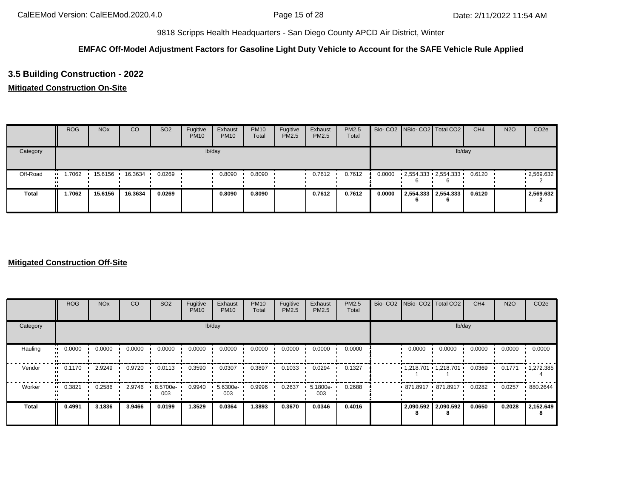## **EMFAC Off-Model Adjustment Factors for Gasoline Light Duty Vehicle to Account for the SAFE Vehicle Rule Applied**

# **3.5 Building Construction - 2022**

## **Mitigated Construction On-Site**

|              | <b>ROG</b> | <b>NO<sub>x</sub></b> | CO      | SO <sub>2</sub> | Fugitive<br><b>PM10</b> | Exhaust<br><b>PM10</b> | <b>PM10</b><br>Total | Fugitive<br>PM2.5 | Exhaust<br><b>PM2.5</b> | <b>PM2.5</b><br>Total |        | Bio- CO2 NBio- CO2 Total CO2 | CH <sub>4</sub> | <b>N2O</b> | CO <sub>2e</sub> |
|--------------|------------|-----------------------|---------|-----------------|-------------------------|------------------------|----------------------|-------------------|-------------------------|-----------------------|--------|------------------------------|-----------------|------------|------------------|
| Category     |            |                       |         |                 |                         | lb/day                 |                      |                   |                         |                       |        | lb/day                       |                 |            |                  |
| Off-Road     | .7062      | 15.6156               | 16.3634 | 0.0269          |                         | 0.8090                 | 0.8090               |                   | 0.7612                  | 0.7612                | 0.0000 | 2,554.333 2,554.333          | 0.6120          |            | .2,569.632       |
| <b>Total</b> | 1.7062     | 15.6156               | 16.3634 | 0.0269          |                         | 0.8090                 | 0.8090               |                   | 0.7612                  | 0.7612                | 0.0000 | 2,554.333 2,554.333<br>6     | 0.6120          |            | 2,569.632        |

|                     | <b>ROG</b>          | <b>NO<sub>x</sub></b> | CO     | SO <sub>2</sub> | Fugitive<br><b>PM10</b> | Exhaust<br><b>PM10</b> | <b>PM10</b><br>Total | Fugitive<br>PM2.5 | Exhaust<br>PM2.5 | PM2.5<br>Total | Bio- CO2 NBio- CO2 Total CO2 |                     | CH <sub>4</sub> | <b>N2O</b> | CO <sub>2e</sub>  |
|---------------------|---------------------|-----------------------|--------|-----------------|-------------------------|------------------------|----------------------|-------------------|------------------|----------------|------------------------------|---------------------|-----------------|------------|-------------------|
| Category            |                     |                       |        |                 |                         | lb/day                 |                      |                   |                  |                |                              | lb/day              |                 |            |                   |
| Hauling             | 0.0000<br>ш.        | 0.0000                | 0.0000 | 0.0000          | 0.0000                  | 0.0000                 | 0.0000               | 0.0000            | 0.0000           | 0.0000         | 0.0000                       | 0.0000              | 0.0000          | 0.0000     | 0.0000            |
| Vendor              | 0.1170<br>$\bullet$ | 2.9249                | 0.9720 | 0.0113          | 0.3590                  | 0.0307                 | 0.3897               | 0.1033            | 0.0294           | 0.1327         | $1,218.701$ 1,218.701        |                     | 0.0369          | 0.1771     | $\cdot$ 1,272.385 |
| Worker<br>$\bullet$ | 0.3821              | 0.2586                | 2.9746 | 8.5700e-<br>003 | 0.9940                  | 5.6300e-<br>003        | 0.9996               | 0.2637            | 5.1800e-<br>003  | 0.2688         | 871.8917 871.8917            |                     | 0.0282          | 0.0257     | 880.2644          |
| <b>Total</b>        | 0.4991              | 3.1836                | 3.9466 | 0.0199          | 1.3529                  | 0.0364                 | 1.3893               | 0.3670            | 0.0346           | 0.4016         |                              | 2,090.592 2,090.592 | 0.0650          | 0.2028     | 2,152.649         |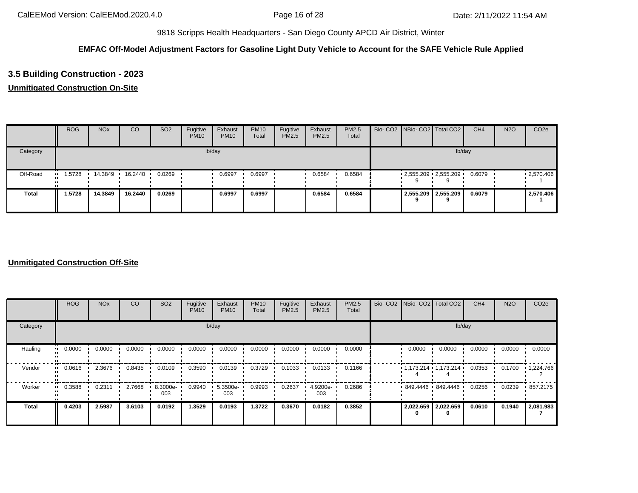## **EMFAC Off-Model Adjustment Factors for Gasoline Light Duty Vehicle to Account for the SAFE Vehicle Rule Applied**

# **3.5 Building Construction - 2023**

## **Unmitigated Construction On-Site**

|              | <b>ROG</b> | <b>NO<sub>x</sub></b> | <sub>co</sub> | SO <sub>2</sub> | Fugitive<br><b>PM10</b> | Exhaust<br><b>PM10</b> | <b>PM10</b><br>Total | Fugitive<br>PM2.5 | Exhaust<br>PM2.5 | <b>PM2.5</b><br>Total |  | Bio- CO2   NBio- CO2   Total CO2 | CH <sub>4</sub> | <b>N2O</b> | CO <sub>2e</sub> |
|--------------|------------|-----------------------|---------------|-----------------|-------------------------|------------------------|----------------------|-------------------|------------------|-----------------------|--|----------------------------------|-----------------|------------|------------------|
| Category     |            |                       |               |                 |                         | lb/day                 |                      |                   |                  |                       |  | lb/day                           |                 |            |                  |
| Off-Road     | .5728      | 14.3849               | 16.2440 ·     | 0.0269          |                         | 0.6997                 | 0.6997               |                   | 0.6584           | 0.6584                |  | $-2,555.209 - 2,555.209$         | 0.6079          |            | .2570.406        |
| <b>Total</b> | 1.5728     | 14.3849               | 16.2440       | 0.0269          |                         | 0.6997                 | 0.6997               |                   | 0.6584           | 0.6584                |  | 2,555.209 2,555.209              | 0.6079          |            | 2,570.406        |

|                      | <b>ROG</b> | <b>NO<sub>x</sub></b> | CO     | SO <sub>2</sub> | Fugitive<br><b>PM10</b> | Exhaust<br><b>PM10</b> | <b>PM10</b><br>Total | Fugitive<br>PM2.5 | Exhaust<br><b>PM2.5</b> | PM2.5<br>Total | Bio- CO2   NBio- CO2   Total CO2 |        | CH <sub>4</sub> | <b>N2O</b> | CO <sub>2e</sub>  |
|----------------------|------------|-----------------------|--------|-----------------|-------------------------|------------------------|----------------------|-------------------|-------------------------|----------------|----------------------------------|--------|-----------------|------------|-------------------|
| Category             |            |                       |        |                 | lb/day                  |                        |                      |                   |                         |                |                                  | lb/day |                 |            |                   |
| Hauling<br>$\bullet$ | 0.0000     | 0.0000                | 0.0000 | 0.0000          | 0.0000                  | 0.0000                 | 0.0000               | 0.0000            | 0.0000                  | 0.0000         | 0.0000                           | 0.0000 | 0.0000          | 0.0000     | 0.0000            |
| Vendor<br>$\bullet$  | 0.0616     | 2.3676                | 0.8435 | 0.0109          | 0.3590                  | 0.0139                 | 0.3729               | 0.1033            | 0.0133                  | 0.1166         | $1,173.214$ $1,173.214$          |        | 0.0353          | 0.1700     | $\cdot$ 1,224.766 |
| Worker               | 0.3588     | 0.2311                | 2.7668 | 8.3000e-<br>003 | 0.9940                  | 5.3500e-<br>003        | 0.9993               | 0.2637            | 4.9200e-<br>003         | 0.2686         | 849.4446 849.4446                |        | 0.0256          | 0.0239     | .857.2175         |
| <b>Total</b>         | 0.4203     | 2.5987                | 3.6103 | 0.0192          | 1.3529                  | 0.0193                 | 1.3722               | 0.3670            | 0.0182                  | 0.3852         | 2,022.659 2,022.659              |        | 0.0610          | 0.1940     | 2,081.983         |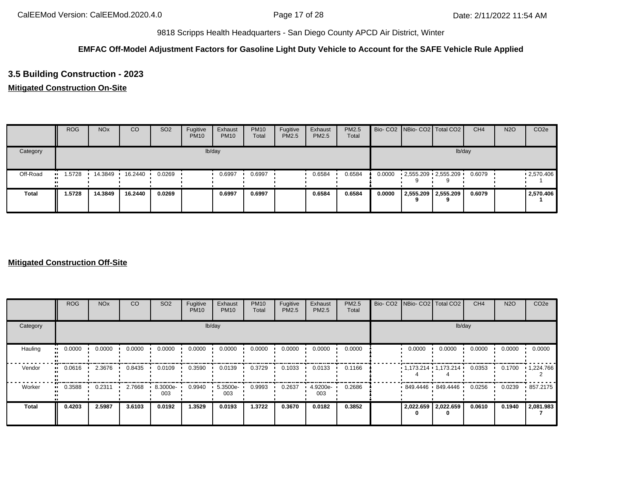## **EMFAC Off-Model Adjustment Factors for Gasoline Light Duty Vehicle to Account for the SAFE Vehicle Rule Applied**

# **3.5 Building Construction - 2023**

## **Mitigated Construction On-Site**

|              | <b>ROG</b> | <b>NO<sub>x</sub></b> | CO        | SO <sub>2</sub> | Fugitive<br><b>PM10</b> | Exhaust<br><b>PM10</b> | <b>PM10</b><br>Total | Fugitive<br>PM2.5 | Exhaust<br>PM2.5 | <b>PM2.5</b><br>Total |        |   | Bio- CO2   NBio- CO2   Total CO2 | CH <sub>4</sub> | <b>N2O</b> | CO <sub>2e</sub> |
|--------------|------------|-----------------------|-----------|-----------------|-------------------------|------------------------|----------------------|-------------------|------------------|-----------------------|--------|---|----------------------------------|-----------------|------------|------------------|
| Category     |            |                       |           |                 |                         | lb/day                 |                      |                   |                  |                       |        |   |                                  | lb/day          |            |                  |
| Off-Road     | 1.5728<br> | 14.3849               | 16.2440 · | 0.0269          |                         | 0.6997                 | 0.6997               |                   | 0.6584           | 0.6584                | 0.0000 |   | $2,555.209$ $2,555.209$          | 0.6079          |            | .2570.406        |
| <b>Total</b> | 1.5728     | 14.3849               | 16.2440   | 0.0269          |                         | 0.6997                 | 0.6997               |                   | 0.6584           | 0.6584                | 0.0000 | 9 | 2,555.209 2,555.209              | 0.6079          |            | 2,570.406        |

|                     | <b>ROG</b> | <b>NO<sub>x</sub></b> | CO     | SO <sub>2</sub> | Fugitive<br><b>PM10</b> | Exhaust<br><b>PM10</b> | <b>PM10</b><br>Total | Fugitive<br>PM2.5 | Exhaust<br>PM2.5 | <b>PM2.5</b><br>Total | Bio- CO2 NBio- CO2 Total CO2 |                   | CH <sub>4</sub> | <b>N2O</b> | CO <sub>2e</sub>  |
|---------------------|------------|-----------------------|--------|-----------------|-------------------------|------------------------|----------------------|-------------------|------------------|-----------------------|------------------------------|-------------------|-----------------|------------|-------------------|
| Category            |            |                       |        |                 |                         | lb/day                 |                      |                   |                  |                       |                              | lb/day            |                 |            |                   |
| Hauling             | 0.0000     | 0.0000                | 0.0000 | 0.0000          | 0.0000                  | 0.0000                 | 0.0000               | 0.0000            | 0.0000           | 0.0000                | 0.0000                       | 0.0000            | 0.0000          | 0.0000     | 0.0000            |
| Vendor<br>$\bullet$ | 0.0616     | 2.3676                | 0.8435 | 0.0109          | 0.3590                  | 0.0139                 | 0.3729               | 0.1033            | 0.0133           | 0.1166                | $1,173.214$ $1,173.214$      |                   | 0.0353          | 0.1700     | $\cdot$ 1,224.766 |
| Worker<br>$\bullet$ | 0.3588     | 0.2311                | 2.7668 | 8.3000e-<br>003 | 0.9940                  | 5.3500e-<br>003        | 0.9993               | 0.2637            | 4.9200e-<br>003  | 0.2686                |                              | 849.4446 849.4446 | 0.0256          | 0.0239     | 857.2175          |
| <b>Total</b>        | 0.4203     | 2.5987                | 3.6103 | 0.0192          | 1.3529                  | 0.0193                 | 1.3722               | 0.3670            | 0.0182           | 0.3852                | 2,022.659 2,022.659<br>0     |                   | 0.0610          | 0.1940     | 2,081.983         |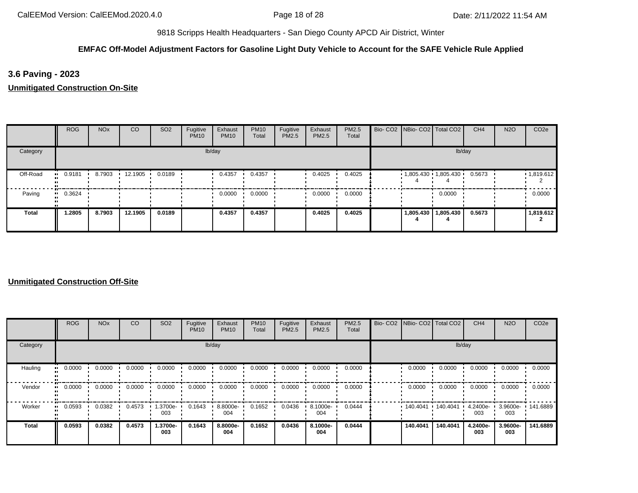## **EMFAC Off-Model Adjustment Factors for Gasoline Light Duty Vehicle to Account for the SAFE Vehicle Rule Applied**

**3.6 Paving - 2023**

**Unmitigated Construction On-Site**

|          | <b>ROG</b>            | <b>NO<sub>x</sub></b> | CO      | SO <sub>2</sub> | Fugitive<br><b>PM10</b> | Exhaust<br><b>PM10</b> | <b>PM10</b><br>Total | Fugitive<br>PM2.5 | Exhaust<br>PM2.5 | PM2.5<br>Total | Bio- CO2   NBio- CO2   Total CO2 |                       | CH <sub>4</sub> | <b>N2O</b> | CO <sub>2e</sub> |
|----------|-----------------------|-----------------------|---------|-----------------|-------------------------|------------------------|----------------------|-------------------|------------------|----------------|----------------------------------|-----------------------|-----------------|------------|------------------|
| Category |                       |                       |         |                 |                         | lb/day                 |                      |                   |                  |                |                                  | lb/day                |                 |            |                  |
| Off-Road | $-0.9181$             | 8.7903                | 12.1905 | 0.0189          |                         | 0.4357                 | 0.4357               |                   | 0.4025           | 0.4025         | $1,805.430$ 1,805.430            |                       | 0.5673          |            | 1,819.612        |
| Paving   | $\blacksquare$ 0.3624 |                       |         |                 |                         | 0.0000                 | 0.0000               |                   | 0.0000           | 0.0000         |                                  | 0.0000                |                 |            | 0.0000           |
| Total    | 1.2805                | 8.7903                | 12.1905 | 0.0189          |                         | 0.4357                 | 0.4357               |                   | 0.4025           | 0.4025         |                                  | 1,805.430   1,805.430 | 0.5673          |            | 1,819.612        |

|          | <b>ROG</b>            | <b>NO<sub>x</sub></b> | <b>CO</b> | SO <sub>2</sub> | Fugitive<br><b>PM10</b> | Exhaust<br><b>PM10</b> | <b>PM10</b><br>Total | Fugitive<br><b>PM2.5</b> | Exhaust<br>PM2.5 | PM2.5<br>Total | Bio- CO2   NBio- CO2   Total CO2 |          | CH <sub>4</sub>    | <b>N2O</b>               | CO <sub>2e</sub> |
|----------|-----------------------|-----------------------|-----------|-----------------|-------------------------|------------------------|----------------------|--------------------------|------------------|----------------|----------------------------------|----------|--------------------|--------------------------|------------------|
| Category |                       |                       |           |                 |                         | lb/day                 |                      |                          |                  |                |                                  | lb/day   |                    |                          |                  |
| Hauling  | 0.0000<br>            | 0.0000                | 0.0000    | 0.0000          | 0.0000                  | 0.0000                 | 0.0000               | 0.0000                   | 0.0000           | 0.0000         | 0.0000                           | 0.0000   | 0.0000             | 0.0000                   | 0.0000           |
| Vendor   | $\blacksquare$ 0.0000 | 0.0000                | 0.0000    | 0.0000          | 0.0000                  | 0.0000                 | 0.0000               | 0.0000                   | 0.0000           | 0.0000         | 0.0000                           | 0.0000   | 0.0000             | 0.0000                   | 0.0000           |
| Worker   | 0.0593<br>            | 0.0382                | 0.4573    | --3700e<br>003  | 0.1643                  | 8.8000e-<br>004        | 0.1652               | 0.0436                   | 8.1000e-<br>004  | 0.0444         | 140.4041                         | 140.4041 | $4.2400e -$<br>003 | 3.9600e- 141.6889<br>003 |                  |
| Total    | 0.0593                | 0.0382                | 0.4573    | 1.3700e-<br>003 | 0.1643                  | 8.8000e-<br>004        | 0.1652               | 0.0436                   | 8.1000e-<br>004  | 0.0444         | 140.4041                         | 140.4041 | 4.2400e-<br>003    | 3.9600e-<br>003          | 141.6889         |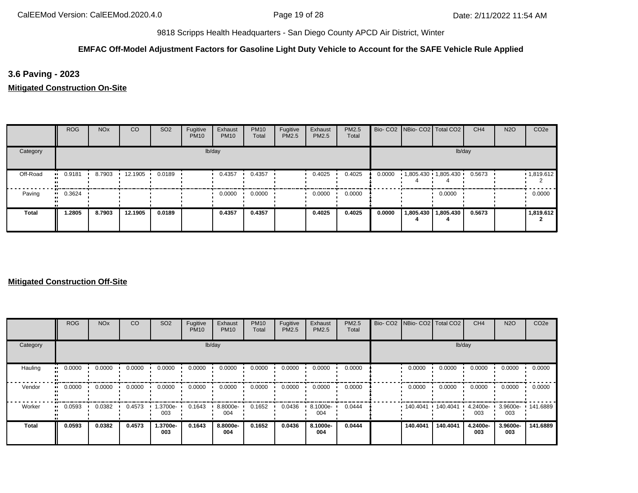## **EMFAC Off-Model Adjustment Factors for Gasoline Light Duty Vehicle to Account for the SAFE Vehicle Rule Applied**

**3.6 Paving - 2023**

**Mitigated Construction On-Site**

|          | <b>ROG</b> | <b>NO<sub>x</sub></b> | <sub>CO</sub> | SO <sub>2</sub> | Fugitive<br><b>PM10</b> | Exhaust<br><b>PM10</b> | <b>PM10</b><br>Total | Fugitive<br>PM2.5 | Exhaust<br><b>PM2.5</b> | PM2.5<br>Total |        | Bio- CO2   NBio- CO2   Total CO2 |                       | CH <sub>4</sub> | <b>N2O</b> | CO <sub>2e</sub> |
|----------|------------|-----------------------|---------------|-----------------|-------------------------|------------------------|----------------------|-------------------|-------------------------|----------------|--------|----------------------------------|-----------------------|-----------------|------------|------------------|
| Category |            |                       |               |                 |                         | lb/day                 |                      |                   |                         |                |        |                                  |                       | lb/day          |            |                  |
| Off-Road | $-0.9181$  | 8.7903                | 12.1905       | 0.0189          |                         | 0.4357                 | 0.4357               |                   | 0.4025                  | 0.4025         | 0.0000 | $1,805.430$ $1,805.430$          |                       | 0.5673          |            | 1,819.612        |
| Paving   | $-0.3624$  |                       |               |                 |                         | 0.0000                 | 0.0000               |                   | 0.0000                  | 0.0000         |        |                                  | 0.0000                |                 |            | 0.0000           |
| Total    | 1.2805     | 8.7903                | 12.1905       | 0.0189          |                         | 0.4357                 | 0.4357               |                   | 0.4025                  | 0.4025         | 0.0000 |                                  | 1,805.430   1,805.430 | 0.5673          |            | 1,819.612        |

|          | <b>ROG</b>            | <b>NO<sub>x</sub></b> | <b>CO</b> | SO <sub>2</sub> | Fugitive<br><b>PM10</b> | Exhaust<br><b>PM10</b> | <b>PM10</b><br>Total | Fugitive<br><b>PM2.5</b> | Exhaust<br>PM2.5 | PM2.5<br>Total | Bio- CO2   NBio- CO2   Total CO2 |          | CH <sub>4</sub>    | <b>N2O</b>               | CO <sub>2e</sub> |
|----------|-----------------------|-----------------------|-----------|-----------------|-------------------------|------------------------|----------------------|--------------------------|------------------|----------------|----------------------------------|----------|--------------------|--------------------------|------------------|
| Category |                       |                       |           |                 |                         | lb/day                 |                      |                          |                  |                |                                  | lb/day   |                    |                          |                  |
| Hauling  | 0.0000<br>            | 0.0000                | 0.0000    | 0.0000          | 0.0000                  | 0.0000                 | 0.0000               | 0.0000                   | 0.0000           | 0.0000         | 0.0000                           | 0.0000   | 0.0000             | 0.0000                   | 0.0000           |
| Vendor   | $\blacksquare$ 0.0000 | 0.0000                | 0.0000    | 0.0000          | 0.0000                  | 0.0000                 | 0.0000               | 0.0000                   | 0.0000           | 0.0000         | 0.0000                           | 0.0000   | 0.0000             | 0.0000                   | 0.0000           |
| Worker   | 0.0593<br>            | 0.0382                | 0.4573    | --3700e<br>003  | 0.1643                  | 8.8000e-<br>004        | 0.1652               | 0.0436                   | 8.1000e-<br>004  | 0.0444         | 140.4041                         | 140.4041 | $4.2400e -$<br>003 | 3.9600e- 141.6889<br>003 |                  |
| Total    | 0.0593                | 0.0382                | 0.4573    | 1.3700e-<br>003 | 0.1643                  | 8.8000e-<br>004        | 0.1652               | 0.0436                   | 8.1000e-<br>004  | 0.0444         | 140.4041                         | 140.4041 | 4.2400e-<br>003    | 3.9600e-<br>003          | 141.6889         |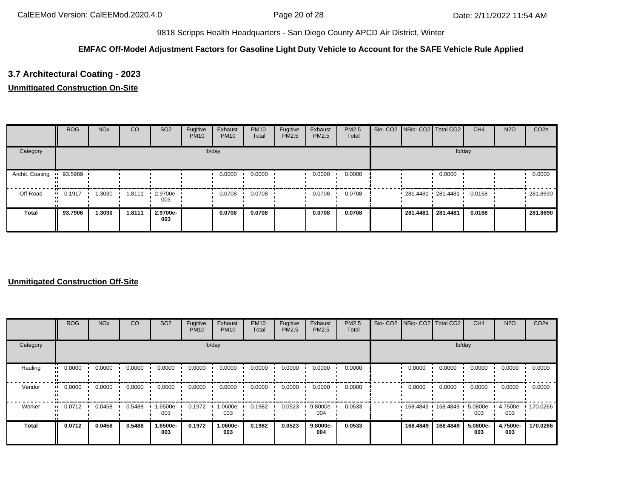## **EMFAC Off-Model Adjustment Factors for Gasoline Light Duty Vehicle to Account for the SAFE Vehicle Rule Applied**

# **3.7 Architectural Coating - 2023**

## **Unmitigated Construction On-Site**

|                           | <b>ROG</b> | <b>NO<sub>x</sub></b> | <sub>CO</sub> | SO <sub>2</sub>    | Fugitive<br><b>PM10</b> | Exhaust<br><b>PM10</b> | <b>PM10</b><br>Total | Fugitive<br>PM2.5 | Exhaust<br>PM2.5 | <b>PM2.5</b><br>Total | Bio- CO2 NBio- CO2 Total CO2 |          | CH <sub>4</sub> | <b>N2O</b> | CO <sub>2e</sub> |
|---------------------------|------------|-----------------------|---------------|--------------------|-------------------------|------------------------|----------------------|-------------------|------------------|-----------------------|------------------------------|----------|-----------------|------------|------------------|
| Category                  |            |                       |               |                    |                         | lb/day                 |                      |                   |                  |                       |                              | lb/day   |                 |            |                  |
| Archit. Coating " 93.5989 |            |                       |               |                    |                         | 0.0000                 | 0.0000               |                   | 0.0000           | 0.0000                |                              | 0.0000   |                 |            | 0.0000           |
| Off-Road                  | 0.1917     | 1.3030                | 1.8111        | $-2.9700e-$<br>003 |                         | 0.0708                 | 0.0708               |                   | 0.0708           | 0.0708                | $-281.4481 - 281.4481$       |          | 0.0168          |            | .281.8690        |
| <b>Total</b>              | 93.7906    | 1.3030                | 1.8111        | 2.9700e-<br>003    |                         | 0.0708                 | 0.0708               |                   | 0.0708           | 0.0708                | 281.4481                     | 281.4481 | 0.0168          |            | 281.8690         |

|              | <b>ROG</b>            | <b>NO<sub>x</sub></b> | CO     | SO <sub>2</sub> | Fugitive<br><b>PM10</b> | Exhaust<br><b>PM10</b> | <b>PM10</b><br>Total | Fugitive<br>PM2.5 | Exhaust<br>PM2.5 | PM2.5<br>Total | Bio- CO2 NBio- CO2 Total CO2 |          | CH <sub>4</sub> | <b>N2O</b>      | CO <sub>2e</sub> |
|--------------|-----------------------|-----------------------|--------|-----------------|-------------------------|------------------------|----------------------|-------------------|------------------|----------------|------------------------------|----------|-----------------|-----------------|------------------|
| Category     |                       |                       |        |                 |                         | lb/day                 |                      |                   |                  |                |                              | lb/day   |                 |                 |                  |
| Hauling      | 0.0000<br>            | 0.0000                | 0.0000 | 0.0000          | 0.0000                  | 0.0000                 | 0.0000               | 0.0000            | 0.0000           | 0.0000         | 0.0000                       | 0.0000   | 0.0000          | 0.0000          | 0.0000           |
| Vendor       | $\blacksquare$ 0.0000 | 0.0000                | 0.0000 | 0.0000          | 0.0000                  | 0.0000                 | 0.0000               | 0.0000            | 0.0000           | 0.0000         | 0.0000                       | 0.0000   | 0.0000          | 0.0000          | 0.0000           |
| Worker       | 0.0712<br>            | 0.0458                | 0.5488 | -6500e.<br>003  | 0.1972                  | 1.0600e-<br>003        | 0.1982               | 0.0523            | 9.8000e-<br>004  | 0.0533         | 168.4849                     | 168.4849 | 5.0800e-<br>003 | 4.7500e-<br>003 | 170.0266         |
| <b>Total</b> | 0.0712                | 0.0458                | 0.5488 | -.6500e<br>003  | 0.1972                  | 1.0600e-<br>003        | 0.1982               | 0.0523            | 9.8000e-<br>004  | 0.0533         | 168.4849                     | 168.4849 | 5.0800e-<br>003 | 4.7500e-<br>003 | 170.0266         |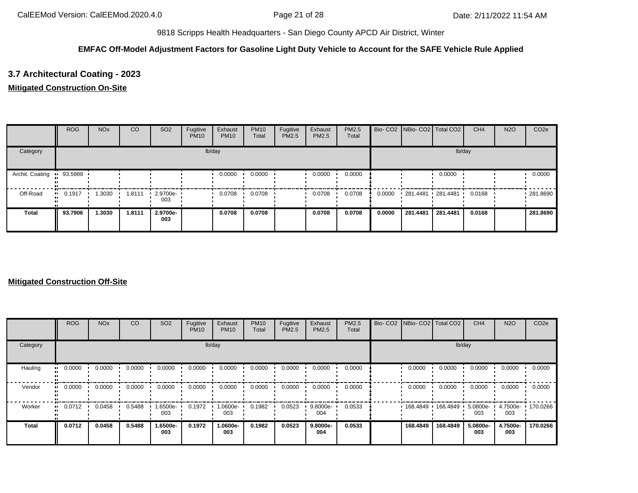## **EMFAC Off-Model Adjustment Factors for Gasoline Light Duty Vehicle to Account for the SAFE Vehicle Rule Applied**

# **3.7 Architectural Coating - 2023**

## **Mitigated Construction On-Site**

|                 | <b>ROG</b>            | <b>NO<sub>x</sub></b> | CO     | SO <sub>2</sub>    | Fugitive<br><b>PM10</b> | Exhaust<br><b>PM10</b> | <b>PM10</b><br>Total | Fugitive<br>PM2.5 | Exhaust<br><b>PM2.5</b> | <b>PM2.5</b><br>Total |        | Bio- CO2   NBio- CO2   Total CO2 |          | CH <sub>4</sub> | <b>N2O</b> | CO <sub>2e</sub> |
|-----------------|-----------------------|-----------------------|--------|--------------------|-------------------------|------------------------|----------------------|-------------------|-------------------------|-----------------------|--------|----------------------------------|----------|-----------------|------------|------------------|
| Category        |                       |                       |        |                    |                         | lb/day                 |                      |                   |                         |                       |        |                                  | lb/day   |                 |            |                  |
| Archit. Coating | • 93.5989             |                       |        |                    |                         | 0.0000                 | 0.0000               |                   | 0.0000                  | 0.0000                |        |                                  | 0.0000   |                 |            | 0.0000           |
| Off-Road        | $\blacksquare$ 0.1917 | 1.3030                | 1.8111 | $-2.9700e-$<br>003 |                         | 0.0708                 | 0.0708               |                   | 0.0708                  | 0.0708                | 0.0000 | 281.4481 281.4481                |          | 0.0168          |            | .281.8690        |
| Total           | 93.7906               | 1.3030                | 1.8111 | 2.9700e-<br>003    |                         | 0.0708                 | 0.0708               |                   | 0.0708                  | 0.0708                | 0.0000 | 281.4481                         | 281.4481 | 0.0168          |            | 281.8690         |

|              | <b>ROG</b> | <b>NO<sub>x</sub></b> | <sub>CO</sub> | SO <sub>2</sub> | Fugitive<br><b>PM10</b> | Exhaust<br><b>PM10</b> | <b>PM10</b><br>Total | Fugitive<br><b>PM2.5</b> | Exhaust<br>PM2.5 | <b>PM2.5</b><br>Total | Bio- CO2   NBio- CO2   Total CO2 |          | CH <sub>4</sub> | <b>N2O</b>      | CO <sub>2e</sub> |
|--------------|------------|-----------------------|---------------|-----------------|-------------------------|------------------------|----------------------|--------------------------|------------------|-----------------------|----------------------------------|----------|-----------------|-----------------|------------------|
| Category     |            |                       |               |                 |                         | lb/day                 |                      |                          |                  |                       |                                  | lb/day   |                 |                 |                  |
| Hauling      | 0.0000     | 0.0000                | 0.0000        | 0.0000          | 0.0000                  | 0.0000                 | 0.0000               | 0.0000                   | 0.0000           | 0.0000                | 0.0000                           | 0.0000   | 0.0000          | 0.0000          | 0.0000           |
| Vendor       | 0.0000     | 0.0000                | 0.0000        | 0.0000          | 0.0000                  | 0.0000                 | 0.0000               | 0.0000                   | 0.0000           | 0.0000                | 0.0000                           | 0.0000   | 0.0000          | 0.0000          | 0.0000           |
| Worker       | 0.0712     | 0.0458                | 0.5488        | 1.6500e-<br>003 | 0.1972                  | 1.0600e-<br>003        | 0.1982               | 0.0523                   | 9.8000e-<br>004  | 0.0533                | 168.4849                         | 168.4849 | 5.0800e-<br>003 | 4.7500e-<br>003 | 170.0266         |
| <b>Total</b> | 0.0712     | 0.0458                | 0.5488        | 1.6500e-<br>003 | 0.1972                  | 1.0600e-<br>003        | 0.1982               | 0.0523                   | 9.8000e-<br>004  | 0.0533                | 168.4849                         | 168,4849 | 5.0800e-<br>003 | 4.7500e-<br>003 | 170.0266         |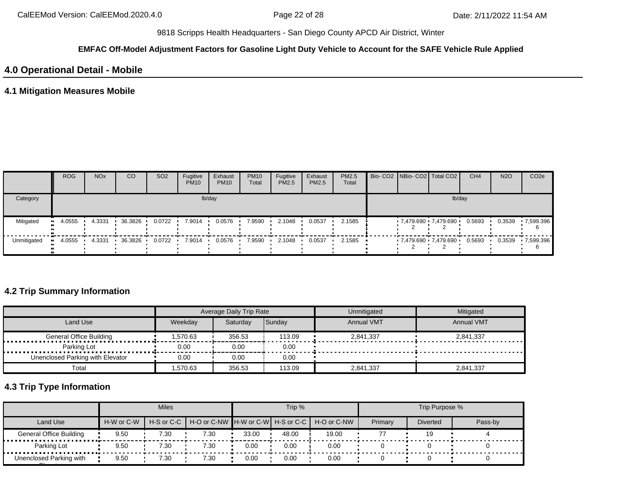#### **EMFAC Off-Model Adjustment Factors for Gasoline Light Duty Vehicle to Account for the SAFE Vehicle Rule Applied**

## **4.0 Operational Detail - Mobile**

## **4.1 Mitigation Measures Mobile**

|             | <b>ROG</b> | <b>NO<sub>x</sub></b> | CO      | SO <sub>2</sub> | Fugitive<br><b>PM10</b> | Exhaust<br><b>PM10</b> | <b>PM10</b><br>Total | Fugitive<br>PM2.5 | Exhaust<br><b>PM2.5</b> | <b>PM2.5</b><br>Total |  | Bio- CO2 NBio- CO2   Total CO2 | CH <sub>4</sub> | <b>N2O</b> | CO <sub>2e</sub> |
|-------------|------------|-----------------------|---------|-----------------|-------------------------|------------------------|----------------------|-------------------|-------------------------|-----------------------|--|--------------------------------|-----------------|------------|------------------|
| Category    |            |                       |         |                 |                         | lb/day                 |                      |                   |                         |                       |  | lb/day                         |                 |            |                  |
| Mitigated   | 4.0555     | 4.3331                | 36.3826 | 0.0722          | 7.9014                  | 0.0576                 | 7.9590               | 2.1048            | 0.0537                  | 2.1585                |  | 7,479.690 7,479.690            | 0.5693          | 0.3539     | $-7,599.396$     |
| Unmitigated | 4.0555     | 4.3331                | 36.3826 | 0.0722          | 7.9014                  | 0.0576                 | 7.9590               | 2.1048            | 0.0537                  | 2.1585                |  | 7,479.690 7,479.690 0.5693     |                 | 0.3539     | 7,599.396        |

## **4.2 Trip Summary Information**

|                                  |          | Average Daily Trip Rate |               | Unmitigated       | Mitigated         |
|----------------------------------|----------|-------------------------|---------------|-------------------|-------------------|
| Land Use                         | Weekdav  | Saturdav                | <b>Sundav</b> | <b>Annual VMT</b> | <b>Annual VMT</b> |
| <b>General Office Building</b>   | 1.570.63 | 356.53                  | 113.09        | 2.841.337         | 2.841.337         |
| Parking Lot                      | 0.00     | 0.00                    | 0.00          |                   |                   |
| Unenclosed Parking with Elevator | 0.00     | 0.00                    | 0.00          |                   |                   |
| Total                            | .570.63  | 356.53                  | 113.09        | 2,841,337         | 2,841,337         |

# **4.3 Trip Type Information**

|                                |            | <b>Miles</b> |      |       | Trip % |                                                          |         | Trip Purpose %  |         |
|--------------------------------|------------|--------------|------|-------|--------|----------------------------------------------------------|---------|-----------------|---------|
| Land Use                       | H-W or C-W |              |      |       |        | H-S or C-C H-O or C-NW H-W or C-W H-S or C-C H-O or C-NW | Primary | <b>Diverted</b> | Pass-by |
| <b>General Office Building</b> | 9.50       | 7.30         | 7.30 | 33.00 | 48.00  | 19.00                                                    |         | 19              |         |
| Parking Lot                    | 9.50       | 7.30         | 7.30 | 0.00  | 0.00   | 0.00                                                     |         |                 |         |
| Unenclosed Parking with        | 9.50       | 7.30         | 7.30 | 0.00  | 0.00   | 0.00                                                     |         |                 |         |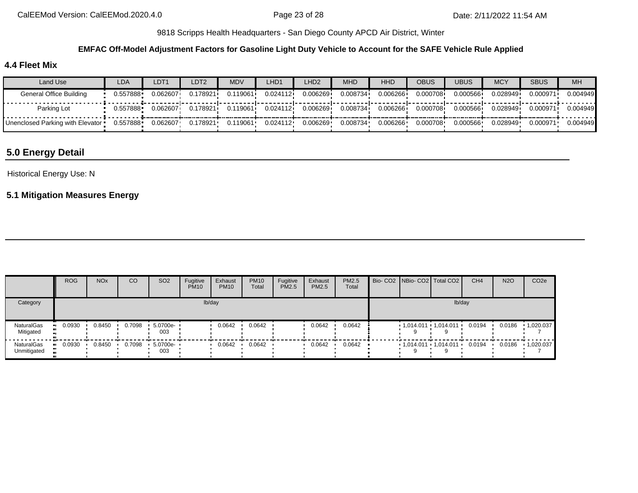#### **EMFAC Off-Model Adjustment Factors for Gasoline Light Duty Vehicle to Account for the SAFE Vehicle Rule Applied**

## **4.4 Fleet Mix**

| Land Use                           | LDA      | LDT <sub>1</sub> | LDT2     | MDV      | LHD1     | LHD2     | <b>MHD</b> | <b>HHD</b> | <b>OBUS</b> | <b>UBUS</b> | <b>MCY</b> | <b>SBUS</b> | <b>MH</b> |
|------------------------------------|----------|------------------|----------|----------|----------|----------|------------|------------|-------------|-------------|------------|-------------|-----------|
| General Office Building            | 0.557888 | 0.062607         | 0.178921 | 119061.  | 0.024112 | 0.006269 | 0.008734   | 0.006266   | 0.000708    | 0.000566    | 0.028949   | 0.000971    | 0.004949  |
| Parking Lot                        | 0.557888 | 0.062607         | 0.178921 | 0.119061 | 0.024112 | 0.006269 | 0.008734   | 0.006266   | 0.000708    | 0.000566    | 0.028949   | 0.000971    | 0.004949  |
| Unenclosed Parking with Elevator • | 0.557888 | 0.062607         | 0.178921 | 0.119061 | 0.024112 | 0.006269 | 0.008734   | 0.006266   | 0.000708    | 0.000566    | 0.028949   | 0.000971    | 0.004949  |

# **5.0 Energy Detail**

#### Historical Energy Use: N

## **5.1 Mitigation Measures Energy**

|                                  | <b>ROG</b> | NO <sub>x</sub> | CO     | SO <sub>2</sub>    | Fugitive<br><b>PM10</b> | Exhaust<br><b>PM10</b> | <b>PM10</b><br>Total | Fugitive<br>PM2.5 | Exhaust<br>PM2.5 | PM2.5<br>Total |  | Bio- CO2   NBio- CO2   Total CO2 | CH <sub>4</sub> | <b>N2O</b> | CO <sub>2e</sub> |
|----------------------------------|------------|-----------------|--------|--------------------|-------------------------|------------------------|----------------------|-------------------|------------------|----------------|--|----------------------------------|-----------------|------------|------------------|
| Category                         |            |                 |        |                    |                         | lb/day                 |                      |                   |                  |                |  | lb/day                           |                 |            |                  |
| <b>NaturalGas</b><br>Mitigated   | 0.0930     | 0.8450          | 0.7098 | $-5.0700e-$<br>003 |                         | 0.0642                 | 0.0642               |                   | 0.0642           | 0.0642         |  | $1,014.011$ $1,014.011$ $1$      | 0.0194          | 0.0186     | 1,020.037        |
| <b>NaturalGas</b><br>Unmitigated | 0.0930     | 0.8450          | 0.7098 | $-5.0700e-$<br>003 |                         | 0.0642                 | 0.0642               |                   | 0.0642           | 0.0642         |  | $1,014.011$ $1,014.011$ $1$      | 0.0194          | 0.0186     | 1,020.037        |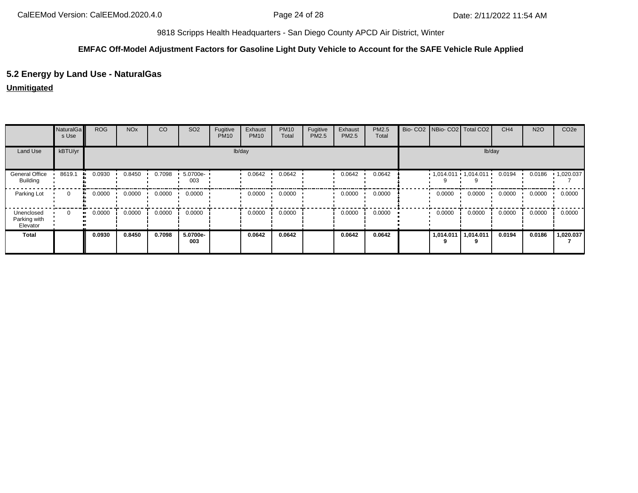### **EMFAC Off-Model Adjustment Factors for Gasoline Light Duty Vehicle to Account for the SAFE Vehicle Rule Applied**

## **5.2 Energy by Land Use - NaturalGas**

### **Unmitigated**

|                                        | NaturalGa<br>s Use | <b>ROG</b>   | <b>NO<sub>x</sub></b> | CO     | SO <sub>2</sub> | Fugitive<br><b>PM10</b> | Exhaust<br><b>PM10</b> | <b>PM10</b><br>Total | Fugitive<br>PM2.5 | Exhaust<br>PM2.5 | PM2.5<br>Total |           | Bio- CO2   NBio- CO2   Total CO2 | CH <sub>4</sub> | <b>N2O</b> | CO <sub>2e</sub>  |
|----------------------------------------|--------------------|--------------|-----------------------|--------|-----------------|-------------------------|------------------------|----------------------|-------------------|------------------|----------------|-----------|----------------------------------|-----------------|------------|-------------------|
| Land Use                               | kBTU/yr            |              |                       |        |                 |                         | lb/day                 |                      |                   |                  |                |           | lb/day                           |                 |            |                   |
| General Office<br><b>Building</b>      | 8619.1             | 0.0930       | 0.8450                | 0.7098 | 5.0700e-<br>003 |                         | 0.0642                 | 0.0642               |                   | 0.0642           | 0.0642         |           | $1,014.011$ $1,014.011$ $1$      | 0.0194          | 0.0186     | $\cdot$ 1,020.037 |
| Parking Lot                            | $\mathbf{0}$       | 0.0000<br>ш. | 0.0000                | 0.0000 | 0.0000          |                         | 0.0000                 | 0.0000               |                   | 0.0000           | 0.0000         | 0.0000    | 0.0000                           | 0.0000          | 0.0000     | 0.0000            |
| Unenclosed<br>Parking with<br>Elevator | 0                  | 0.0000<br>   | 0.0000                | 0.0000 | 0.0000          |                         | 0.0000                 | 0.0000               |                   | 0.0000           | 0.0000         | 0.0000    | 0.0000                           | 0.0000          | 0.0000     | 0.0000            |
| <b>Total</b>                           |                    | 0.0930       | 0.8450                | 0.7098 | 5.0700e-<br>003 |                         | 0.0642                 | 0.0642               |                   | 0.0642           | 0.0642         | 1,014.011 | 1.014.011                        | 0.0194          | 0.0186     | 1,020.037         |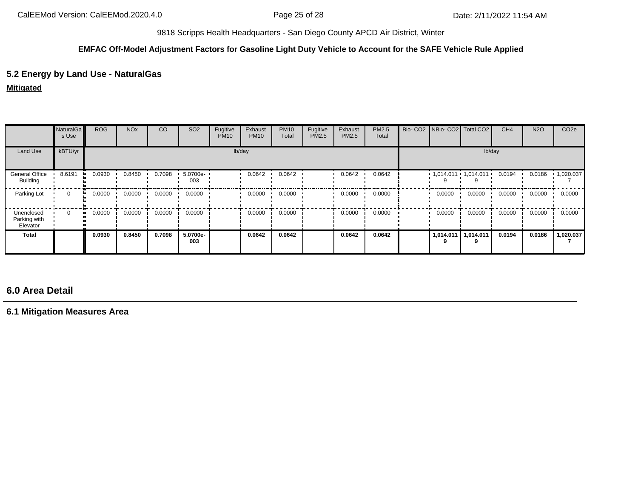### **EMFAC Off-Model Adjustment Factors for Gasoline Light Duty Vehicle to Account for the SAFE Vehicle Rule Applied**

## **5.2 Energy by Land Use - NaturalGas**

**Mitigated**

|                                        | NaturalGa<br>s Use | <b>ROG</b> | <b>NO<sub>x</sub></b> | CO     | SO <sub>2</sub> | Fugitive<br><b>PM10</b> | Exhaust<br><b>PM10</b> | <b>PM10</b><br>Total | Fugitive<br>PM2.5 | Exhaust<br>PM2.5 | PM2.5<br>Total |           | Bio- CO2 NBio- CO2 Total CO2      | CH <sub>4</sub> | <b>N2O</b> | CO <sub>2e</sub> |
|----------------------------------------|--------------------|------------|-----------------------|--------|-----------------|-------------------------|------------------------|----------------------|-------------------|------------------|----------------|-----------|-----------------------------------|-----------------|------------|------------------|
| Land Use                               | kBTU/yr            |            |                       |        |                 |                         | lb/day                 |                      |                   |                  |                |           | lb/day                            |                 |            |                  |
| General Office<br>Building             | 8.6191             | 0.0930     | 0.8450                | 0.7098 | 5.0700e-<br>003 |                         | 0.0642                 | 0.0642               |                   | 0.0642           | 0.0642         |           | $1,014.011 \cdot 1,014.011 \cdot$ | 0.0194          | 0.0186     | 1,020.037        |
| Parking Lot                            | 0                  | 0.0000     | 0.0000                | 0.0000 | 0.0000          |                         | 0.0000                 | 0.0000               |                   | 0.0000           | 0.0000         | 0.0000    | 0.0000                            | 0.0000          | 0.0000     | 0.0000           |
| Unenclosed<br>Parking with<br>Elevator | 0                  | 0.0000     | 0.0000                | 0.0000 | 0.0000          |                         | 0.0000                 | 0.0000               |                   | 0.0000           | 0.0000         | 0.0000    | 0.0000                            | 0.0000          | 0.0000     | 0.0000           |
| Total                                  |                    | 0.0930     | 0.8450                | 0.7098 | 5.0700e-<br>003 |                         | 0.0642                 | 0.0642               |                   | 0.0642           | 0.0642         | 1,014.011 | 1,014.011                         | 0.0194          | 0.0186     | ,020.037         |

# **6.0 Area Detail**

**6.1 Mitigation Measures Area**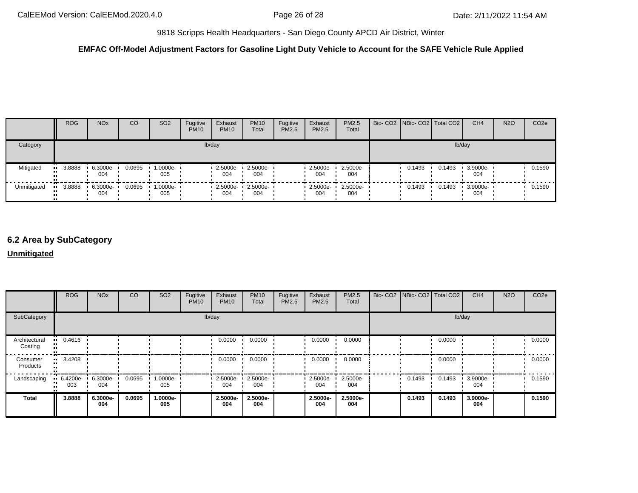## **EMFAC Off-Model Adjustment Factors for Gasoline Light Duty Vehicle to Account for the SAFE Vehicle Rule Applied**

|             | <b>ROG</b>    | <b>NO<sub>x</sub></b> | CO     | SO <sub>2</sub>    | Fugitive<br><b>PM10</b> | Exhaust<br><b>PM10</b> | <b>PM10</b><br>Total    | Fugitive<br><b>PM2.5</b> | Exhaust<br><b>PM2.5</b> | <b>PM2.5</b><br>Total | Bio- CO2 NBio- CO2 Total CO2 |        | CH <sub>4</sub> | <b>N2O</b> | CO <sub>2e</sub> |
|-------------|---------------|-----------------------|--------|--------------------|-------------------------|------------------------|-------------------------|--------------------------|-------------------------|-----------------------|------------------------------|--------|-----------------|------------|------------------|
| Category    |               |                       |        |                    |                         | lb/day                 |                         |                          |                         |                       |                              | lb/day |                 |            |                  |
| Mitigated   | 3.8888<br>. . | 6.3000e-<br>004       | 0.0695 | 1.0000e- ∙<br>005  |                         | $2.5000e -$<br>004     | 2.5000e-<br>004         |                          | 2.5000e-<br>004         | 2.5000e-<br>004       | 0.1493                       | 0.1493 | 3.9000e-<br>004 |            | 0.1590           |
| Unmitigated | 3.8888        | 6.3000e-<br>004       | 0.0695 | $1.0000e -$<br>005 |                         | 004                    | 2.5000e-2.5000e-<br>004 |                          | 0 2.5000e- •<br>004     | $2.5000e-$<br>004     | 0.1493                       | 0.1493 | 3.9000e-<br>004 |            | 0.1590           |

# **6.2 Area by SubCategory**

### **Unmitigated**

|                          | <b>ROG</b>      | <b>NO<sub>x</sub></b> | CO     | SO <sub>2</sub>    | Fugitive<br><b>PM10</b> | Exhaust<br><b>PM10</b> | <b>PM10</b><br>Total | Fugitive<br>PM2.5 | Exhaust<br><b>PM2.5</b> | PM2.5<br>Total  | Bio- CO2   NBio- CO2   Total CO2 |        | CH <sub>4</sub> | <b>N2O</b> | CO <sub>2e</sub> |
|--------------------------|-----------------|-----------------------|--------|--------------------|-------------------------|------------------------|----------------------|-------------------|-------------------------|-----------------|----------------------------------|--------|-----------------|------------|------------------|
| SubCategory              |                 |                       |        |                    |                         | lb/day                 |                      |                   |                         |                 |                                  |        | lb/day          |            |                  |
| Architectural<br>Coating | 0.4616          |                       |        |                    |                         | 0.0000                 | 0.0000               |                   | 0.0000                  | 0.0000          |                                  | 0.0000 |                 |            | 0.0000           |
| Consumer<br>Products     | 3.4208          |                       |        |                    |                         | 0.0000                 | 0.0000               |                   | 0.0000                  | 0.0000          |                                  | 0.0000 |                 |            | 0.0000           |
| Landscaping              | 6.4200e-<br>003 | 6.3000e-<br>004       | 0.0695 | $1.0000e -$<br>005 |                         | 2.5000e-<br>004        | 2.5000e-<br>004      |                   | 2.5000e-<br>004         | 2.5000e-<br>004 | 0.1493                           | 0.1493 | 3.9000e-<br>004 |            | 0.1590           |
| Total                    | 3.8888          | 6.3000e-<br>004       | 0.0695 | -.0000e<br>005     |                         | 2.5000e-<br>004        | 2.5000e-<br>004      |                   | 2.5000e-<br>004         | 2.5000e-<br>004 | 0.1493                           | 0.1493 | 3.9000e-<br>004 |            | 0.1590           |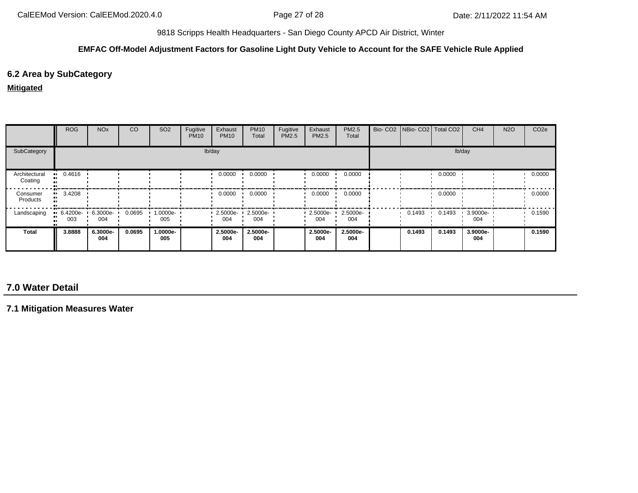### **EMFAC Off-Model Adjustment Factors for Gasoline Light Duty Vehicle to Account for the SAFE Vehicle Rule Applied**

## **6.2 Area by SubCategory**

#### **Mitigated**

|                          | <b>ROG</b>         | <b>NO<sub>x</sub></b> | <sub>CO</sub> | SO <sub>2</sub>    | Fugitive<br><b>PM10</b> | Exhaust<br><b>PM10</b> | <b>PM10</b><br>Total | Fugitive<br>PM2.5 | Exhaust<br><b>PM2.5</b> | PM2.5<br>Total  | Bio- CO2   NBio- CO2   Total CO2 |        | CH <sub>4</sub> | <b>N2O</b> | CO <sub>2e</sub> |
|--------------------------|--------------------|-----------------------|---------------|--------------------|-------------------------|------------------------|----------------------|-------------------|-------------------------|-----------------|----------------------------------|--------|-----------------|------------|------------------|
| SubCategory              |                    |                       |               |                    |                         | lb/day                 |                      |                   |                         |                 |                                  |        | lb/day          |            |                  |
| Architectural<br>Coating | $-0.4616$          |                       |               |                    |                         | 0.0000                 | 0.0000               |                   | 0.0000                  | 0.0000          |                                  | 0.0000 |                 |            | 0.0000           |
| Consumer<br>Products     | 3.4208<br>. .      |                       |               |                    |                         | 0.0000                 | 0.0000               |                   | 0.0000                  | 0.0000          |                                  | 0.0000 |                 |            | 0.0000           |
| Landscaping              | $-6.4200e-$<br>003 | 6.3000e-<br>004       | 0.0695        | $1.0000e -$<br>005 |                         | 2.5000e-<br>004        | 2.5000e-<br>004      |                   | $\cdot$ 2.5000e-<br>004 | 2.5000e-<br>004 | 0.1493                           | 0.1493 | 3.9000e-<br>004 |            | 0.1590           |
| Total                    | 3.8888             | 6.3000e-<br>004       | 0.0695        | 1.0000e-<br>005    |                         | 2.5000e-<br>004        | 2.5000e-<br>004      |                   | 2.5000e-<br>004         | 2.5000e-<br>004 | 0.1493                           | 0.1493 | 3.9000e-<br>004 |            | 0.1590           |

# **7.0 Water Detail**

**7.1 Mitigation Measures Water**